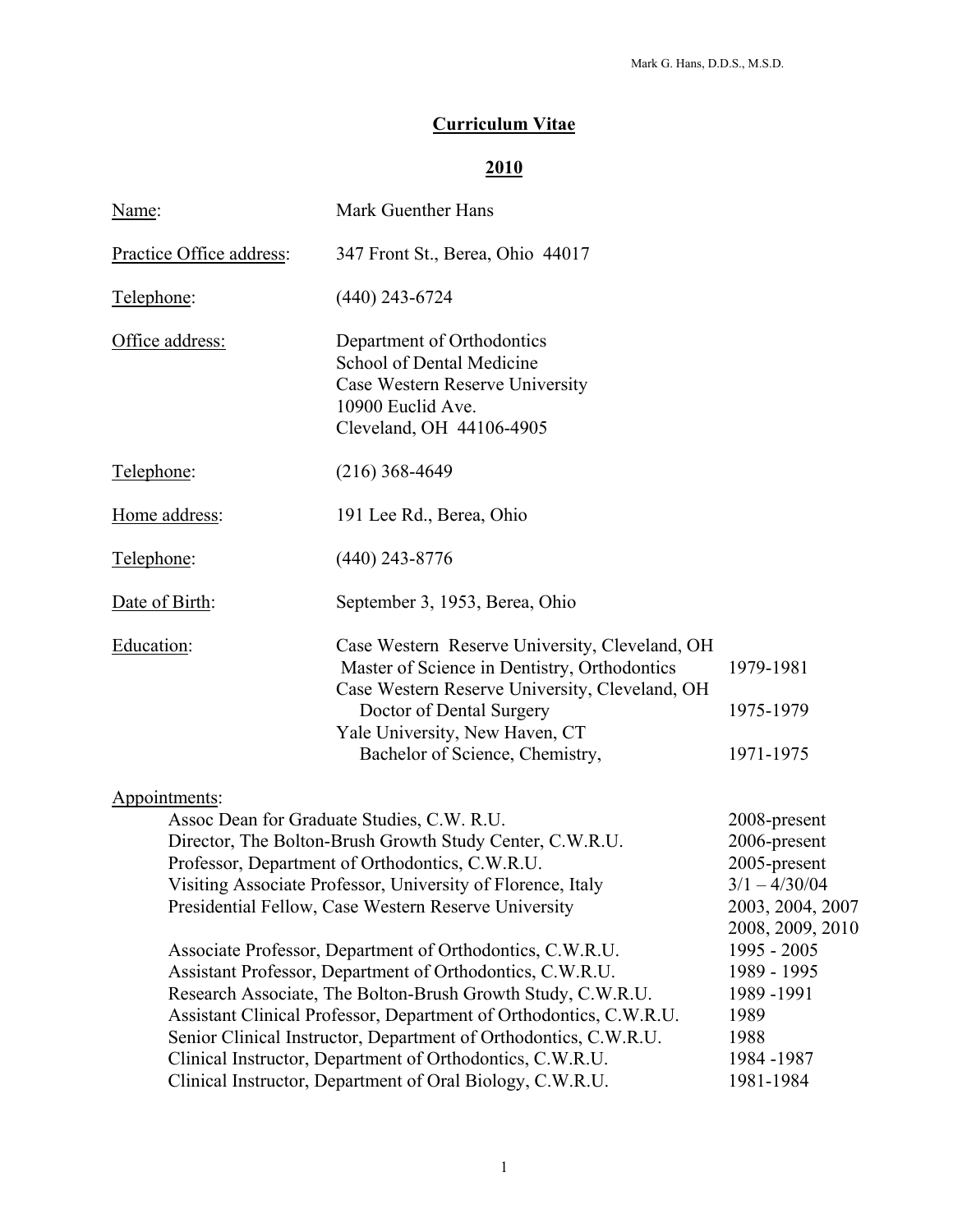# **Curriculum Vitae**

# **2010**

| Name:                                                                                                                                                                                                                                                                                                                                                                                                                                                                                                                                                                                                                                                                                                                                                          | Mark Guenther Hans                                                                                                                                                                                                                                |                                                                                                                                                                                                |  |
|----------------------------------------------------------------------------------------------------------------------------------------------------------------------------------------------------------------------------------------------------------------------------------------------------------------------------------------------------------------------------------------------------------------------------------------------------------------------------------------------------------------------------------------------------------------------------------------------------------------------------------------------------------------------------------------------------------------------------------------------------------------|---------------------------------------------------------------------------------------------------------------------------------------------------------------------------------------------------------------------------------------------------|------------------------------------------------------------------------------------------------------------------------------------------------------------------------------------------------|--|
| Practice Office address:                                                                                                                                                                                                                                                                                                                                                                                                                                                                                                                                                                                                                                                                                                                                       | 347 Front St., Berea, Ohio 44017                                                                                                                                                                                                                  |                                                                                                                                                                                                |  |
| Telephone:                                                                                                                                                                                                                                                                                                                                                                                                                                                                                                                                                                                                                                                                                                                                                     | $(440)$ 243-6724                                                                                                                                                                                                                                  |                                                                                                                                                                                                |  |
| Office address:                                                                                                                                                                                                                                                                                                                                                                                                                                                                                                                                                                                                                                                                                                                                                | Department of Orthodontics<br>School of Dental Medicine<br>Case Western Reserve University<br>10900 Euclid Ave.<br>Cleveland, OH 44106-4905                                                                                                       |                                                                                                                                                                                                |  |
| Telephone:                                                                                                                                                                                                                                                                                                                                                                                                                                                                                                                                                                                                                                                                                                                                                     | $(216)$ 368-4649                                                                                                                                                                                                                                  |                                                                                                                                                                                                |  |
| Home address:                                                                                                                                                                                                                                                                                                                                                                                                                                                                                                                                                                                                                                                                                                                                                  | 191 Lee Rd., Berea, Ohio                                                                                                                                                                                                                          |                                                                                                                                                                                                |  |
| Telephone:                                                                                                                                                                                                                                                                                                                                                                                                                                                                                                                                                                                                                                                                                                                                                     | $(440)$ 243-8776                                                                                                                                                                                                                                  |                                                                                                                                                                                                |  |
| Date of Birth:                                                                                                                                                                                                                                                                                                                                                                                                                                                                                                                                                                                                                                                                                                                                                 | September 3, 1953, Berea, Ohio                                                                                                                                                                                                                    |                                                                                                                                                                                                |  |
| Education:                                                                                                                                                                                                                                                                                                                                                                                                                                                                                                                                                                                                                                                                                                                                                     | Case Western Reserve University, Cleveland, OH<br>Master of Science in Dentistry, Orthodontics<br>Case Western Reserve University, Cleveland, OH<br>Doctor of Dental Surgery<br>Yale University, New Haven, CT<br>Bachelor of Science, Chemistry, | 1979-1981<br>1975-1979<br>1971-1975                                                                                                                                                            |  |
| Appointments:<br>Assoc Dean for Graduate Studies, C.W. R.U.<br>Director, The Bolton-Brush Growth Study Center, C.W.R.U.<br>Professor, Department of Orthodontics, C.W.R.U.<br>Visiting Associate Professor, University of Florence, Italy<br>Presidential Fellow, Case Western Reserve University<br>Associate Professor, Department of Orthodontics, C.W.R.U.<br>Assistant Professor, Department of Orthodontics, C.W.R.U.<br>Research Associate, The Bolton-Brush Growth Study, C.W.R.U.<br>Assistant Clinical Professor, Department of Orthodontics, C.W.R.U.<br>Senior Clinical Instructor, Department of Orthodontics, C.W.R.U.<br>Clinical Instructor, Department of Orthodontics, C.W.R.U.<br>Clinical Instructor, Department of Oral Biology, C.W.R.U. |                                                                                                                                                                                                                                                   | 2008-present<br>2006-present<br>2005-present<br>$3/1 - 4/30/04$<br>2003, 2004, 2007<br>2008, 2009, 2010<br>1995 - 2005<br>1989 - 1995<br>1989-1991<br>1989<br>1988<br>1984 - 1987<br>1981-1984 |  |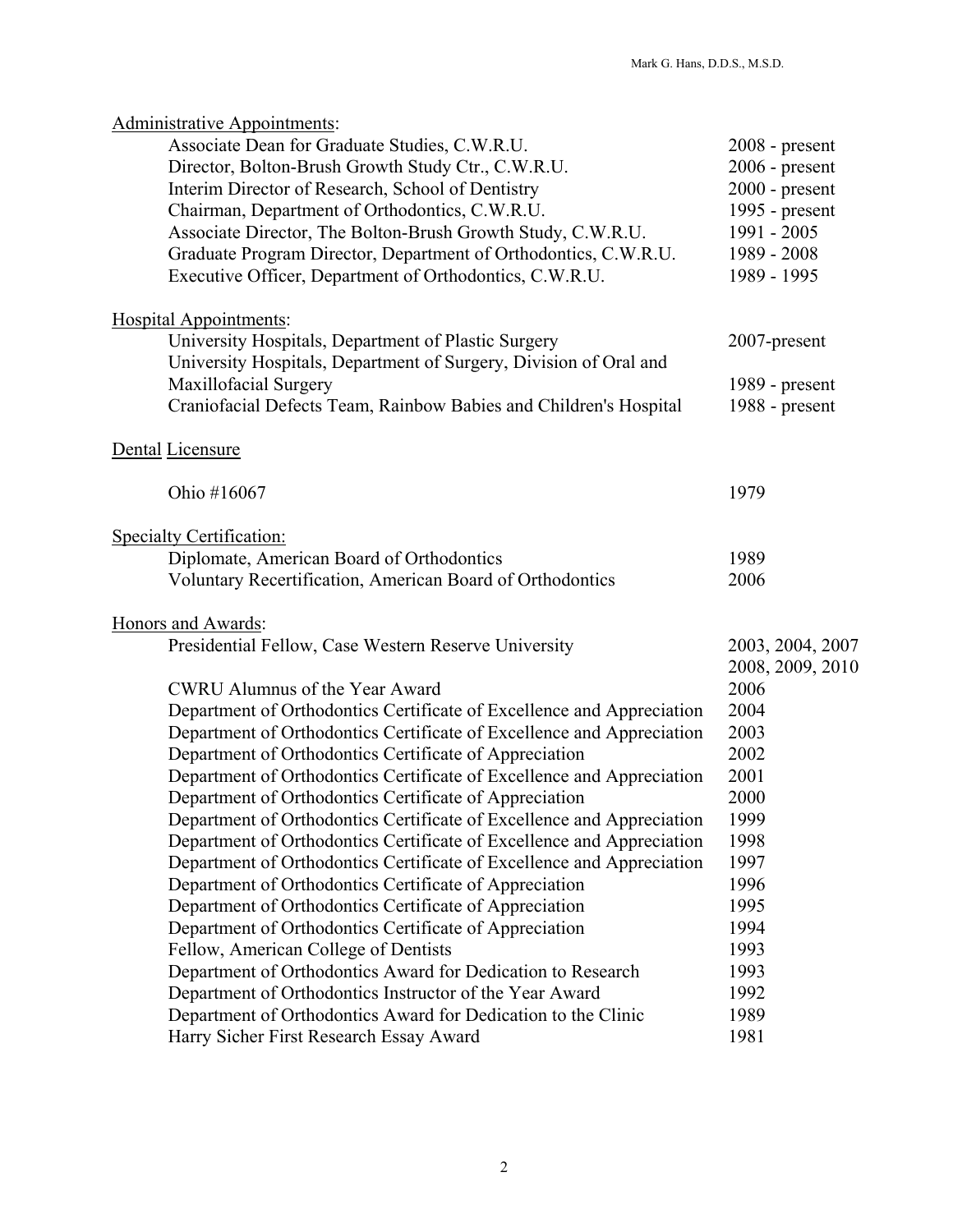| <b>Administrative Appointments:</b><br>Associate Dean for Graduate Studies, C.W.R.U. | $2008$ - present |
|--------------------------------------------------------------------------------------|------------------|
| Director, Bolton-Brush Growth Study Ctr., C.W.R.U.                                   | $2006$ - present |
| Interim Director of Research, School of Dentistry                                    | $2000$ - present |
| Chairman, Department of Orthodontics, C.W.R.U.                                       | 1995 - present   |
| Associate Director, The Bolton-Brush Growth Study, C.W.R.U.                          | 1991 - 2005      |
| Graduate Program Director, Department of Orthodontics, C.W.R.U.                      | 1989 - 2008      |
| Executive Officer, Department of Orthodontics, C.W.R.U.                              | 1989 - 1995      |
| <b>Hospital Appointments:</b>                                                        |                  |
| University Hospitals, Department of Plastic Surgery                                  | 2007-present     |
| University Hospitals, Department of Surgery, Division of Oral and                    |                  |
| Maxillofacial Surgery                                                                | 1989 - present   |
| Craniofacial Defects Team, Rainbow Babies and Children's Hospital                    | 1988 - present   |
| Dental Licensure                                                                     |                  |
|                                                                                      |                  |
| Ohio #16067                                                                          | 1979             |
| <b>Specialty Certification:</b>                                                      |                  |
| Diplomate, American Board of Orthodontics                                            | 1989             |
| Voluntary Recertification, American Board of Orthodontics                            | 2006             |
| Honors and Awards:                                                                   |                  |
| Presidential Fellow, Case Western Reserve University                                 | 2003, 2004, 2007 |
|                                                                                      | 2008, 2009, 2010 |
| CWRU Alumnus of the Year Award                                                       | 2006             |
| Department of Orthodontics Certificate of Excellence and Appreciation                | 2004             |
| Department of Orthodontics Certificate of Excellence and Appreciation                | 2003             |
| Department of Orthodontics Certificate of Appreciation                               | 2002             |
| Department of Orthodontics Certificate of Excellence and Appreciation                | 2001             |
| Department of Orthodontics Certificate of Appreciation                               | 2000             |
| Department of Orthodontics Certificate of Excellence and Appreciation                | 1999             |
| Department of Orthodontics Certificate of Excellence and Appreciation                | 1998             |
| Department of Orthodontics Certificate of Excellence and Appreciation                | 1997             |
| Department of Orthodontics Certificate of Appreciation                               | 1996             |
| Department of Orthodontics Certificate of Appreciation                               | 1995             |
| Department of Orthodontics Certificate of Appreciation                               | 1994             |
| Fellow, American College of Dentists                                                 | 1993             |
| Department of Orthodontics Award for Dedication to Research                          | 1993             |
| Department of Orthodontics Instructor of the Year Award                              | 1992             |
| Department of Orthodontics Award for Dedication to the Clinic                        | 1989             |
| Harry Sicher First Research Essay Award                                              | 1981             |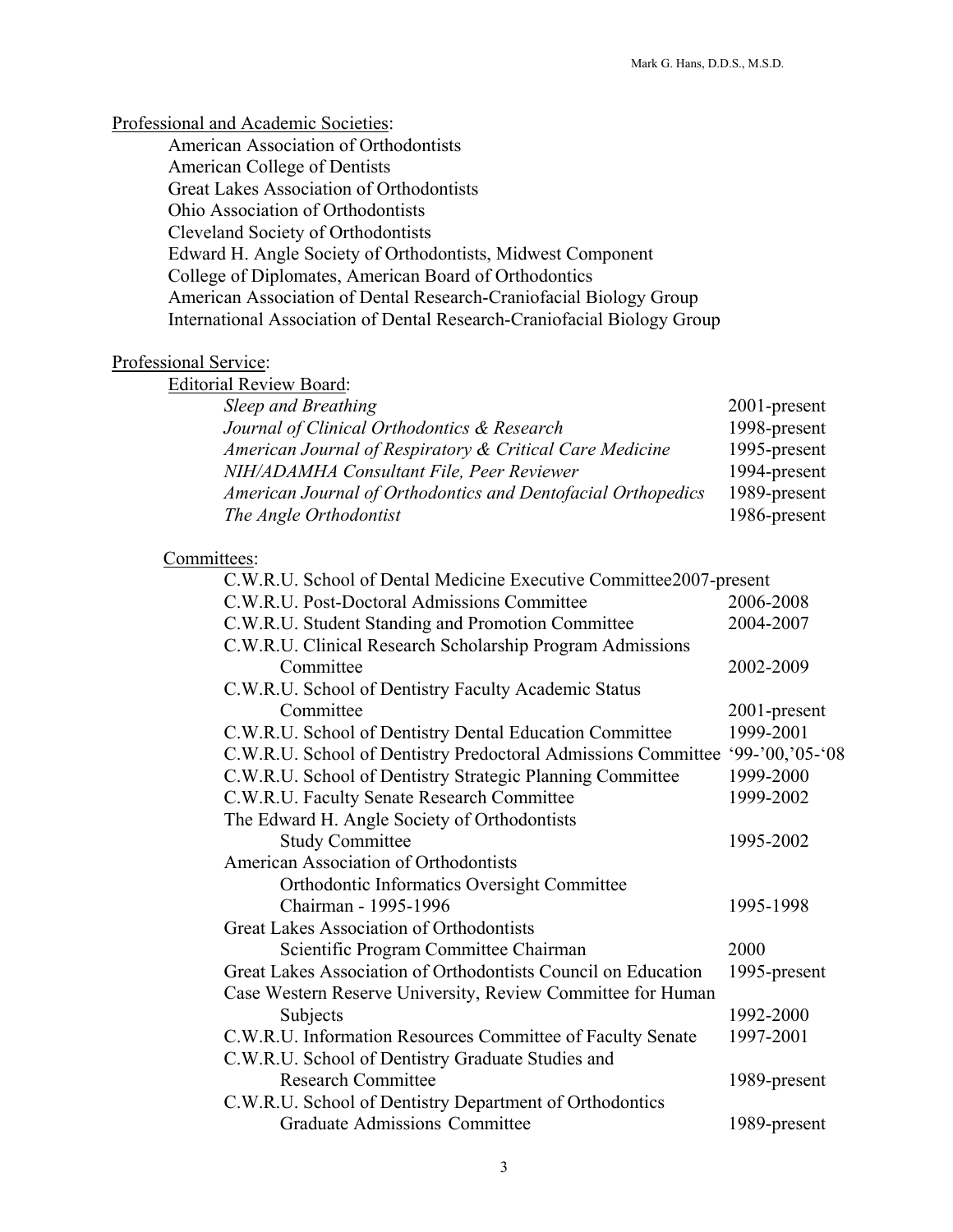### Professional and Academic Societies:

 American Association of Orthodontists American College of Dentists Great Lakes Association of Orthodontists Ohio Association of Orthodontists Cleveland Society of Orthodontists Edward H. Angle Society of Orthodontists, Midwest Component College of Diplomates, American Board of Orthodontics American Association of Dental Research-Craniofacial Biology Group International Association of Dental Research-Craniofacial Biology Group

#### Professional Service:

| <b>Editorial Review Board:</b>                               |              |
|--------------------------------------------------------------|--------------|
| Sleep and Breathing                                          | 2001-present |
| Journal of Clinical Orthodontics & Research                  | 1998-present |
| American Journal of Respiratory & Critical Care Medicine     | 1995-present |
| NIH/ADAMHA Consultant File, Peer Reviewer                    | 1994-present |
| American Journal of Orthodontics and Dentofacial Orthopedics | 1989-present |
| The Angle Orthodontist                                       | 1986-present |
|                                                              |              |

### Committees:

| C.W.R.U. School of Dental Medicine Executive Committee2007-present |                    |
|--------------------------------------------------------------------|--------------------|
| C.W.R.U. Post-Doctoral Admissions Committee                        | 2006-2008          |
| C.W.R.U. Student Standing and Promotion Committee                  | 2004-2007          |
| C.W.R.U. Clinical Research Scholarship Program Admissions          |                    |
| Committee                                                          | 2002-2009          |
| C.W.R.U. School of Dentistry Faculty Academic Status               |                    |
| Committee                                                          | 2001-present       |
| C.W.R.U. School of Dentistry Dental Education Committee            | 1999-2001          |
| C.W.R.U. School of Dentistry Predoctoral Admissions Committee      | $99 - 00, 05 - 08$ |
| C.W.R.U. School of Dentistry Strategic Planning Committee          | 1999-2000          |
| C.W.R.U. Faculty Senate Research Committee                         | 1999-2002          |
| The Edward H. Angle Society of Orthodontists                       |                    |
| <b>Study Committee</b>                                             | 1995-2002          |
| American Association of Orthodontists                              |                    |
| Orthodontic Informatics Oversight Committee                        |                    |
| Chairman - 1995-1996                                               | 1995-1998          |
| Great Lakes Association of Orthodontists                           |                    |
| Scientific Program Committee Chairman                              | 2000               |
| Great Lakes Association of Orthodontists Council on Education      | 1995-present       |
| Case Western Reserve University, Review Committee for Human        |                    |
| Subjects                                                           | 1992-2000          |
| C.W.R.U. Information Resources Committee of Faculty Senate         | 1997-2001          |
| C.W.R.U. School of Dentistry Graduate Studies and                  |                    |
| <b>Research Committee</b>                                          | 1989-present       |
| C.W.R.U. School of Dentistry Department of Orthodontics            |                    |
| <b>Graduate Admissions Committee</b>                               | 1989-present       |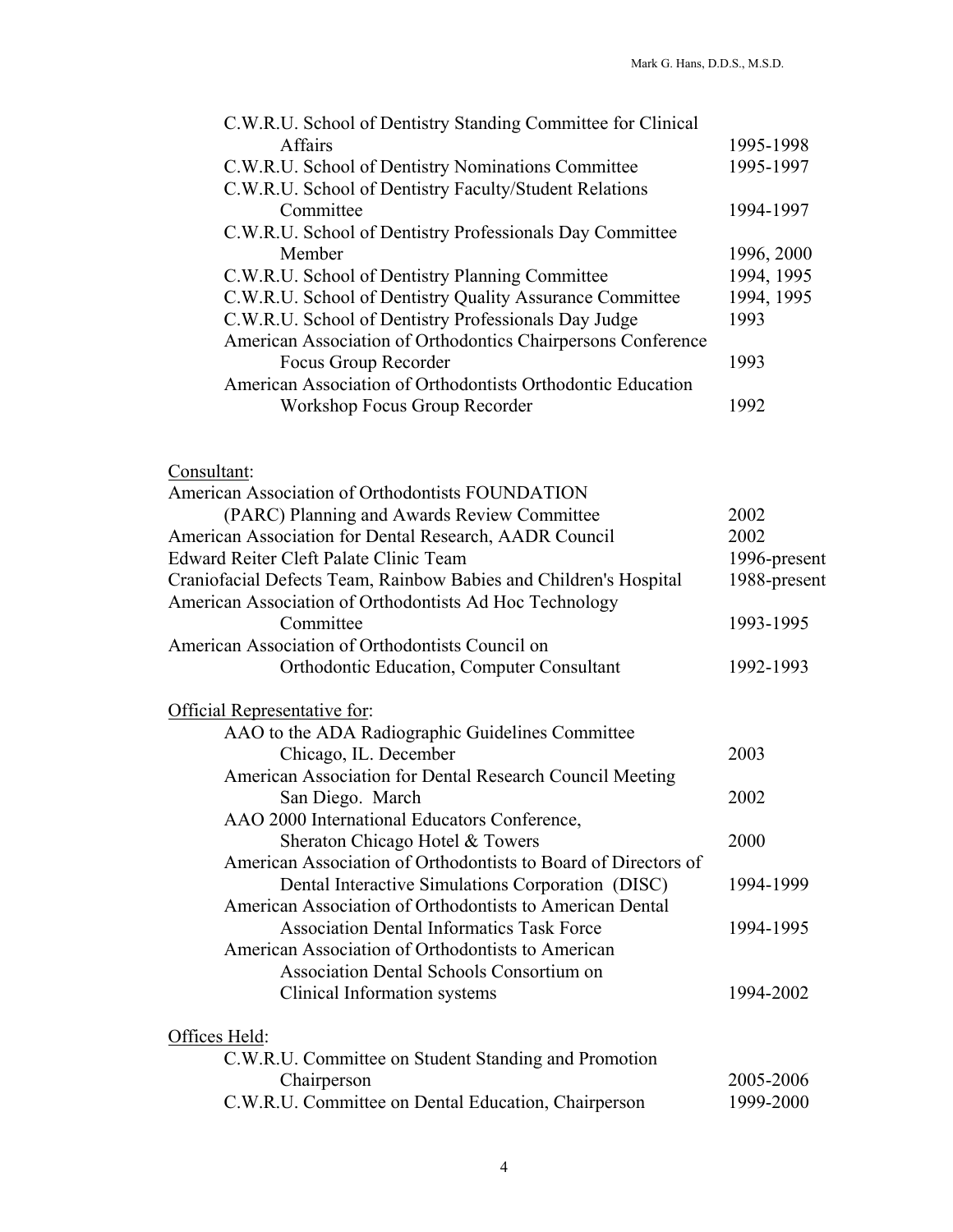| C.W.R.U. School of Dentistry Standing Committee for Clinical |            |
|--------------------------------------------------------------|------------|
| <b>Affairs</b>                                               | 1995-1998  |
| C.W.R.U. School of Dentistry Nominations Committee           | 1995-1997  |
| C.W.R.U. School of Dentistry Faculty/Student Relations       |            |
| Committee                                                    | 1994-1997  |
| C.W.R.U. School of Dentistry Professionals Day Committee     |            |
| Member                                                       | 1996, 2000 |
| C.W.R.U. School of Dentistry Planning Committee              | 1994, 1995 |
| C.W.R.U. School of Dentistry Quality Assurance Committee     | 1994, 1995 |
| C.W.R.U. School of Dentistry Professionals Day Judge         | 1993       |
| American Association of Orthodontics Chairpersons Conference |            |
| Focus Group Recorder                                         | 1993       |
| American Association of Orthodontists Orthodontic Education  |            |
| Workshop Focus Group Recorder                                | 1992       |
|                                                              |            |

# Consultant:

| American Association of Orthodontists FOUNDATION                  |              |
|-------------------------------------------------------------------|--------------|
| (PARC) Planning and Awards Review Committee                       | 2002         |
| American Association for Dental Research, AADR Council            | 2002         |
| Edward Reiter Cleft Palate Clinic Team                            | 1996-present |
| Craniofacial Defects Team, Rainbow Babies and Children's Hospital | 1988-present |
| American Association of Orthodontists Ad Hoc Technology           |              |
| Committee                                                         | 1993-1995    |
| American Association of Orthodontists Council on                  |              |
| <b>Orthodontic Education, Computer Consultant</b>                 | 1992-1993    |
| Official Representative for:                                      |              |
| AAO to the ADA Radiographic Guidelines Committee                  |              |
| Chicago, IL. December                                             | 2003         |
| American Association for Dental Research Council Meeting          |              |
| San Diego. March                                                  | 2002         |
| AAO 2000 International Educators Conference,                      |              |
| Sheraton Chicago Hotel & Towers                                   | 2000         |
| American Association of Orthodontists to Board of Directors of    |              |
| Dental Interactive Simulations Corporation (DISC)                 | 1994-1999    |
| American Association of Orthodontists to American Dental          |              |
| <b>Association Dental Informatics Task Force</b>                  | 1994-1995    |
| American Association of Orthodontists to American                 |              |
| Association Dental Schools Consortium on                          |              |
| Clinical Information systems                                      | 1994-2002    |
| Offices Held:                                                     |              |
| C.W.R.U. Committee on Student Standing and Promotion              |              |
| Chairperson                                                       | 2005-2006    |
| C.W.R.U. Committee on Dental Education, Chairperson               | 1999-2000    |
|                                                                   |              |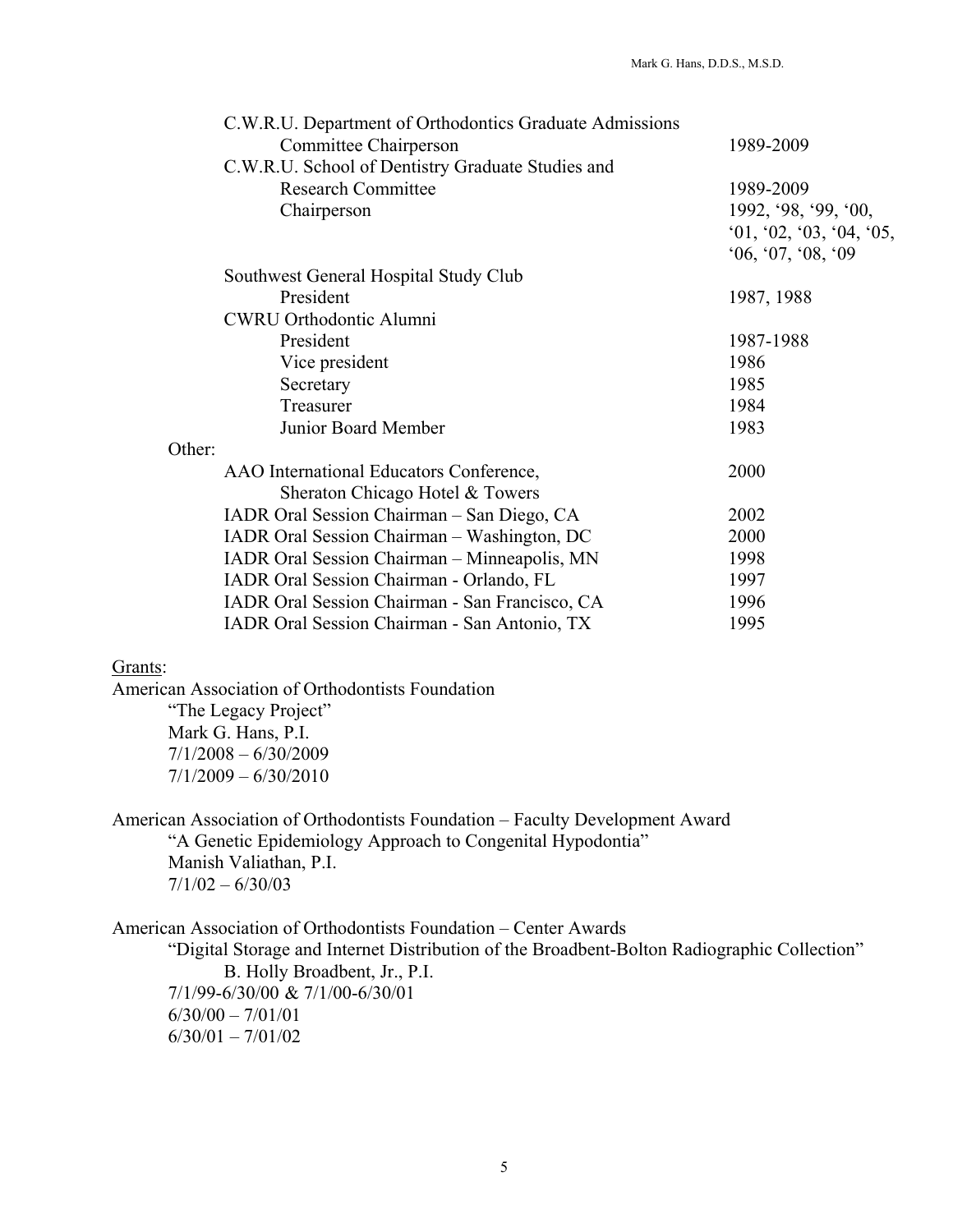| C.W.R.U. Department of Orthodontics Graduate Admissions                    | 1989-2009            |
|----------------------------------------------------------------------------|----------------------|
| Committee Chairperson<br>C.W.R.U. School of Dentistry Graduate Studies and |                      |
| <b>Research Committee</b>                                                  | 1989-2009            |
| Chairperson                                                                | 1992, '98, '99, '00, |
|                                                                            | 01, 02, 03, 04, 05,  |
|                                                                            | 0.6, 0.7, 0.08, 0.09 |
| Southwest General Hospital Study Club                                      |                      |
| President                                                                  | 1987, 1988           |
| <b>CWRU Orthodontic Alumni</b>                                             |                      |
| President                                                                  | 1987-1988            |
| Vice president                                                             | 1986                 |
| Secretary                                                                  | 1985                 |
| Treasurer                                                                  | 1984                 |
| Junior Board Member                                                        | 1983                 |
| Other:                                                                     |                      |
| AAO International Educators Conference,                                    | 2000                 |
| Sheraton Chicago Hotel & Towers                                            |                      |
| IADR Oral Session Chairman - San Diego, CA                                 | 2002                 |
| IADR Oral Session Chairman - Washington, DC                                | 2000                 |
| IADR Oral Session Chairman - Minneapolis, MN                               | 1998                 |
| IADR Oral Session Chairman - Orlando, FL                                   | 1997                 |
| IADR Oral Session Chairman - San Francisco, CA                             | 1996                 |
| IADR Oral Session Chairman - San Antonio, TX                               | 1995                 |

# Grants:

American Association of Orthodontists Foundation "The Legacy Project"

 Mark G. Hans, P.I.  $7/1/2008 - 6/30/2009$ 7/1/2009 – 6/30/2010

American Association of Orthodontists Foundation – Faculty Development Award "A Genetic Epidemiology Approach to Congenital Hypodontia" Manish Valiathan, P.I.  $7/1/02 - 6/30/03$ 

American Association of Orthodontists Foundation – Center Awards "Digital Storage and Internet Distribution of the Broadbent-Bolton Radiographic Collection" B. Holly Broadbent, Jr., P.I. 7/1/99-6/30/00 & 7/1/00-6/30/01  $6/30/00 - 7/01/01$ 6/30/01 – 7/01/02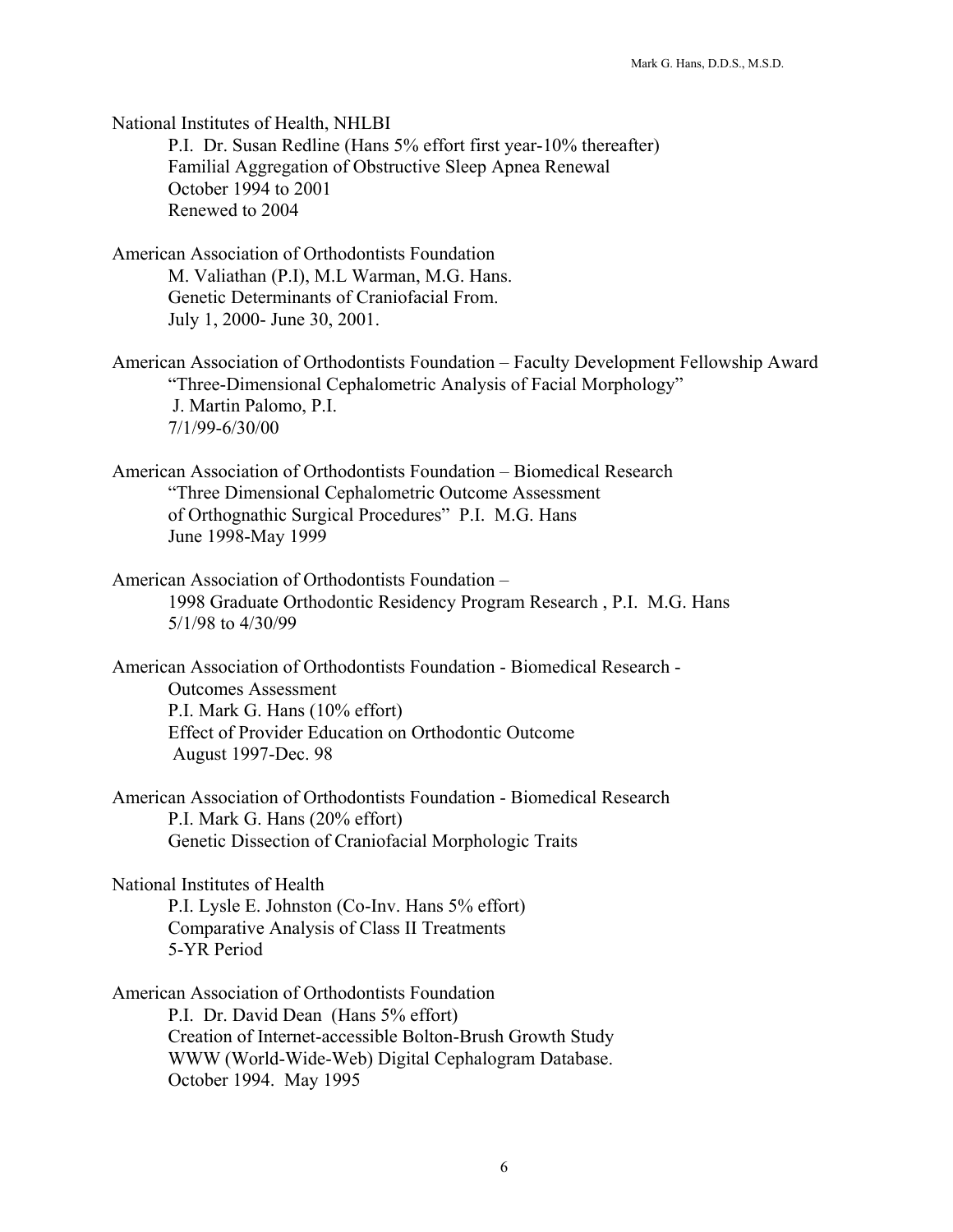National Institutes of Health, NHLBI P.I. Dr. Susan Redline (Hans 5% effort first year-10% thereafter) Familial Aggregation of Obstructive Sleep Apnea Renewal October 1994 to 2001 Renewed to 2004

- American Association of Orthodontists Foundation M. Valiathan (P.I), M.L Warman, M.G. Hans. Genetic Determinants of Craniofacial From. July 1, 2000- June 30, 2001.
- American Association of Orthodontists Foundation Faculty Development Fellowship Award "Three-Dimensional Cephalometric Analysis of Facial Morphology" J. Martin Palomo, P.I. 7/1/99-6/30/00
- American Association of Orthodontists Foundation Biomedical Research "Three Dimensional Cephalometric Outcome Assessment of Orthognathic Surgical Procedures" P.I. M.G. Hans June 1998-May 1999
- American Association of Orthodontists Foundation 1998 Graduate Orthodontic Residency Program Research , P.I. M.G. Hans 5/1/98 to 4/30/99
- American Association of Orthodontists Foundation Biomedical Research Outcomes Assessment P.I. Mark G. Hans (10% effort) Effect of Provider Education on Orthodontic Outcome August 1997-Dec. 98
- American Association of Orthodontists Foundation Biomedical Research P.I. Mark G. Hans (20% effort) Genetic Dissection of Craniofacial Morphologic Traits

National Institutes of Health P.I. Lysle E. Johnston (Co-Inv. Hans 5% effort) Comparative Analysis of Class II Treatments 5-YR Period

American Association of Orthodontists Foundation P.I. Dr. David Dean (Hans 5% effort) Creation of Internet-accessible Bolton-Brush Growth Study WWW (World-Wide-Web) Digital Cephalogram Database. October 1994. May 1995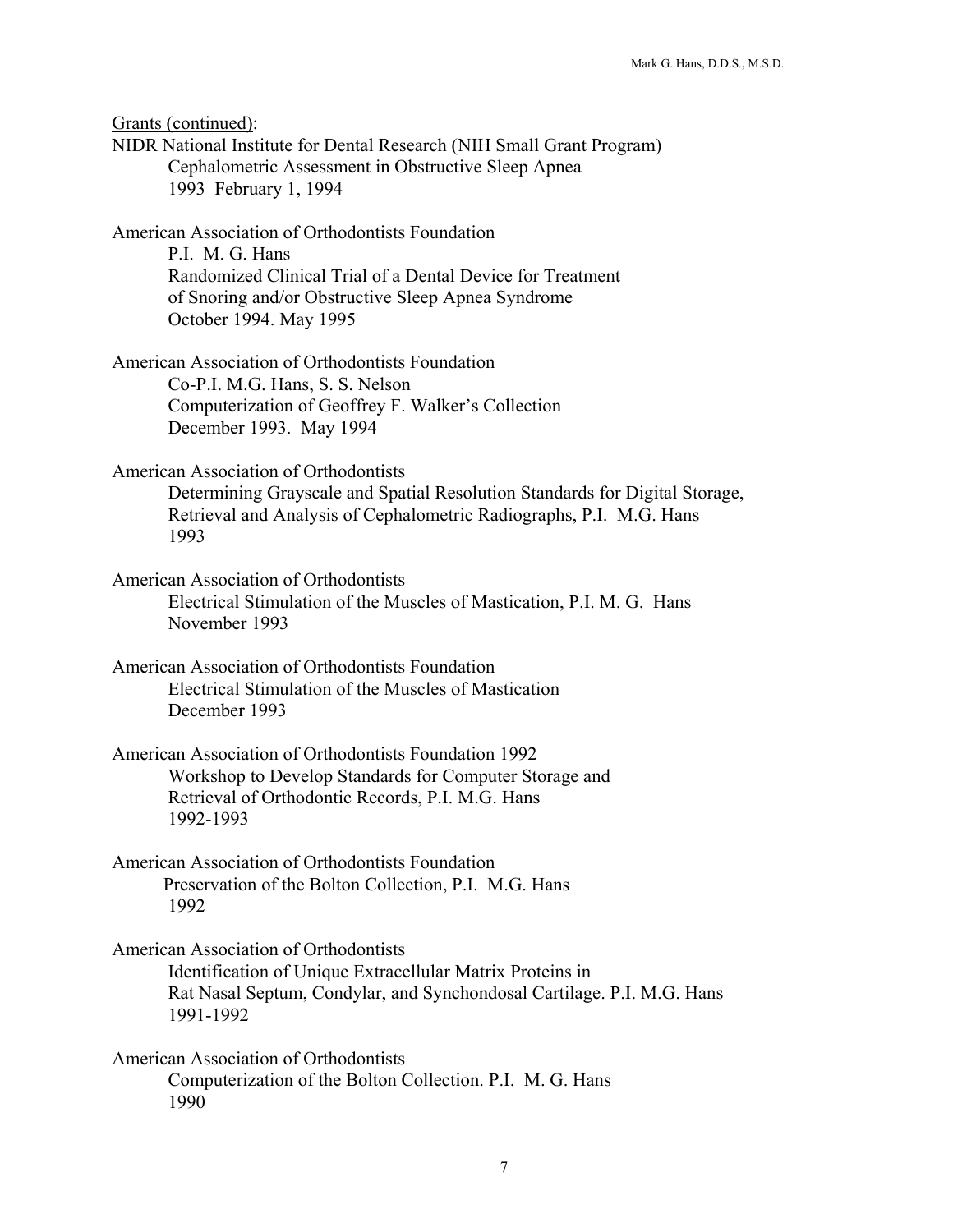Grants (continued): NIDR National Institute for Dental Research (NIH Small Grant Program) Cephalometric Assessment in Obstructive Sleep Apnea 1993 February 1, 1994 American Association of Orthodontists Foundation P.I. M. G. Hans Randomized Clinical Trial of a Dental Device for Treatment of Snoring and/or Obstructive Sleep Apnea Syndrome October 1994. May 1995 American Association of Orthodontists Foundation Co-P.I. M.G. Hans, S. S. Nelson Computerization of Geoffrey F. Walker's Collection December 1993. May 1994 American Association of Orthodontists Determining Grayscale and Spatial Resolution Standards for Digital Storage, Retrieval and Analysis of Cephalometric Radiographs, P.I. M.G. Hans 1993 American Association of Orthodontists Electrical Stimulation of the Muscles of Mastication, P.I. M. G. Hans November 1993 American Association of Orthodontists Foundation Electrical Stimulation of the Muscles of Mastication December 1993 American Association of Orthodontists Foundation 1992 Workshop to Develop Standards for Computer Storage and Retrieval of Orthodontic Records, P.I. M.G. Hans 1992-1993 American Association of Orthodontists Foundation Preservation of the Bolton Collection, P.I. M.G. Hans 1992 American Association of Orthodontists Identification of Unique Extracellular Matrix Proteins in Rat Nasal Septum, Condylar, and Synchondosal Cartilage. P.I. M.G. Hans 1991-1992 American Association of Orthodontists Computerization of the Bolton Collection. P.I. M. G. Hans 1990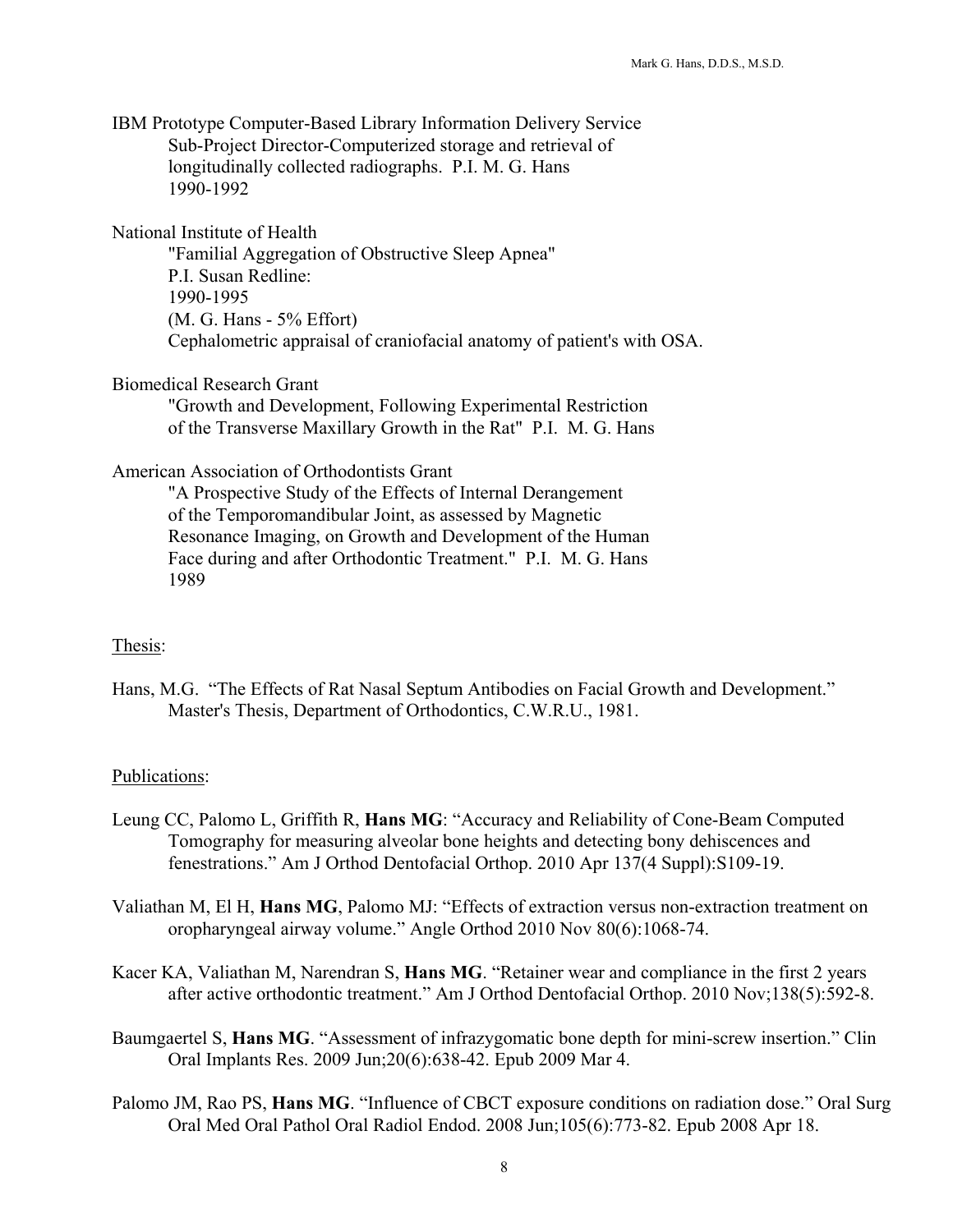IBM Prototype Computer-Based Library Information Delivery Service Sub-Project Director-Computerized storage and retrieval of longitudinally collected radiographs. P.I. M. G. Hans 1990-1992

National Institute of Health

"Familial Aggregation of Obstructive Sleep Apnea" P.I. Susan Redline: 1990-1995 (M. G. Hans - 5% Effort) Cephalometric appraisal of craniofacial anatomy of patient's with OSA.

Biomedical Research Grant

"Growth and Development, Following Experimental Restriction of the Transverse Maxillary Growth in the Rat" P.I. M. G. Hans

American Association of Orthodontists Grant

"A Prospective Study of the Effects of Internal Derangement of the Temporomandibular Joint, as assessed by Magnetic Resonance Imaging, on Growth and Development of the Human Face during and after Orthodontic Treatment." P.I. M. G. Hans 1989

#### Thesis:

Hans, M.G. "The Effects of Rat Nasal Septum Antibodies on Facial Growth and Development." Master's Thesis, Department of Orthodontics, C.W.R.U., 1981.

#### Publications:

- Leung CC, Palomo L, Griffith R, **Hans MG**: "Accuracy and Reliability of Cone-Beam Computed Tomography for measuring alveolar bone heights and detecting bony dehiscences and fenestrations." Am J Orthod Dentofacial Orthop. 2010 Apr 137(4 Suppl):S109-19.
- Valiathan M, El H, **Hans MG**, Palomo MJ: "Effects of extraction versus non-extraction treatment on oropharyngeal airway volume." Angle Orthod 2010 Nov 80(6):1068-74.
- Kacer KA, Valiathan M, Narendran S, **Hans MG**. "Retainer wear and compliance in the first 2 years after active orthodontic treatment." Am J Orthod Dentofacial Orthop. 2010 Nov;138(5):592-8.
- Baumgaertel S, **Hans MG**. "Assessment of infrazygomatic bone depth for mini-screw insertion." Clin Oral Implants Res. 2009 Jun;20(6):638-42. Epub 2009 Mar 4.
- Palomo JM, Rao PS, **Hans MG**. "Influence of CBCT exposure conditions on radiation dose." Oral Surg Oral Med Oral Pathol Oral Radiol Endod. 2008 Jun;105(6):773-82. Epub 2008 Apr 18.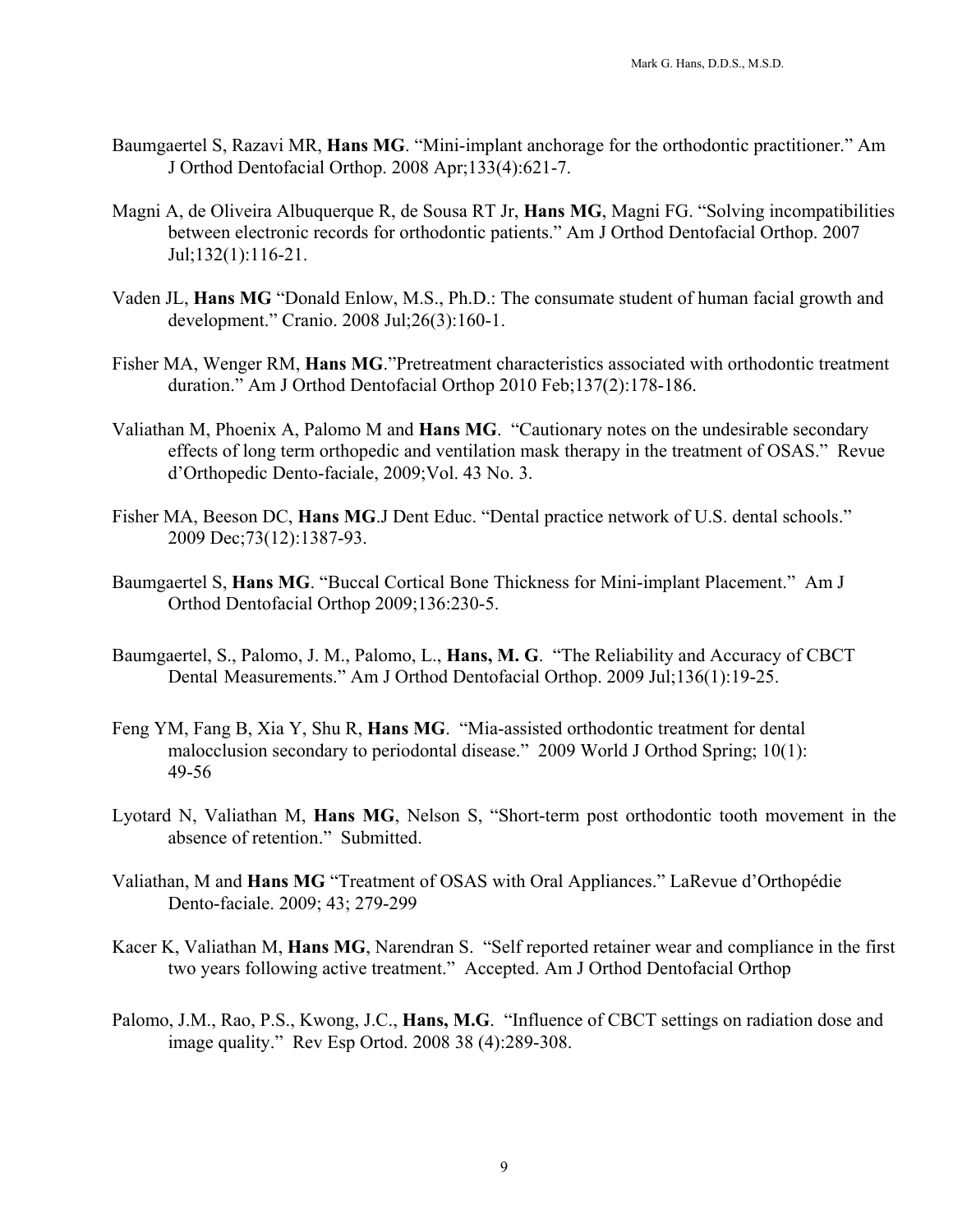- Baumgaertel S, Razavi MR, **Hans MG**. "Mini-implant anchorage for the orthodontic practitioner." Am J Orthod Dentofacial Orthop. 2008 Apr;133(4):621-7.
- Magni A, de Oliveira Albuquerque R, de Sousa RT Jr, **Hans MG**, Magni FG. "Solving incompatibilities between electronic records for orthodontic patients." Am J Orthod Dentofacial Orthop. 2007 Jul;132(1):116-21.
- Vaden JL, **Hans MG** "Donald Enlow, M.S., Ph.D.: The consumate student of human facial growth and development." Cranio. 2008 Jul;26(3):160-1.
- Fisher MA, Wenger RM, **Hans MG**."Pretreatment characteristics associated with orthodontic treatment duration." Am J Orthod Dentofacial Orthop 2010 Feb;137(2):178-186.
- Valiathan M, Phoenix A, Palomo M and **Hans MG**. "Cautionary notes on the undesirable secondary effects of long term orthopedic and ventilation mask therapy in the treatment of OSAS." Revue d'Orthopedic Dento-faciale, 2009;Vol. 43 No. 3.
- Fisher MA, Beeson DC, **Hans MG**.J Dent Educ. "Dental practice network of U.S. dental schools." 2009 Dec;73(12):1387-93.
- Baumgaertel S, **Hans MG**. "Buccal Cortical Bone Thickness for Mini-implant Placement." Am J Orthod Dentofacial Orthop 2009;136:230-5.
- Baumgaertel, S., Palomo, J. M., Palomo, L., **Hans, M. G**. "The Reliability and Accuracy of CBCT Dental Measurements." Am J Orthod Dentofacial Orthop. 2009 Jul;136(1):19-25.
- Feng YM, Fang B, Xia Y, Shu R, **Hans MG**. "Mia-assisted orthodontic treatment for dental malocclusion secondary to periodontal disease." 2009 World J Orthod Spring; 10(1): 49-56
- Lyotard N, Valiathan M, **Hans MG**, Nelson S, "Short-term post orthodontic tooth movement in the absence of retention." Submitted.
- Valiathan, M and **Hans MG** "Treatment of OSAS with Oral Appliances." LaRevue d'Orthopédie Dento-faciale. 2009; 43; 279-299
- Kacer K, Valiathan M, **Hans MG**, Narendran S. "Self reported retainer wear and compliance in the first two years following active treatment." Accepted. Am J Orthod Dentofacial Orthop
- Palomo, J.M., Rao, P.S., Kwong, J.C., **Hans, M.G**. "Influence of CBCT settings on radiation dose and image quality." Rev Esp Ortod. 2008 38 (4):289-308.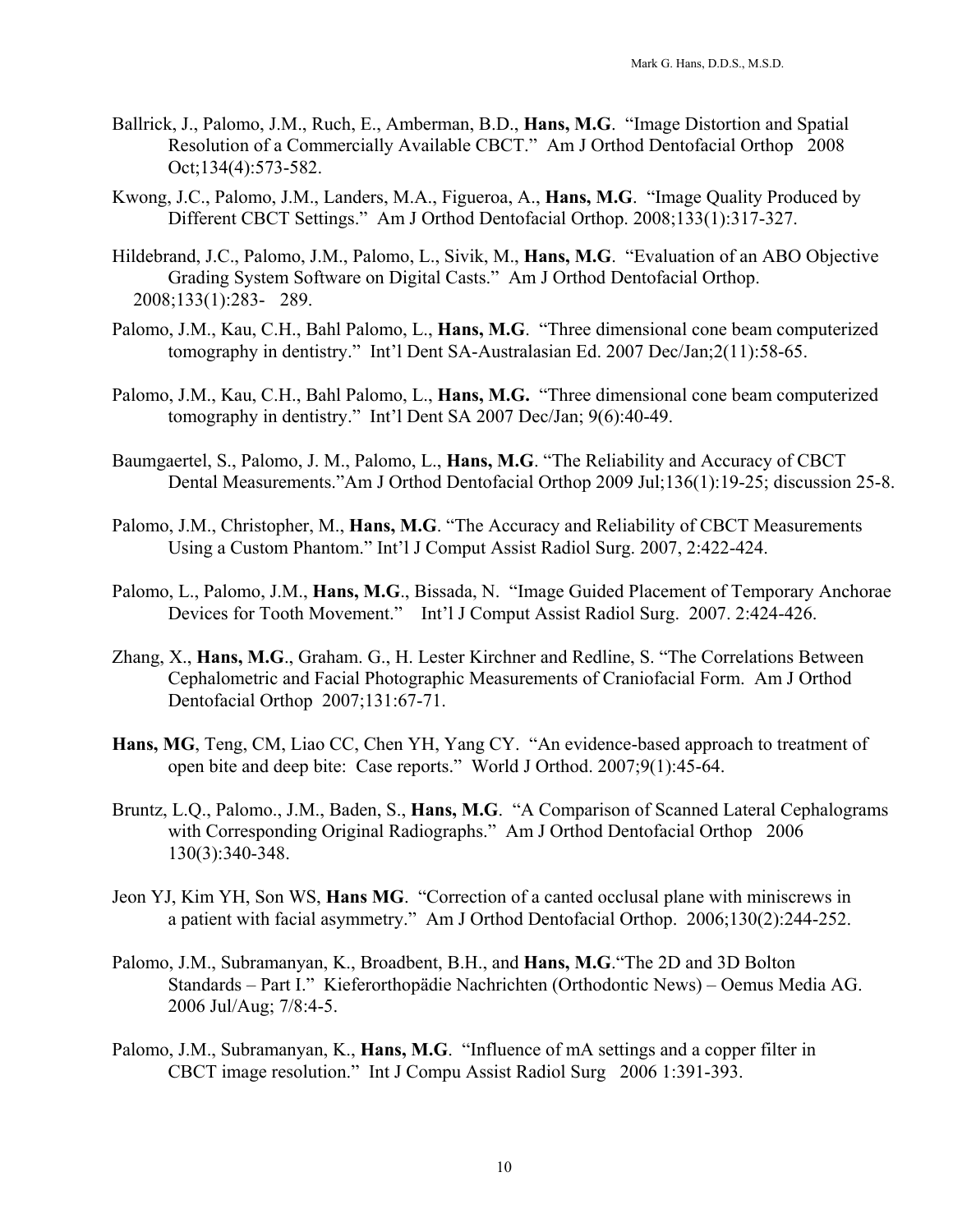- Ballrick, J., Palomo, J.M., Ruch, E., Amberman, B.D., **Hans, M.G**. "Image Distortion and Spatial Resolution of a Commercially Available CBCT." Am J Orthod Dentofacial Orthop 2008 Oct;134(4):573-582.
- Kwong, J.C., Palomo, J.M., Landers, M.A., Figueroa, A., **Hans, M.G**. "Image Quality Produced by Different CBCT Settings." Am J Orthod Dentofacial Orthop. 2008;133(1):317-327.
- Hildebrand, J.C., Palomo, J.M., Palomo, L., Sivik, M., **Hans, M.G**. "Evaluation of an ABO Objective Grading System Software on Digital Casts." Am J Orthod Dentofacial Orthop. 2008;133(1):283- 289.
- Palomo, J.M., Kau, C.H., Bahl Palomo, L., **Hans, M.G**. "Three dimensional cone beam computerized tomography in dentistry." Int'l Dent SA-Australasian Ed. 2007 Dec/Jan;2(11):58-65.
- Palomo, J.M., Kau, C.H., Bahl Palomo, L., **Hans, M.G.** "Three dimensional cone beam computerized tomography in dentistry." Int'l Dent SA 2007 Dec/Jan; 9(6):40-49.
- Baumgaertel, S., Palomo, J. M., Palomo, L., **Hans, M.G**. "The Reliability and Accuracy of CBCT Dental Measurements."Am J Orthod Dentofacial Orthop 2009 Jul;136(1):19-25; discussion 25-8.
- Palomo, J.M., Christopher, M., **Hans, M.G**. "The Accuracy and Reliability of CBCT Measurements Using a Custom Phantom." Int'l J Comput Assist Radiol Surg. 2007, 2:422-424.
- Palomo, L., Palomo, J.M., **Hans, M.G**., Bissada, N. "Image Guided Placement of Temporary Anchorae Devices for Tooth Movement." Int'l J Comput Assist Radiol Surg. 2007. 2:424-426.
- Zhang, X., **Hans, M.G**., Graham. G., H. Lester Kirchner and Redline, S. "The Correlations Between Cephalometric and Facial Photographic Measurements of Craniofacial Form. Am J Orthod Dentofacial Orthop 2007;131:67-71.
- **Hans, MG**, Teng, CM, Liao CC, Chen YH, Yang CY. "An evidence-based approach to treatment of open bite and deep bite: Case reports." World J Orthod. 2007;9(1):45-64.
- Bruntz, L.Q., Palomo., J.M., Baden, S., **Hans, M.G**. "A Comparison of Scanned Lateral Cephalograms with Corresponding Original Radiographs." Am J Orthod Dentofacial Orthop 2006 130(3):340-348.
- Jeon YJ, Kim YH, Son WS, **Hans MG**. "Correction of a canted occlusal plane with miniscrews in a patient with facial asymmetry." Am J Orthod Dentofacial Orthop. 2006;130(2):244-252.
- Palomo, J.M., Subramanyan, K., Broadbent, B.H., and **Hans, M.G**."The 2D and 3D Bolton Standards – Part I." Kieferorthopädie Nachrichten (Orthodontic News) – Oemus Media AG. 2006 Jul/Aug; 7/8:4-5.
- Palomo, J.M., Subramanyan, K., **Hans, M.G**. "Influence of mA settings and a copper filter in CBCT image resolution." Int J Compu Assist Radiol Surg 2006 1:391-393.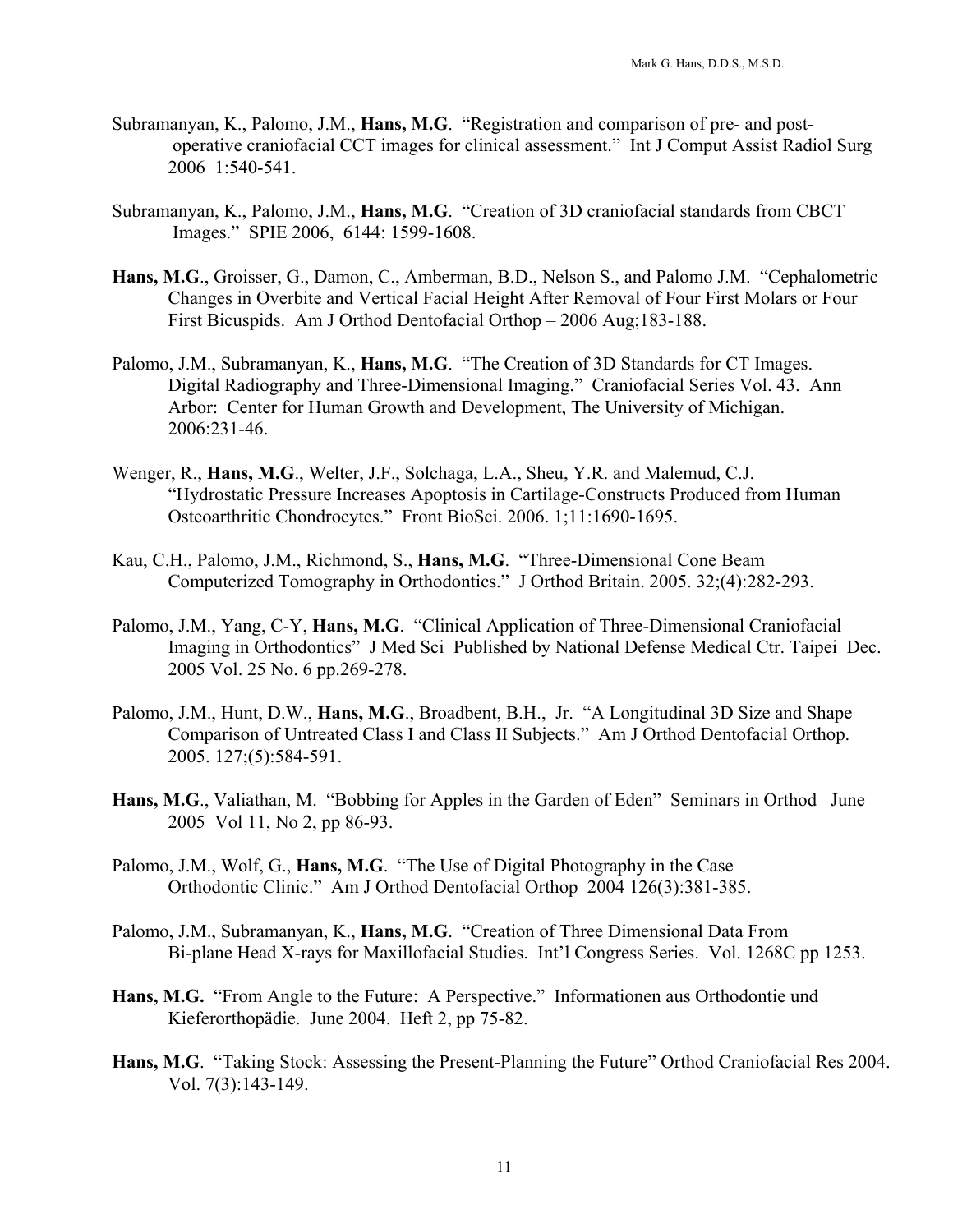- Subramanyan, K., Palomo, J.M., **Hans, M.G**. "Registration and comparison of pre- and postoperative craniofacial CCT images for clinical assessment." Int J Comput Assist Radiol Surg 2006 1:540-541.
- Subramanyan, K., Palomo, J.M., **Hans, M.G**. "Creation of 3D craniofacial standards from CBCT Images." SPIE 2006, 6144: 1599-1608.
- **Hans, M.G**., Groisser, G., Damon, C., Amberman, B.D., Nelson S., and Palomo J.M. "Cephalometric Changes in Overbite and Vertical Facial Height After Removal of Four First Molars or Four First Bicuspids. Am J Orthod Dentofacial Orthop – 2006 Aug;183-188.
- Palomo, J.M., Subramanyan, K., **Hans, M.G**. "The Creation of 3D Standards for CT Images. Digital Radiography and Three-Dimensional Imaging." Craniofacial Series Vol. 43. Ann Arbor: Center for Human Growth and Development, The University of Michigan. 2006:231-46.
- Wenger, R., **Hans, M.G**., Welter, J.F., Solchaga, L.A., Sheu, Y.R. and Malemud, C.J. "Hydrostatic Pressure Increases Apoptosis in Cartilage-Constructs Produced from Human Osteoarthritic Chondrocytes." Front BioSci. 2006. 1;11:1690-1695.
- Kau, C.H., Palomo, J.M., Richmond, S., **Hans, M.G**. "Three-Dimensional Cone Beam Computerized Tomography in Orthodontics." J Orthod Britain. 2005. 32;(4):282-293.
- Palomo, J.M., Yang, C-Y, **Hans, M.G**. "Clinical Application of Three-Dimensional Craniofacial Imaging in Orthodontics" J Med Sci Published by National Defense Medical Ctr. Taipei Dec. 2005 Vol. 25 No. 6 pp.269-278.
- Palomo, J.M., Hunt, D.W., **Hans, M.G**., Broadbent, B.H., Jr. "A Longitudinal 3D Size and Shape Comparison of Untreated Class I and Class II Subjects." Am J Orthod Dentofacial Orthop. 2005. 127;(5):584-591.
- **Hans, M.G**., Valiathan, M. "Bobbing for Apples in the Garden of Eden" Seminars in Orthod June 2005 Vol 11, No 2, pp 86-93.
- Palomo, J.M., Wolf, G., **Hans, M.G**. "The Use of Digital Photography in the Case Orthodontic Clinic." Am J Orthod Dentofacial Orthop 2004 126(3):381-385.
- Palomo, J.M., Subramanyan, K., **Hans, M.G**. "Creation of Three Dimensional Data From Bi-plane Head X-rays for Maxillofacial Studies. Int'l Congress Series. Vol. 1268C pp 1253.
- **Hans, M.G.** "From Angle to the Future: A Perspective." Informationen aus Orthodontie und Kieferorthopädie. June 2004. Heft 2, pp 75-82.
- **Hans, M.G**. "Taking Stock: Assessing the Present-Planning the Future" Orthod Craniofacial Res 2004. Vol. 7(3):143-149.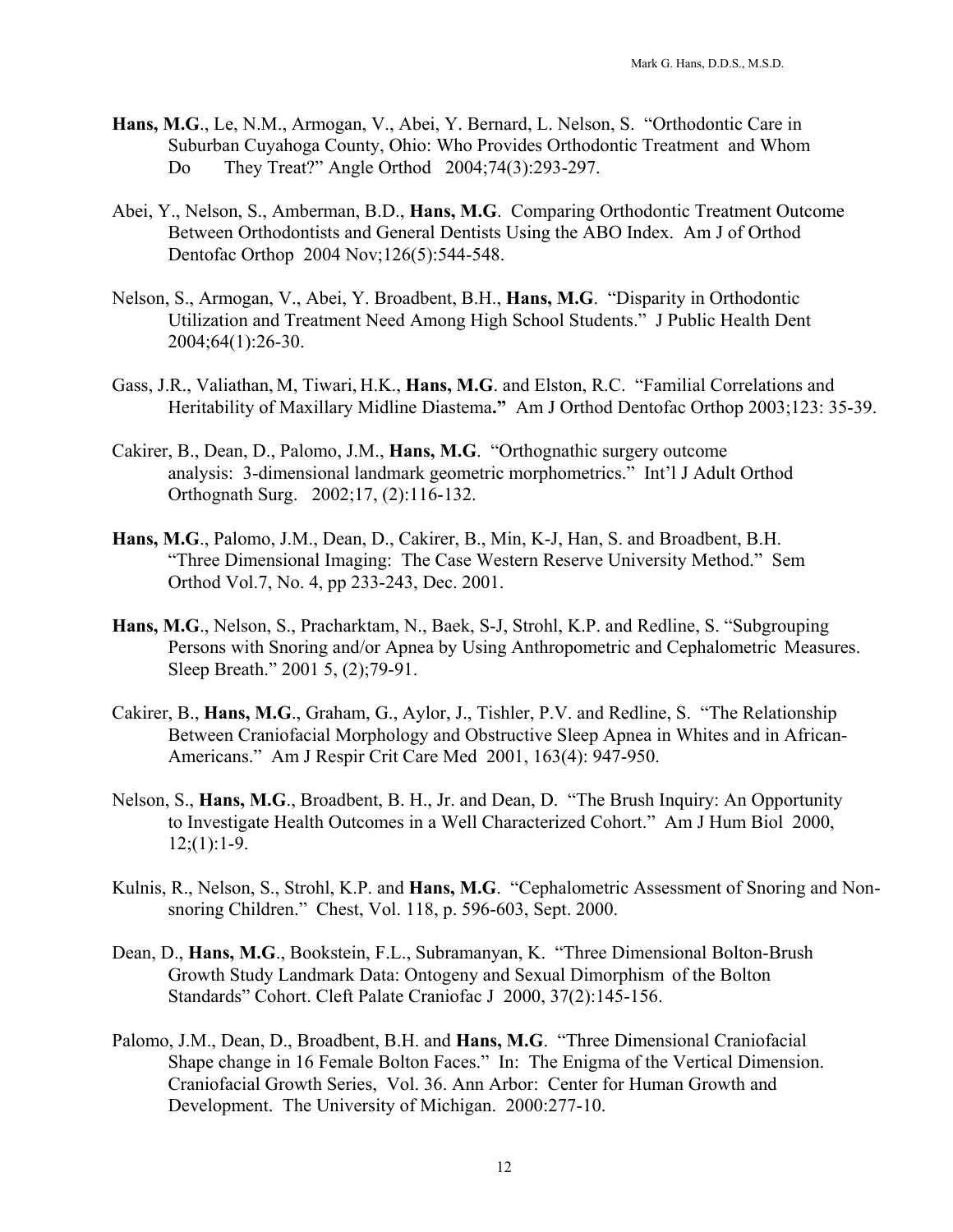- **Hans, M.G**., Le, N.M., Armogan, V., Abei, Y. Bernard, L. Nelson, S. "Orthodontic Care in Suburban Cuyahoga County, Ohio: Who Provides Orthodontic Treatment and Whom Do They Treat?" Angle Orthod 2004;74(3):293-297.
- Abei, Y., Nelson, S., Amberman, B.D., **Hans, M.G**. Comparing Orthodontic Treatment Outcome Between Orthodontists and General Dentists Using the ABO Index. Am J of Orthod Dentofac Orthop 2004 Nov;126(5):544-548.
- Nelson, S., Armogan, V., Abei, Y. Broadbent, B.H., **Hans, M.G**. "Disparity in Orthodontic Utilization and Treatment Need Among High School Students." J Public Health Dent 2004;64(1):26-30.
- Gass, J.R., Valiathan, M, Tiwari, H.K., **Hans, M.G**. and Elston, R.C. "Familial Correlations and Heritability of Maxillary Midline Diastema**."** Am J Orthod Dentofac Orthop 2003;123: 35-39.
- Cakirer, B., Dean, D., Palomo, J.M., **Hans, M.G**. "Orthognathic surgery outcome analysis: 3-dimensional landmark geometric morphometrics." Int'l J Adult Orthod Orthognath Surg. 2002;17, (2):116-132.
- **Hans, M.G**., Palomo, J.M., Dean, D., Cakirer, B., Min, K-J, Han, S. and Broadbent, B.H. "Three Dimensional Imaging: The Case Western Reserve University Method." Sem Orthod Vol.7, No. 4, pp 233-243, Dec. 2001.
- **Hans, M.G**., Nelson, S., Pracharktam, N., Baek, S-J, Strohl, K.P. and Redline, S. "Subgrouping Persons with Snoring and/or Apnea by Using Anthropometric and Cephalometric Measures. Sleep Breath." 2001 5, (2);79-91.
- Cakirer, B., **Hans, M.G**., Graham, G., Aylor, J., Tishler, P.V. and Redline, S. "The Relationship Between Craniofacial Morphology and Obstructive Sleep Apnea in Whites and in African-Americans." Am J Respir Crit Care Med 2001, 163(4): 947-950.
- Nelson, S., **Hans, M.G**., Broadbent, B. H., Jr. and Dean, D. "The Brush Inquiry: An Opportunity to Investigate Health Outcomes in a Well Characterized Cohort." Am J Hum Biol 2000,  $12(1):1-9.$
- Kulnis, R., Nelson, S., Strohl, K.P. and **Hans, M.G**. "Cephalometric Assessment of Snoring and Nonsnoring Children." Chest, Vol. 118, p. 596-603, Sept. 2000.
- Dean, D., **Hans, M.G**., Bookstein, F.L., Subramanyan, K. "Three Dimensional Bolton-Brush Growth Study Landmark Data: Ontogeny and Sexual Dimorphism of the Bolton Standards" Cohort. Cleft Palate Craniofac J 2000, 37(2):145-156.
- Palomo, J.M., Dean, D., Broadbent, B.H. and **Hans, M.G**. "Three Dimensional Craniofacial Shape change in 16 Female Bolton Faces." In: The Enigma of the Vertical Dimension. Craniofacial Growth Series, Vol. 36. Ann Arbor: Center for Human Growth and Development. The University of Michigan. 2000:277-10.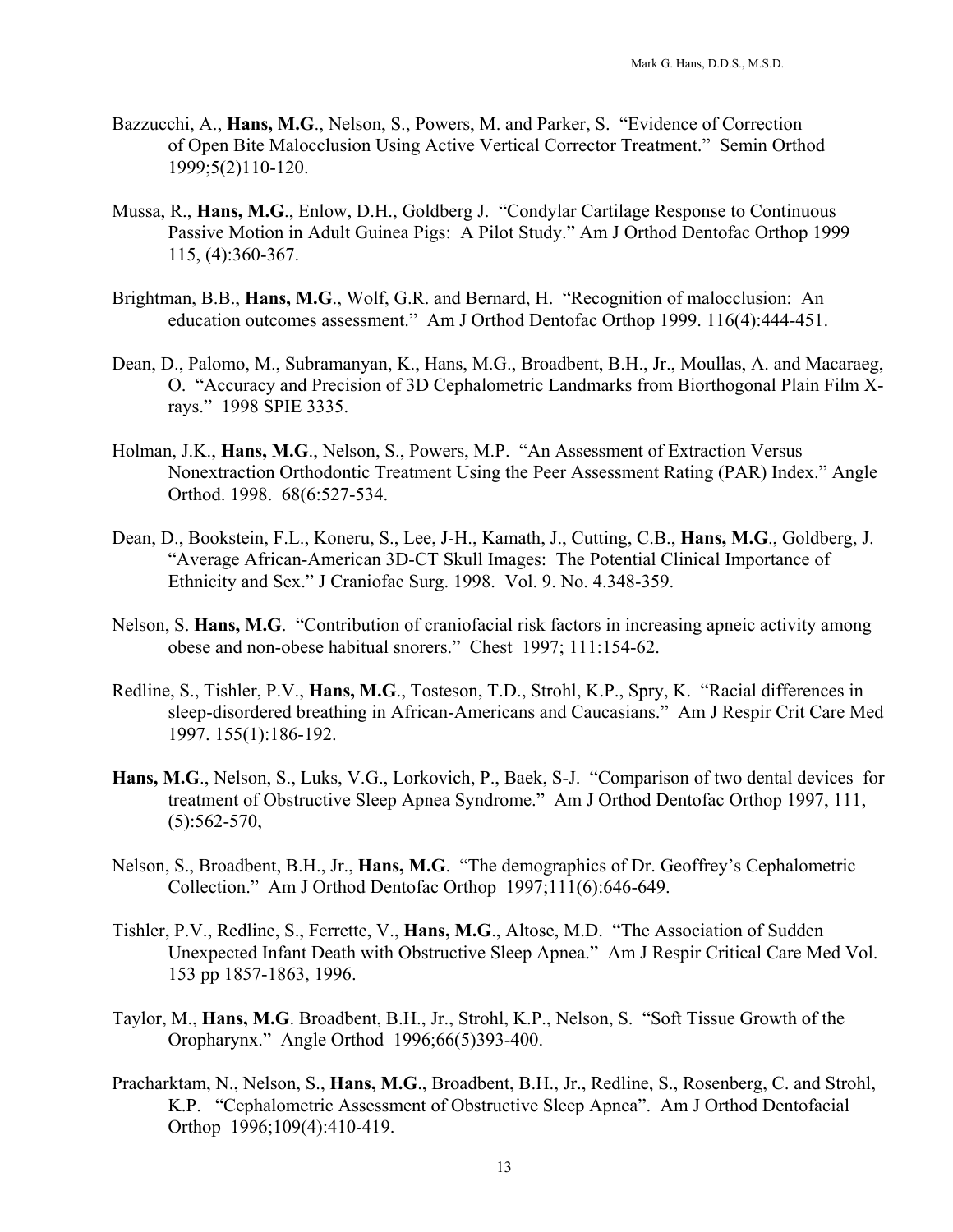- Bazzucchi, A., **Hans, M.G**., Nelson, S., Powers, M. and Parker, S. "Evidence of Correction of Open Bite Malocclusion Using Active Vertical Corrector Treatment." Semin Orthod 1999;5(2)110-120.
- Mussa, R., **Hans, M.G**., Enlow, D.H., Goldberg J. "Condylar Cartilage Response to Continuous Passive Motion in Adult Guinea Pigs: A Pilot Study." Am J Orthod Dentofac Orthop 1999 115, (4):360-367.
- Brightman, B.B., **Hans, M.G**., Wolf, G.R. and Bernard, H. "Recognition of malocclusion: An education outcomes assessment." Am J Orthod Dentofac Orthop 1999. 116(4):444-451.
- Dean, D., Palomo, M., Subramanyan, K., Hans, M.G., Broadbent, B.H., Jr., Moullas, A. and Macaraeg, O. "Accuracy and Precision of 3D Cephalometric Landmarks from Biorthogonal Plain Film Xrays." 1998 SPIE 3335.
- Holman, J.K., **Hans, M.G**., Nelson, S., Powers, M.P. "An Assessment of Extraction Versus Nonextraction Orthodontic Treatment Using the Peer Assessment Rating (PAR) Index." Angle Orthod. 1998. 68(6:527-534.
- Dean, D., Bookstein, F.L., Koneru, S., Lee, J-H., Kamath, J., Cutting, C.B., **Hans, M.G**., Goldberg, J. "Average African-American 3D-CT Skull Images: The Potential Clinical Importance of Ethnicity and Sex." J Craniofac Surg. 1998. Vol. 9. No. 4.348-359.
- Nelson, S. **Hans, M.G**. "Contribution of craniofacial risk factors in increasing apneic activity among obese and non-obese habitual snorers." Chest 1997; 111:154-62.
- Redline, S., Tishler, P.V., **Hans, M.G**., Tosteson, T.D., Strohl, K.P., Spry, K. "Racial differences in sleep-disordered breathing in African-Americans and Caucasians." Am J Respir Crit Care Med 1997. 155(1):186-192.
- **Hans, M.G**., Nelson, S., Luks, V.G., Lorkovich, P., Baek, S-J. "Comparison of two dental devices for treatment of Obstructive Sleep Apnea Syndrome." Am J Orthod Dentofac Orthop 1997, 111,  $(5):562-570,$
- Nelson, S., Broadbent, B.H., Jr., **Hans, M.G**. "The demographics of Dr. Geoffrey's Cephalometric Collection." Am J Orthod Dentofac Orthop 1997;111(6):646-649.
- Tishler, P.V., Redline, S., Ferrette, V., **Hans, M.G**., Altose, M.D. "The Association of Sudden Unexpected Infant Death with Obstructive Sleep Apnea." Am J Respir Critical Care Med Vol. 153 pp 1857-1863, 1996.
- Taylor, M., **Hans, M.G**. Broadbent, B.H., Jr., Strohl, K.P., Nelson, S. "Soft Tissue Growth of the Oropharynx." Angle Orthod 1996;66(5)393-400.
- Pracharktam, N., Nelson, S., **Hans, M.G**., Broadbent, B.H., Jr., Redline, S., Rosenberg, C. and Strohl, K.P. "Cephalometric Assessment of Obstructive Sleep Apnea". Am J Orthod Dentofacial Orthop 1996;109(4):410-419.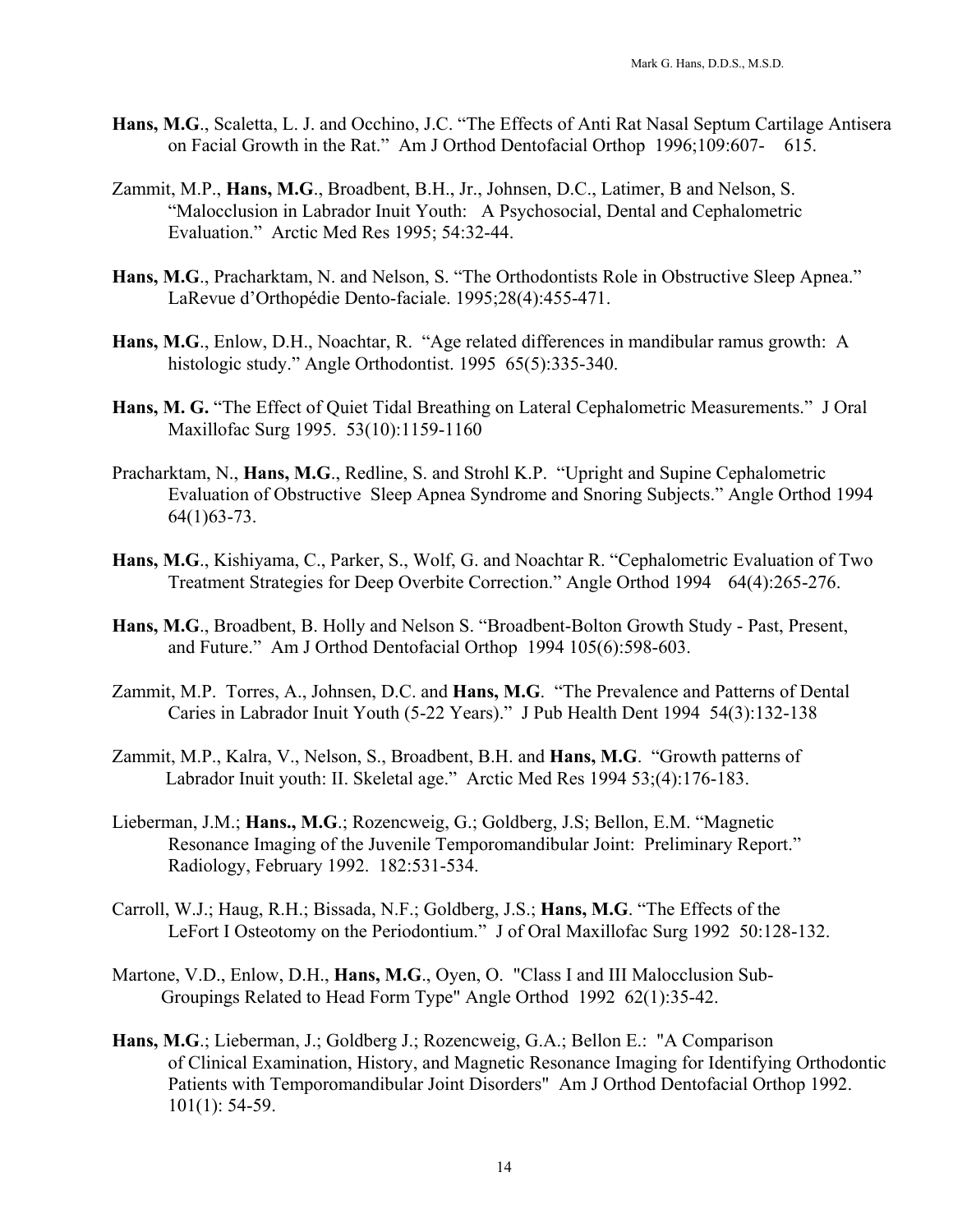- **Hans, M.G**., Scaletta, L. J. and Occhino, J.C. "The Effects of Anti Rat Nasal Septum Cartilage Antisera on Facial Growth in the Rat." Am J Orthod Dentofacial Orthop 1996;109:607- 615.
- Zammit, M.P., **Hans, M.G**., Broadbent, B.H., Jr., Johnsen, D.C., Latimer, B and Nelson, S. "Malocclusion in Labrador Inuit Youth: A Psychosocial, Dental and Cephalometric Evaluation." Arctic Med Res 1995; 54:32-44.
- **Hans, M.G**., Pracharktam, N. and Nelson, S. "The Orthodontists Role in Obstructive Sleep Apnea." LaRevue d'Orthopédie Dento-faciale. 1995;28(4):455-471.
- **Hans, M.G**., Enlow, D.H., Noachtar, R. "Age related differences in mandibular ramus growth: A histologic study." Angle Orthodontist. 1995 65(5):335-340.
- **Hans, M. G.** "The Effect of Quiet Tidal Breathing on Lateral Cephalometric Measurements." J Oral Maxillofac Surg 1995. 53(10):1159-1160
- Pracharktam, N., **Hans, M.G**., Redline, S. and Strohl K.P. "Upright and Supine Cephalometric Evaluation of Obstructive Sleep Apnea Syndrome and Snoring Subjects." Angle Orthod 1994 64(1)63-73.
- **Hans, M.G**., Kishiyama, C., Parker, S., Wolf, G. and Noachtar R. "Cephalometric Evaluation of Two Treatment Strategies for Deep Overbite Correction." Angle Orthod 1994 64(4):265-276.
- **Hans, M.G**., Broadbent, B. Holly and Nelson S. "Broadbent-Bolton Growth Study Past, Present, and Future." Am J Orthod Dentofacial Orthop 1994 105(6):598-603.
- Zammit, M.P. Torres, A., Johnsen, D.C. and **Hans, M.G**. "The Prevalence and Patterns of Dental Caries in Labrador Inuit Youth (5-22 Years)." J Pub Health Dent 1994 54(3):132-138
- Zammit, M.P., Kalra, V., Nelson, S., Broadbent, B.H. and **Hans, M.G**. "Growth patterns of Labrador Inuit youth: II. Skeletal age." Arctic Med Res 1994 53;(4):176-183.
- Lieberman, J.M.; **Hans., M.G**.; Rozencweig, G.; Goldberg, J.S; Bellon, E.M. "Magnetic Resonance Imaging of the Juvenile Temporomandibular Joint: Preliminary Report." Radiology, February 1992. 182:531-534.
- Carroll, W.J.; Haug, R.H.; Bissada, N.F.; Goldberg, J.S.; **Hans, M.G**. "The Effects of the LeFort I Osteotomy on the Periodontium." J of Oral Maxillofac Surg 1992 50:128-132.
- Martone, V.D., Enlow, D.H., **Hans, M.G**., Oyen, O. "Class I and III Malocclusion Sub-Groupings Related to Head Form Type" Angle Orthod 1992 62(1):35-42.
- **Hans, M.G**.; Lieberman, J.; Goldberg J.; Rozencweig, G.A.; Bellon E.: "A Comparison of Clinical Examination, History, and Magnetic Resonance Imaging for Identifying Orthodontic Patients with Temporomandibular Joint Disorders" Am J Orthod Dentofacial Orthop 1992. 101(1): 54-59.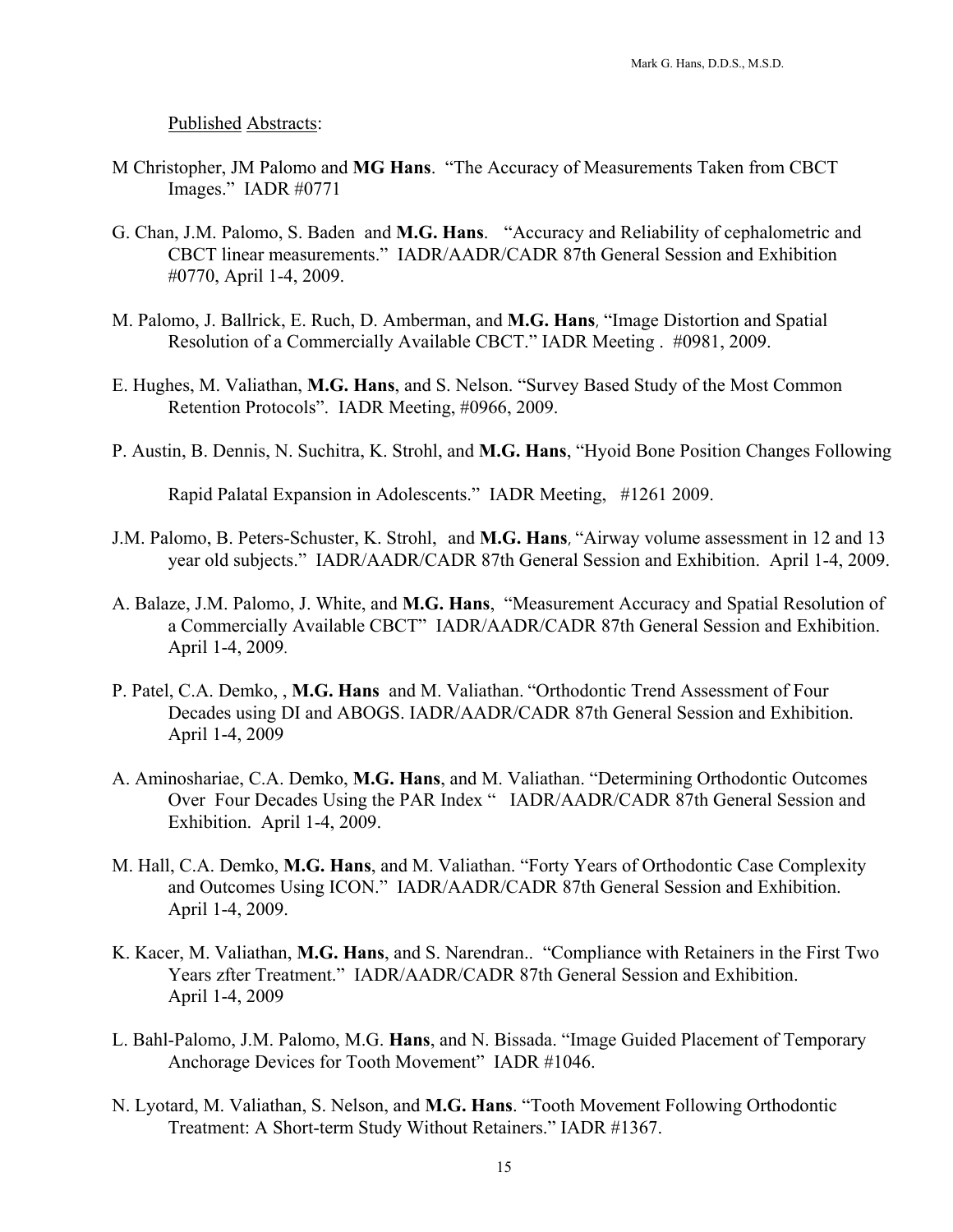Published Abstracts:

- M Christopher, JM Palomo and **MG Hans**. "The Accuracy of Measurements Taken from CBCT Images." IADR #0771
- G. Chan, J.M. Palomo, S. Baden and **M.G. Hans**. "Accuracy and Reliability of cephalometric and CBCT linear measurements." IADR/AADR/CADR 87th General Session and Exhibition #0770, April 1-4, 2009.
- M. Palomo, J. Ballrick, E. Ruch, D. Amberman, and **M.G. Hans**, "Image Distortion and Spatial Resolution of a Commercially Available CBCT." IADR Meeting . #0981, 2009.
- E. Hughes, M. Valiathan, **M.G. Hans**, and S. Nelson. "Survey Based Study of the Most Common Retention Protocols". IADR Meeting, #0966, 2009.
- P. Austin, B. Dennis, N. Suchitra, K. Strohl, and **M.G. Hans**, "Hyoid Bone Position Changes Following

Rapid Palatal Expansion in Adolescents." IADR Meeting, #1261 2009.

- J.M. Palomo, B. Peters-Schuster, K. Strohl, and **M.G. [Hans](http://iadr.confex.com/iadr/2009miami/webprogram/Paper115094.html#top)**, "Airway volume assessment in 12 and 13 year old subjects." IADR/AADR/CADR 87th General Session and Exhibition. April 1-4, 2009.
- A. Balaze, J.M. Palomo, J. White, and **M.G. [Hans](http://iadr.confex.com/iadr/2009miami/webprogram/Paper121142.html#top)**, "Measurement Accuracy and Spatial Resolution of a Commercially Available CBCT" IADR/AADR/CADR 87th General Session and Exhibition. April 1-4, 2009.
- P. Patel, C.A. Demko, , **M.G. [Hans](http://iadr.confex.com/iadr/2009miami/webprogram/Paper118868.html#top)** and M. Valiathan. "Orthodontic Trend Assessment of Four Decades using DI and ABOGS. IADR/AADR/CADR 87th General Session and Exhibition. April 1-4, 2009
- A. Aminoshariae, C.A. Demko, **M.G. [Hans](http://iadr.confex.com/iadr/2009miami/webprogram/Paper119672.html#top)**, and M. Valiathan. "Determining Orthodontic Outcomes Over Four Decades Using the PAR Index " IADR/AADR/CADR 87th General Session and Exhibition. April 1-4, 2009.
- M. Hall, C.A. Demko, **M.G. [Hans](http://iadr.confex.com/iadr/2009miami/webprogram/Paper117850.html#top)**, and M. Valiathan. "Forty Years of Orthodontic Case Complexity and Outcomes Using ICON." IADR/AADR/CADR 87th General Session and Exhibition. April 1-4, 2009.
- K. Kacer, M. Valiathan, **M.G. [Hans](http://iadr.confex.com/iadr/2009miami/webprogram/Paper116303.html#top)**, and S. Narendran.. "Compliance with Retainers in the First Two Years zfter Treatment." IADR/AADR/CADR 87th General Session and Exhibition. April 1-4, 2009
- L. Bahl-Palomo, J.M. Palomo, M.G. **Hans**, and N. Bissada. "Image Guided Placement of Temporary Anchorage Devices for Tooth Movement" IADR #1046.
- N. Lyotard, M. Valiathan, S. Nelson, and **M.G. Hans**. "Tooth Movement Following Orthodontic Treatment: A Short-term Study Without Retainers." IADR #1367.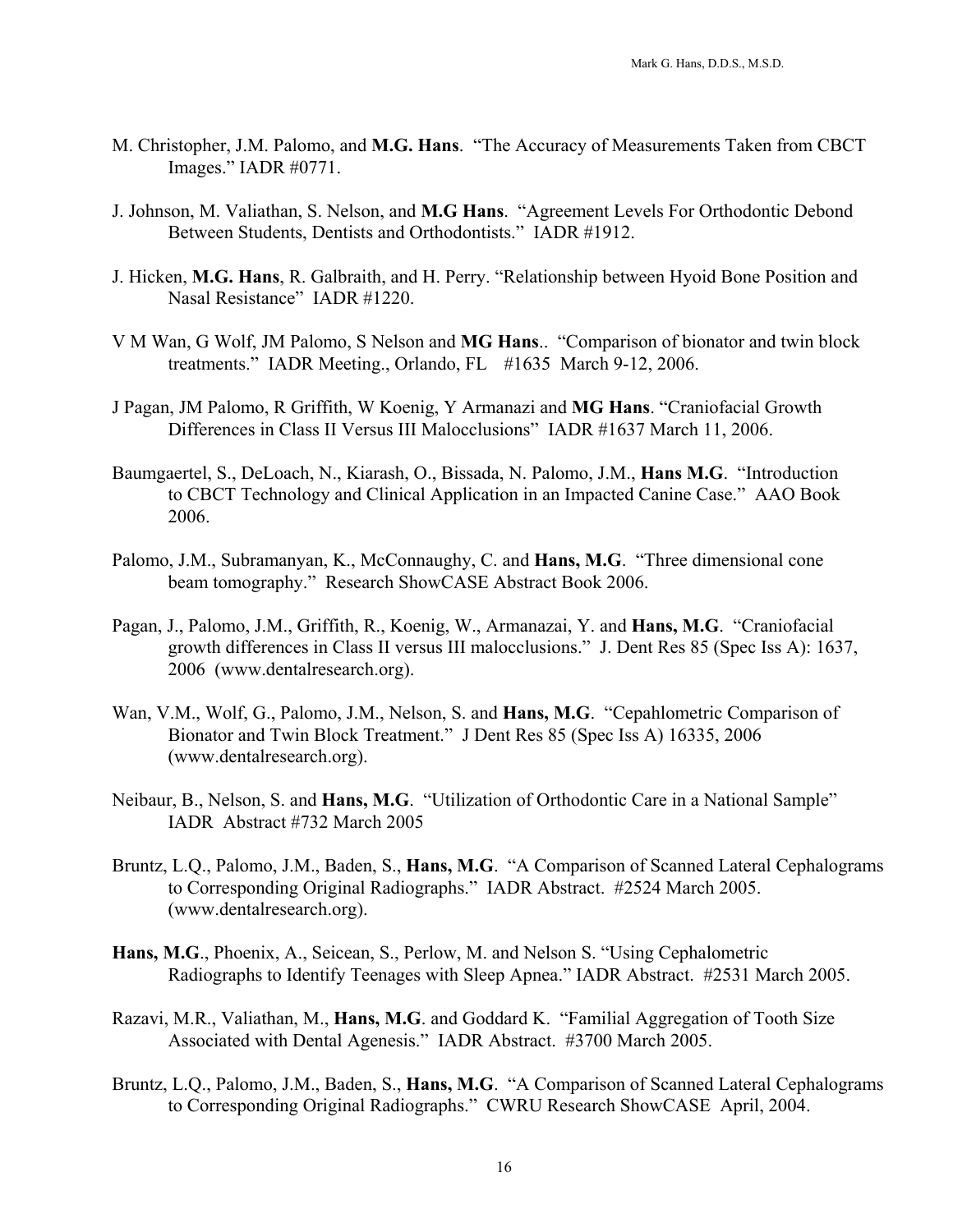- M. Christopher, J.M. Palomo, and **M.G. Hans**. "The Accuracy of Measurements Taken from CBCT Images." IADR #0771.
- J. Johnson, M. Valiathan, S. Nelson, and **M.G Hans**. "Agreement Levels For Orthodontic Debond Between Students, Dentists and Orthodontists." IADR #1912.
- J. Hicken, **M.G. Hans**, R. Galbraith, and H. Perry. "[Relationship between Hyoid Bone Position and](javascript:var%20myWindow=window.open()   [Nasal Resistance"](javascript:var%20myWindow=window.open() IADR #1220.
- V M Wan, G Wolf, JM Palomo, S Nelson and **MG Hans**.. "Comparison of bionator and twin block treatments." IADR Meeting., Orlando, FL #1635 March 9-12, 2006.
- J Pagan, JM Palomo, R Griffith, W Koenig, Y Armanazi and **MG Hans**. "Craniofacial Growth Differences in Class II Versus III Malocclusions" IADR #1637 March 11, 2006.
- Baumgaertel, S., DeLoach, N., Kiarash, O., Bissada, N. Palomo, J.M., **Hans M.G**. "Introduction to CBCT Technology and Clinical Application in an Impacted Canine Case." AAO Book 2006.
- Palomo, J.M., Subramanyan, K., McConnaughy, C. and **Hans, M.G**. "Three dimensional cone beam tomography." Research ShowCASE Abstract Book 2006.
- Pagan, J., Palomo, J.M., Griffith, R., Koenig, W., Armanazai, Y. and **Hans, M.G**. "Craniofacial growth differences in Class II versus III malocclusions." J. Dent Res 85 (Spec Iss A): 1637, 2006 (www.dentalresearch.org).
- Wan, V.M., Wolf, G., Palomo, J.M., Nelson, S. and **Hans, M.G**. "Cepahlometric Comparison of Bionator and Twin Block Treatment." J Dent Res 85 (Spec Iss A) 16335, 2006 (www.dentalresearch.org).
- Neibaur, B., Nelson, S. and **Hans, M.G**. "Utilization of Orthodontic Care in a National Sample" IADR Abstract #732 March 2005
- Bruntz, L.Q., Palomo, J.M., Baden, S., **Hans, M.G**. "A Comparison of Scanned Lateral Cephalograms to Corresponding Original Radiographs." IADR Abstract. #2524 March 2005. (www.dentalresearch.org).
- **Hans, M.G**., Phoenix, A., Seicean, S., Perlow, M. and Nelson S. "Using Cephalometric Radiographs to Identify Teenages with Sleep Apnea." IADR Abstract. #2531 March 2005.
- Razavi, M.R., Valiathan, M., **Hans, M.G**. and Goddard K. "Familial Aggregation of Tooth Size Associated with Dental Agenesis." IADR Abstract. #3700 March 2005.
- Bruntz, L.Q., Palomo, J.M., Baden, S., **Hans, M.G**. "A Comparison of Scanned Lateral Cephalograms to Corresponding Original Radiographs." CWRU Research ShowCASE April, 2004.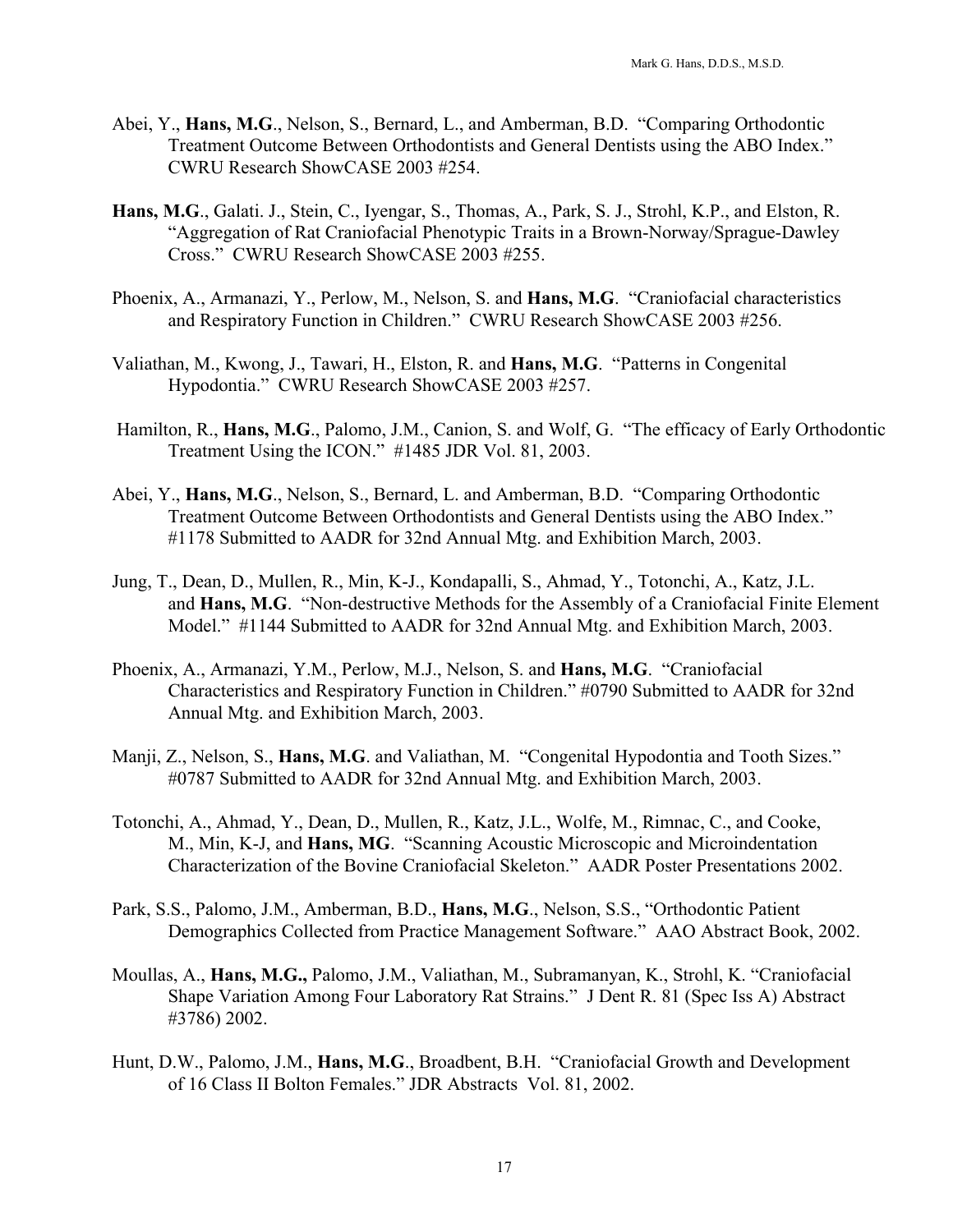- Abei, Y., **Hans, M.G**., Nelson, S., Bernard, L., and Amberman, B.D. "Comparing Orthodontic Treatment Outcome Between Orthodontists and General Dentists using the ABO Index." CWRU Research ShowCASE 2003 #254.
- **Hans, M.G**., Galati. J., Stein, C., Iyengar, S., Thomas, A., Park, S. J., Strohl, K.P., and Elston, R. "Aggregation of Rat Craniofacial Phenotypic Traits in a Brown-Norway/Sprague-Dawley Cross." CWRU Research ShowCASE 2003 #255.
- Phoenix, A., Armanazi, Y., Perlow, M., Nelson, S. and **Hans, M.G**. "Craniofacial characteristics and Respiratory Function in Children." CWRU Research ShowCASE 2003 #256.
- Valiathan, M., Kwong, J., Tawari, H., Elston, R. and **Hans, M.G**. "Patterns in Congenital Hypodontia." CWRU Research ShowCASE 2003 #257.
- Hamilton, R., **Hans, M.G**., Palomo, J.M., Canion, S. and Wolf, G. "The efficacy of Early Orthodontic Treatment Using the ICON." #1485 JDR Vol. 81, 2003.
- Abei, Y., **Hans, M.G**., Nelson, S., Bernard, L. and Amberman, B.D. "Comparing Orthodontic Treatment Outcome Between Orthodontists and General Dentists using the ABO Index." #1178 Submitted to AADR for 32nd Annual Mtg. and Exhibition March, 2003.
- Jung, T., Dean, D., Mullen, R., Min, K-J., Kondapalli, S., Ahmad, Y., Totonchi, A., Katz, J.L. and **Hans, M.G**. "Non-destructive Methods for the Assembly of a Craniofacial Finite Element Model." #1144 Submitted to AADR for 32nd Annual Mtg. and Exhibition March, 2003.
- Phoenix, A., Armanazi, Y.M., Perlow, M.J., Nelson, S. and **Hans, M.G**. "Craniofacial Characteristics and Respiratory Function in Children." #0790 Submitted to AADR for 32nd Annual Mtg. and Exhibition March, 2003.
- Manji, Z., Nelson, S., **Hans, M.G**. and Valiathan, M. "Congenital Hypodontia and Tooth Sizes." #0787 Submitted to AADR for 32nd Annual Mtg. and Exhibition March, 2003.
- Totonchi, A., Ahmad, Y., Dean, D., Mullen, R., Katz, J.L., Wolfe, M., Rimnac, C., and Cooke, M., Min, K-J, and **Hans, MG**. "Scanning Acoustic Microscopic and Microindentation Characterization of the Bovine Craniofacial Skeleton." AADR Poster Presentations 2002.
- Park, S.S., Palomo, J.M., Amberman, B.D., **Hans, M.G**., Nelson, S.S., "Orthodontic Patient Demographics Collected from Practice Management Software." AAO Abstract Book, 2002.
- Moullas, A., **Hans, M.G.,** Palomo, J.M., Valiathan, M., Subramanyan, K., Strohl, K. "Craniofacial Shape Variation Among Four Laboratory Rat Strains." J Dent R. 81 (Spec Iss A) Abstract #3786) 2002.
- Hunt, D.W., Palomo, J.M., **Hans, M.G**., Broadbent, B.H. "Craniofacial Growth and Development of 16 Class II Bolton Females." JDR Abstracts Vol. 81, 2002.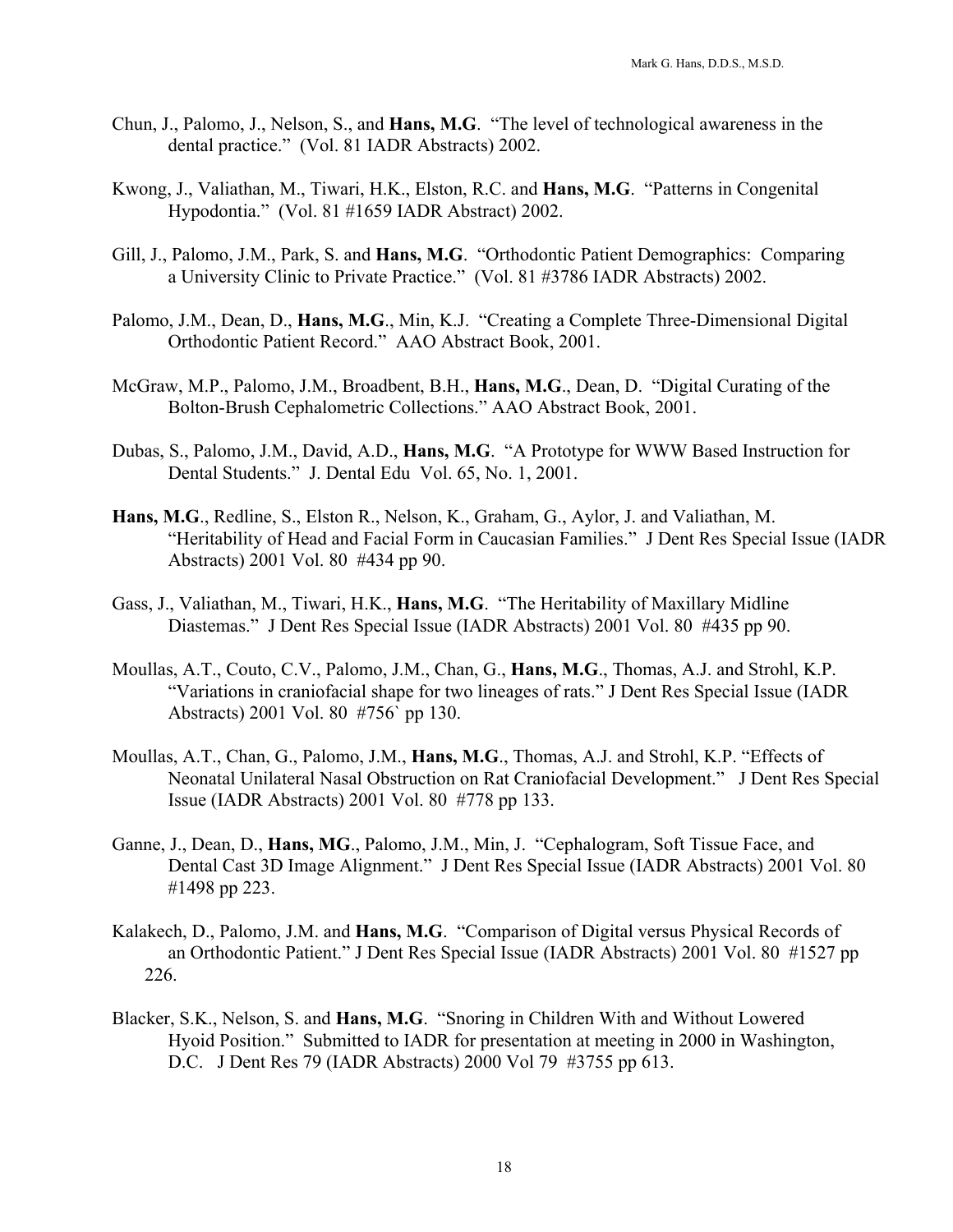- Chun, J., Palomo, J., Nelson, S., and **Hans, M.G**. "The level of technological awareness in the dental practice." (Vol. 81 IADR Abstracts) 2002.
- Kwong, J., Valiathan, M., Tiwari, H.K., Elston, R.C. and **Hans, M.G**. "Patterns in Congenital Hypodontia." (Vol. 81 #1659 IADR Abstract) 2002.
- Gill, J., Palomo, J.M., Park, S. and **Hans, M.G**. "Orthodontic Patient Demographics: Comparing a University Clinic to Private Practice." (Vol. 81 #3786 IADR Abstracts) 2002.
- Palomo, J.M., Dean, D., **Hans, M.G**., Min, K.J. "Creating a Complete Three-Dimensional Digital Orthodontic Patient Record." AAO Abstract Book, 2001.
- McGraw, M.P., Palomo, J.M., Broadbent, B.H., **Hans, M.G**., Dean, D. "Digital Curating of the Bolton-Brush Cephalometric Collections." AAO Abstract Book, 2001.
- Dubas, S., Palomo, J.M., David, A.D., **Hans, M.G**. "A Prototype for WWW Based Instruction for Dental Students." J. Dental Edu Vol. 65, No. 1, 2001.
- **Hans, M.G**., Redline, S., Elston R., Nelson, K., Graham, G., Aylor, J. and Valiathan, M. "Heritability of Head and Facial Form in Caucasian Families." J Dent Res Special Issue (IADR Abstracts) 2001 Vol. 80 #434 pp 90.
- Gass, J., Valiathan, M., Tiwari, H.K., **Hans, M.G**. "The Heritability of Maxillary Midline Diastemas." J Dent Res Special Issue (IADR Abstracts) 2001 Vol. 80 #435 pp 90.
- Moullas, A.T., Couto, C.V., Palomo, J.M., Chan, G., **Hans, M.G**., Thomas, A.J. and Strohl, K.P. "Variations in craniofacial shape for two lineages of rats." J Dent Res Special Issue (IADR Abstracts) 2001 Vol. 80 #756` pp 130.
- Moullas, A.T., Chan, G., Palomo, J.M., **Hans, M.G**., Thomas, A.J. and Strohl, K.P. "Effects of Neonatal Unilateral Nasal Obstruction on Rat Craniofacial Development." J Dent Res Special Issue (IADR Abstracts) 2001 Vol. 80 #778 pp 133.
- Ganne, J., Dean, D., **Hans, MG**., Palomo, J.M., Min, J. "Cephalogram, Soft Tissue Face, and Dental Cast 3D Image Alignment." J Dent Res Special Issue (IADR Abstracts) 2001 Vol. 80 #1498 pp 223.
- Kalakech, D., Palomo, J.M. and **Hans, M.G**. "Comparison of Digital versus Physical Records of an Orthodontic Patient." J Dent Res Special Issue (IADR Abstracts) 2001 Vol. 80 #1527 pp 226.
- Blacker, S.K., Nelson, S. and **Hans, M.G**. "Snoring in Children With and Without Lowered Hyoid Position." Submitted to IADR for presentation at meeting in 2000 in Washington, D.C. J Dent Res 79 (IADR Abstracts) 2000 Vol 79 #3755 pp 613.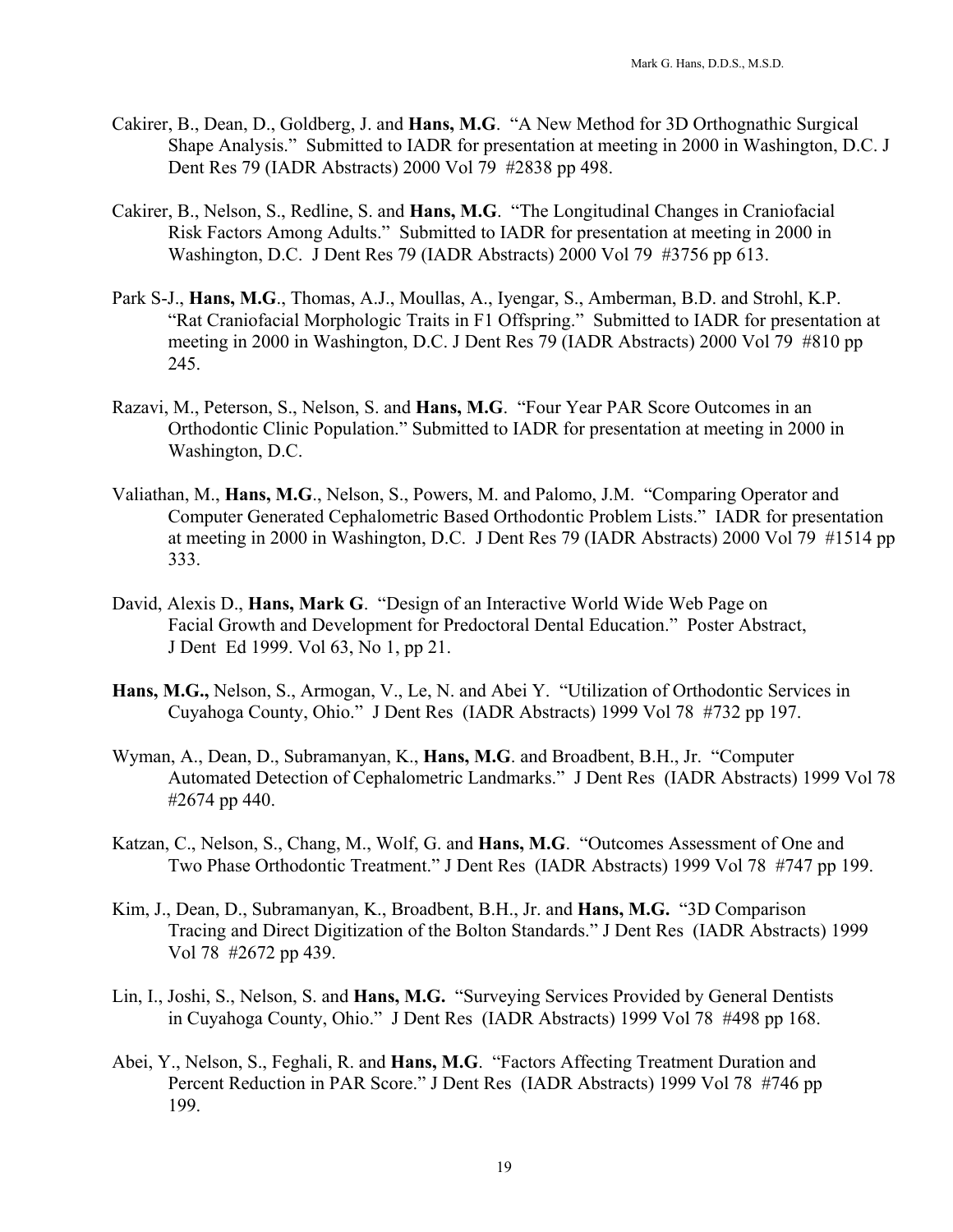- Cakirer, B., Dean, D., Goldberg, J. and **Hans, M.G**. "A New Method for 3D Orthognathic Surgical Shape Analysis." Submitted to IADR for presentation at meeting in 2000 in Washington, D.C. J Dent Res 79 (IADR Abstracts) 2000 Vol 79 #2838 pp 498.
- Cakirer, B., Nelson, S., Redline, S. and **Hans, M.G**. "The Longitudinal Changes in Craniofacial Risk Factors Among Adults." Submitted to IADR for presentation at meeting in 2000 in Washington, D.C. J Dent Res 79 (IADR Abstracts) 2000 Vol 79 #3756 pp 613.
- Park S-J., **Hans, M.G**., Thomas, A.J., Moullas, A., Iyengar, S., Amberman, B.D. and Strohl, K.P. "Rat Craniofacial Morphologic Traits in F1 Offspring." Submitted to IADR for presentation at meeting in 2000 in Washington, D.C. J Dent Res 79 (IADR Abstracts) 2000 Vol 79 #810 pp 245.
- Razavi, M., Peterson, S., Nelson, S. and **Hans, M.G**. "Four Year PAR Score Outcomes in an Orthodontic Clinic Population." Submitted to IADR for presentation at meeting in 2000 in Washington, D.C.
- Valiathan, M., **Hans, M.G**., Nelson, S., Powers, M. and Palomo, J.M. "Comparing Operator and Computer Generated Cephalometric Based Orthodontic Problem Lists." IADR for presentation at meeting in 2000 in Washington, D.C. J Dent Res 79 (IADR Abstracts) 2000 Vol 79 #1514 pp 333.
- David, Alexis D., **Hans, Mark G**. "Design of an Interactive World Wide Web Page on Facial Growth and Development for Predoctoral Dental Education." Poster Abstract, J Dent Ed 1999. Vol 63, No 1, pp 21.
- **Hans, M.G.,** Nelson, S., Armogan, V., Le, N. and Abei Y. "Utilization of Orthodontic Services in Cuyahoga County, Ohio." J Dent Res (IADR Abstracts) 1999 Vol 78 #732 pp 197.
- Wyman, A., Dean, D., Subramanyan, K., **Hans, M.G**. and Broadbent, B.H., Jr. "Computer Automated Detection of Cephalometric Landmarks." J Dent Res (IADR Abstracts) 1999 Vol 78 #2674 pp 440.
- Katzan, C., Nelson, S., Chang, M., Wolf, G. and **Hans, M.G**. "Outcomes Assessment of One and Two Phase Orthodontic Treatment." J Dent Res (IADR Abstracts) 1999 Vol 78 #747 pp 199.
- Kim, J., Dean, D., Subramanyan, K., Broadbent, B.H., Jr. and **Hans, M.G.** "3D Comparison Tracing and Direct Digitization of the Bolton Standards." J Dent Res (IADR Abstracts) 1999 Vol 78 #2672 pp 439.
- Lin, I., Joshi, S., Nelson, S. and **Hans, M.G.** "Surveying Services Provided by General Dentists in Cuyahoga County, Ohio." J Dent Res (IADR Abstracts) 1999 Vol 78 #498 pp 168.
- Abei, Y., Nelson, S., Feghali, R. and **Hans, M.G**. "Factors Affecting Treatment Duration and Percent Reduction in PAR Score." J Dent Res (IADR Abstracts) 1999 Vol 78 #746 pp 199.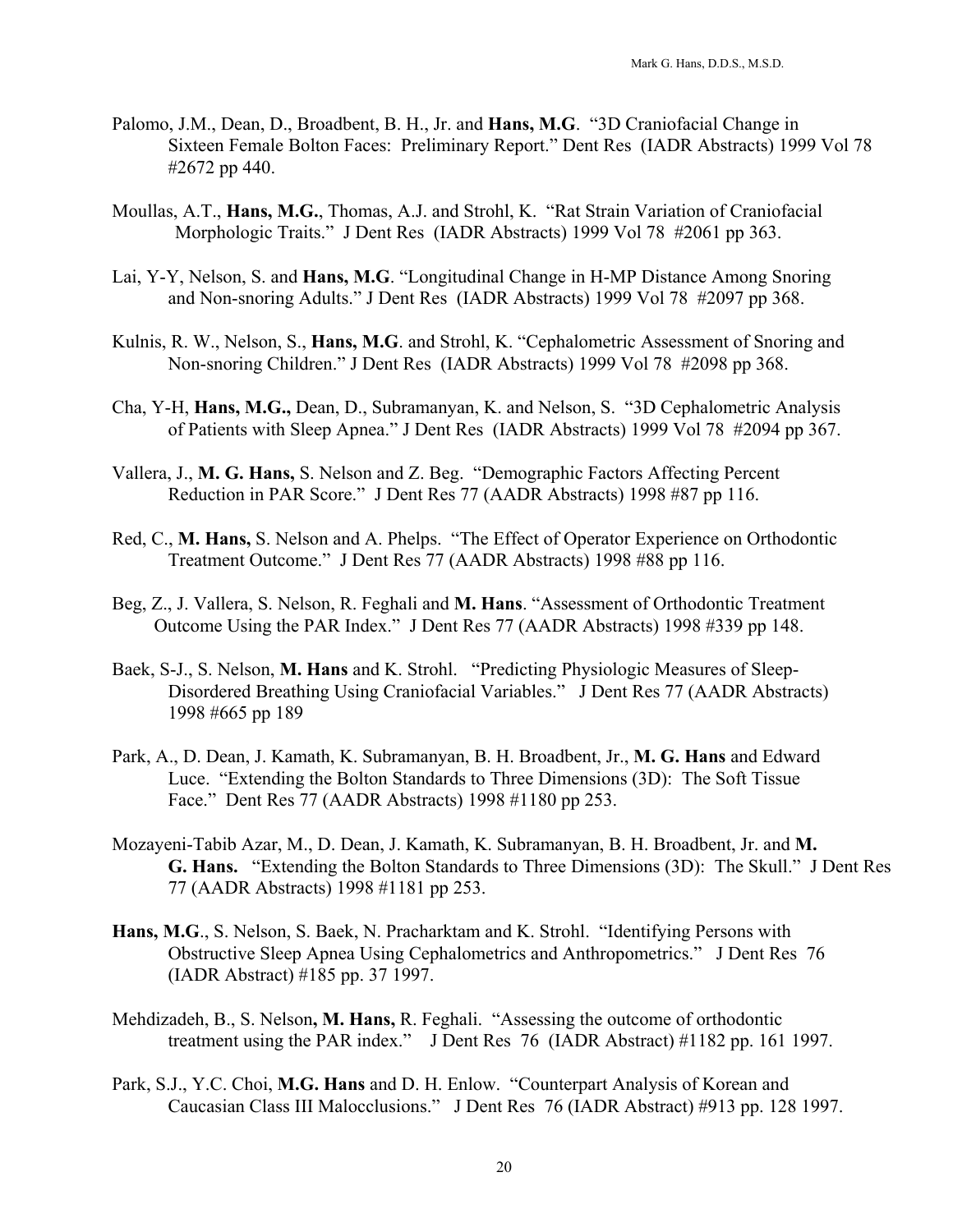- Palomo, J.M., Dean, D., Broadbent, B. H., Jr. and **Hans, M.G**. "3D Craniofacial Change in Sixteen Female Bolton Faces: Preliminary Report." Dent Res (IADR Abstracts) 1999 Vol 78 #2672 pp 440.
- Moullas, A.T., **Hans, M.G.**, Thomas, A.J. and Strohl, K. "Rat Strain Variation of Craniofacial Morphologic Traits." J Dent Res (IADR Abstracts) 1999 Vol 78 #2061 pp 363.
- Lai, Y-Y, Nelson, S. and **Hans, M.G**. "Longitudinal Change in H-MP Distance Among Snoring and Non-snoring Adults." J Dent Res (IADR Abstracts) 1999 Vol 78 #2097 pp 368.
- Kulnis, R. W., Nelson, S., **Hans, M.G**. and Strohl, K. "Cephalometric Assessment of Snoring and Non-snoring Children." J Dent Res (IADR Abstracts) 1999 Vol 78 #2098 pp 368.
- Cha, Y-H, **Hans, M.G.,** Dean, D., Subramanyan, K. and Nelson, S. "3D Cephalometric Analysis of Patients with Sleep Apnea." J Dent Res (IADR Abstracts) 1999 Vol 78 #2094 pp 367.
- Vallera, J., **M. G. Hans,** S. Nelson and Z. Beg. "Demographic Factors Affecting Percent Reduction in PAR Score." J Dent Res 77 (AADR Abstracts) 1998 #87 pp 116.
- Red, C., **M. Hans,** S. Nelson and A. Phelps. "The Effect of Operator Experience on Orthodontic Treatment Outcome." J Dent Res 77 (AADR Abstracts) 1998 #88 pp 116.
- Beg, Z., J. Vallera, S. Nelson, R. Feghali and **M. Hans**. "Assessment of Orthodontic Treatment Outcome Using the PAR Index." J Dent Res 77 (AADR Abstracts) 1998 #339 pp 148.
- Baek, S-J., S. Nelson, **M. Hans** and K. Strohl. "Predicting Physiologic Measures of Sleep- Disordered Breathing Using Craniofacial Variables." J Dent Res 77 (AADR Abstracts) 1998 #665 pp 189
- Park, A., D. Dean, J. Kamath, K. Subramanyan, B. H. Broadbent, Jr., **M. G. Hans** and Edward Luce. "Extending the Bolton Standards to Three Dimensions (3D): The Soft Tissue Face." Dent Res 77 (AADR Abstracts) 1998 #1180 pp 253.
- Mozayeni-Tabib Azar, M., D. Dean, J. Kamath, K. Subramanyan, B. H. Broadbent, Jr. and **M. G. Hans.** "Extending the Bolton Standards to Three Dimensions (3D): The Skull." J Dent Res 77 (AADR Abstracts) 1998 #1181 pp 253.
- **Hans, M.G**., S. Nelson, S. Baek, N. Pracharktam and K. Strohl. "Identifying Persons with Obstructive Sleep Apnea Using Cephalometrics and Anthropometrics." J Dent Res 76 (IADR Abstract) #185 pp. 37 1997.
- Mehdizadeh, B., S. Nelson**, M. Hans,** R. Feghali. "Assessing the outcome of orthodontic treatment using the PAR index." J Dent Res 76 (IADR Abstract) #1182 pp. 161 1997.
- Park, S.J., Y.C. Choi, **M.G. Hans** and D. H. Enlow. "Counterpart Analysis of Korean and Caucasian Class III Malocclusions." J Dent Res 76 (IADR Abstract) #913 pp. 128 1997.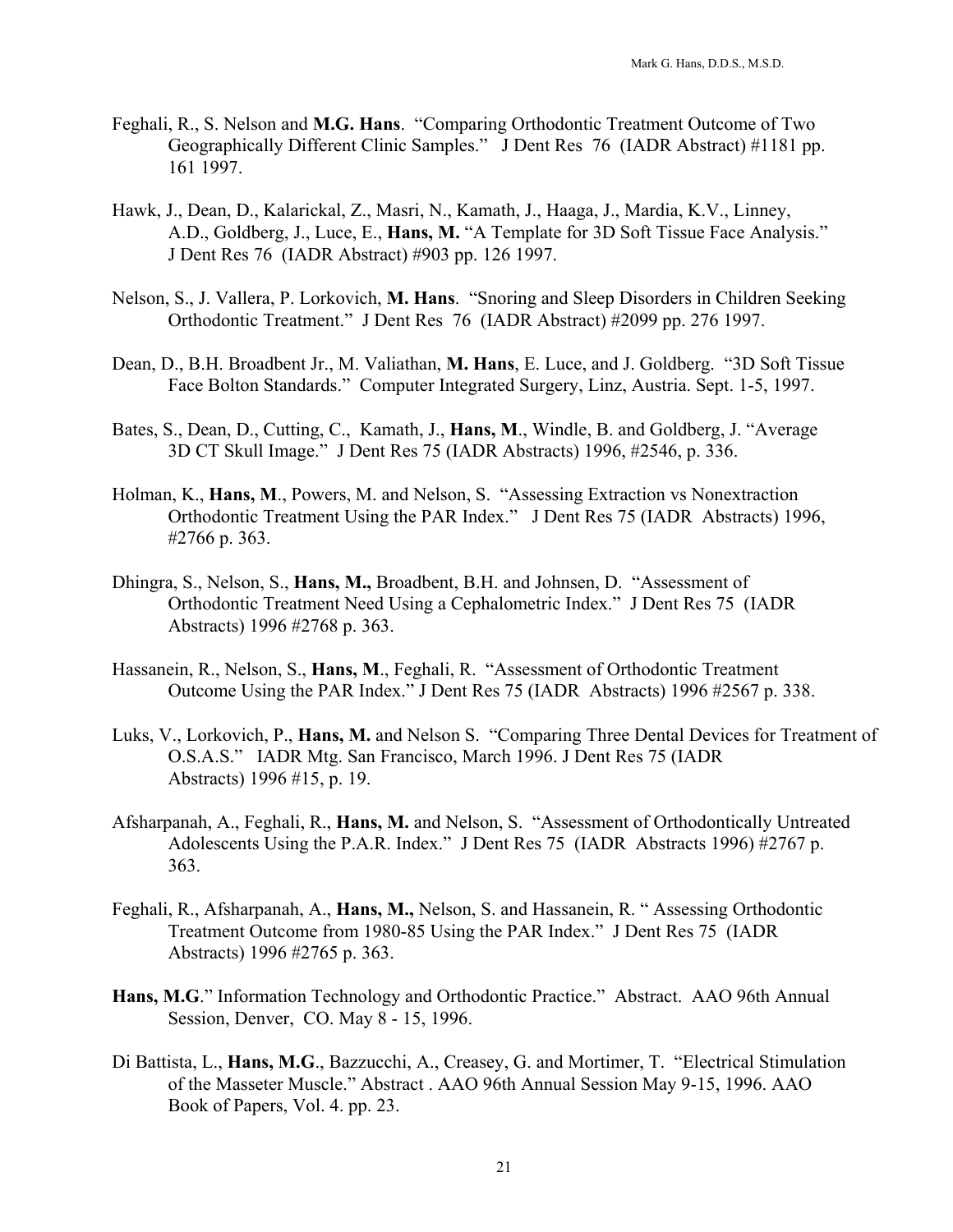- Feghali, R., S. Nelson and **M.G. Hans**. "Comparing Orthodontic Treatment Outcome of Two Geographically Different Clinic Samples." J Dent Res 76 (IADR Abstract) #1181 pp. 161 1997.
- Hawk, J., Dean, D., Kalarickal, Z., Masri, N., Kamath, J., Haaga, J., Mardia, K.V., Linney, A.D., Goldberg, J., Luce, E., **Hans, M.** "A Template for 3D Soft Tissue Face Analysis." J Dent Res 76 (IADR Abstract) #903 pp. 126 1997.
- Nelson, S., J. Vallera, P. Lorkovich, **M. Hans**. "Snoring and Sleep Disorders in Children Seeking Orthodontic Treatment." J Dent Res 76 (IADR Abstract) #2099 pp. 276 1997.
- Dean, D., B.H. Broadbent Jr., M. Valiathan, **M. Hans**, E. Luce, and J. Goldberg. "3D Soft Tissue Face Bolton Standards." Computer Integrated Surgery, Linz, Austria. Sept. 1-5, 1997.
- Bates, S., Dean, D., Cutting, C., Kamath, J., **Hans, M**., Windle, B. and Goldberg, J. "Average 3D CT Skull Image." J Dent Res 75 (IADR Abstracts) 1996, #2546, p. 336.
- Holman, K., **Hans, M**., Powers, M. and Nelson, S. "Assessing Extraction vs Nonextraction Orthodontic Treatment Using the PAR Index." J Dent Res 75 (IADR Abstracts) 1996, #2766 p. 363.
- Dhingra, S., Nelson, S., **Hans, M.,** Broadbent, B.H. and Johnsen, D. "Assessment of Orthodontic Treatment Need Using a Cephalometric Index." J Dent Res 75 (IADR Abstracts) 1996 #2768 p. 363.
- Hassanein, R., Nelson, S., **Hans, M**., Feghali, R. "Assessment of Orthodontic Treatment Outcome Using the PAR Index." J Dent Res 75 (IADR Abstracts) 1996 #2567 p. 338.
- Luks, V., Lorkovich, P., **Hans, M.** and Nelson S. "Comparing Three Dental Devices for Treatment of O.S.A.S." IADR Mtg. San Francisco, March 1996. J Dent Res 75 (IADR Abstracts) 1996 #15, p. 19.
- Afsharpanah, A., Feghali, R., **Hans, M.** and Nelson, S. "Assessment of Orthodontically Untreated Adolescents Using the P.A.R. Index." J Dent Res 75 (IADR Abstracts 1996) #2767 p. 363.
- Feghali, R., Afsharpanah, A., **Hans, M.,** Nelson, S. and Hassanein, R. " Assessing Orthodontic Treatment Outcome from 1980-85 Using the PAR Index." J Dent Res 75 (IADR Abstracts) 1996 #2765 p. 363.
- **Hans, M.G**." Information Technology and Orthodontic Practice." Abstract. AAO 96th Annual Session, Denver, CO. May 8 - 15, 1996.
- Di Battista, L., **Hans, M.G**., Bazzucchi, A., Creasey, G. and Mortimer, T. "Electrical Stimulation of the Masseter Muscle." Abstract . AAO 96th Annual Session May 9-15, 1996. AAO Book of Papers, Vol. 4. pp. 23.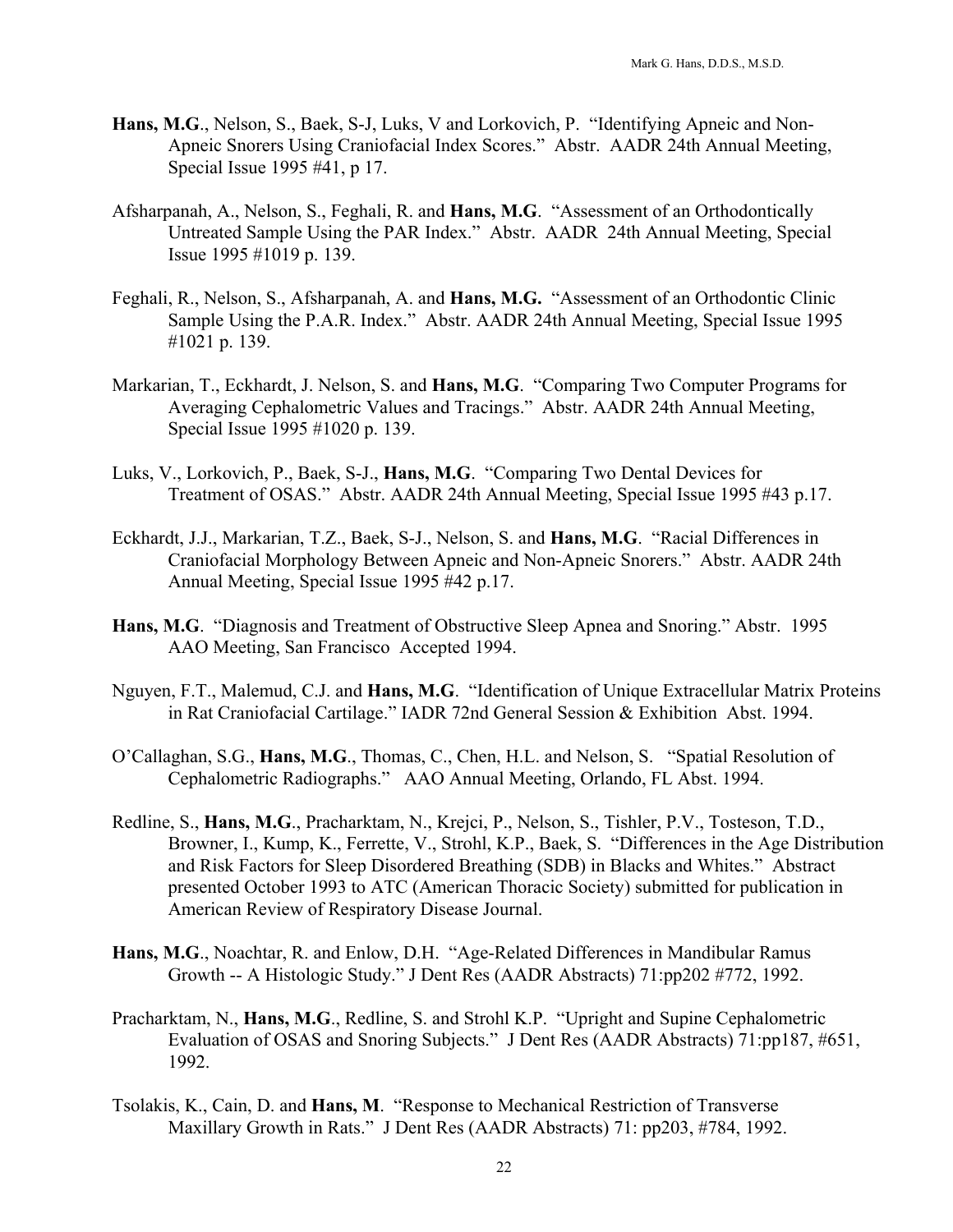- **Hans, M.G**., Nelson, S., Baek, S-J, Luks, V and Lorkovich, P. "Identifying Apneic and Non- Apneic Snorers Using Craniofacial Index Scores." Abstr. AADR 24th Annual Meeting, Special Issue 1995 #41, p 17.
- Afsharpanah, A., Nelson, S., Feghali, R. and **Hans, M.G**. "Assessment of an Orthodontically Untreated Sample Using the PAR Index." Abstr. AADR 24th Annual Meeting, Special Issue 1995 #1019 p. 139.
- Feghali, R., Nelson, S., Afsharpanah, A. and **Hans, M.G.** "Assessment of an Orthodontic Clinic Sample Using the P.A.R. Index." Abstr. AADR 24th Annual Meeting, Special Issue 1995 #1021 p. 139.
- Markarian, T., Eckhardt, J. Nelson, S. and **Hans, M.G**. "Comparing Two Computer Programs for Averaging Cephalometric Values and Tracings." Abstr. AADR 24th Annual Meeting, Special Issue 1995 #1020 p. 139.
- Luks, V., Lorkovich, P., Baek, S-J., **Hans, M.G**. "Comparing Two Dental Devices for Treatment of OSAS." Abstr. AADR 24th Annual Meeting, Special Issue 1995 #43 p.17.
- Eckhardt, J.J., Markarian, T.Z., Baek, S-J., Nelson, S. and **Hans, M.G**. "Racial Differences in Craniofacial Morphology Between Apneic and Non-Apneic Snorers." Abstr. AADR 24th Annual Meeting, Special Issue 1995 #42 p.17.
- **Hans, M.G**. "Diagnosis and Treatment of Obstructive Sleep Apnea and Snoring." Abstr. 1995 AAO Meeting, San Francisco Accepted 1994.
- Nguyen, F.T., Malemud, C.J. and **Hans, M.G**. "Identification of Unique Extracellular Matrix Proteins in Rat Craniofacial Cartilage." IADR 72nd General Session & Exhibition Abst. 1994.
- O'Callaghan, S.G., **Hans, M.G**., Thomas, C., Chen, H.L. and Nelson, S. "Spatial Resolution of Cephalometric Radiographs." AAO Annual Meeting, Orlando, FL Abst. 1994.
- Redline, S., **Hans, M.G**., Pracharktam, N., Krejci, P., Nelson, S., Tishler, P.V., Tosteson, T.D., Browner, I., Kump, K., Ferrette, V., Strohl, K.P., Baek, S. "Differences in the Age Distribution and Risk Factors for Sleep Disordered Breathing (SDB) in Blacks and Whites." Abstract presented October 1993 to ATC (American Thoracic Society) submitted for publication in American Review of Respiratory Disease Journal.
- **Hans, M.G**., Noachtar, R. and Enlow, D.H. "Age-Related Differences in Mandibular Ramus Growth -- A Histologic Study." J Dent Res (AADR Abstracts) 71:pp202 #772, 1992.
- Pracharktam, N., **Hans, M.G**., Redline, S. and Strohl K.P. "Upright and Supine Cephalometric Evaluation of OSAS and Snoring Subjects." J Dent Res (AADR Abstracts) 71:pp187, #651, 1992.
- Tsolakis, K., Cain, D. and **Hans, M**. "Response to Mechanical Restriction of Transverse Maxillary Growth in Rats." J Dent Res (AADR Abstracts) 71: pp203, #784, 1992.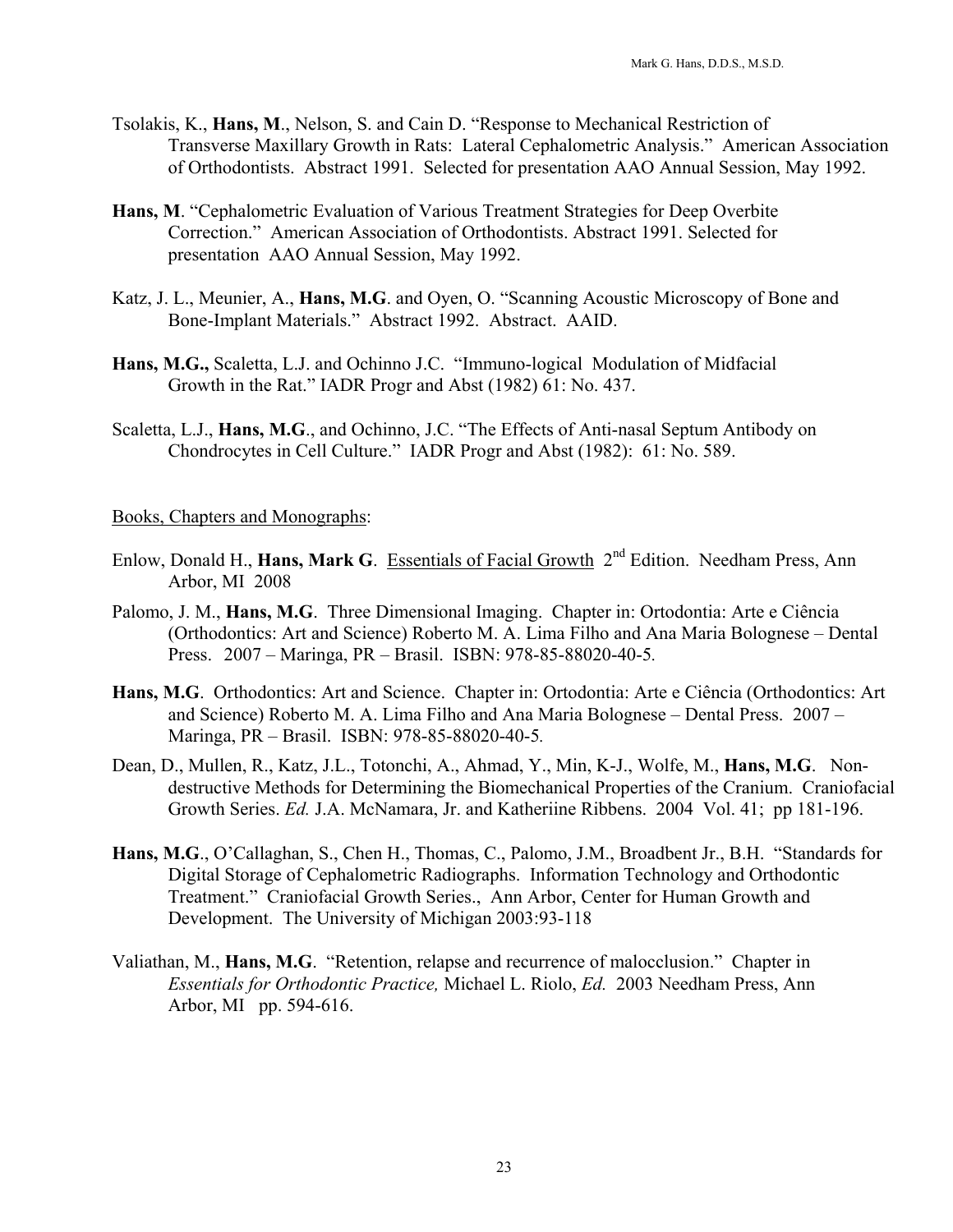- Tsolakis, K., **Hans, M**., Nelson, S. and Cain D. "Response to Mechanical Restriction of Transverse Maxillary Growth in Rats: Lateral Cephalometric Analysis." American Association of Orthodontists. Abstract 1991. Selected for presentation AAO Annual Session, May 1992.
- **Hans, M**. "Cephalometric Evaluation of Various Treatment Strategies for Deep Overbite Correction." American Association of Orthodontists. Abstract 1991. Selected for presentation AAO Annual Session, May 1992.
- Katz, J. L., Meunier, A., **Hans, M.G**. and Oyen, O. "Scanning Acoustic Microscopy of Bone and Bone-Implant Materials." Abstract 1992. Abstract. AAID.
- **Hans, M.G.,** Scaletta, L.J. and Ochinno J.C. "Immuno-logical Modulation of Midfacial Growth in the Rat." IADR Progr and Abst (1982) 61: No. 437.
- Scaletta, L.J., **Hans, M.G**., and Ochinno, J.C. "The Effects of Anti-nasal Septum Antibody on Chondrocytes in Cell Culture." IADR Progr and Abst (1982): 61: No. 589.

#### Books, Chapters and Monographs:

- Enlow, Donald H., **Hans, Mark G**. Essentials of Facial Growth 2nd Edition. Needham Press, Ann Arbor, MI 2008
- Palomo, J. M., **Hans, M.G**. Three Dimensional Imaging. Chapter in: Ortodontia: Arte e Ciência (Orthodontics: Art and Science) Roberto M. A. Lima Filho and Ana Maria Bolognese – Dental Press. 2007 – Maringa, PR – Brasil. ISBN: 978-85-88020-40-5*.*
- **Hans, M.G**. Orthodontics: Art and Science. Chapter in: Ortodontia: Arte e Ciência (Orthodontics: Art and Science) Roberto M. A. Lima Filho and Ana Maria Bolognese – Dental Press. 2007 – Maringa, PR – Brasil. ISBN: 978-85-88020-40-5*.*
- Dean, D., Mullen, R., Katz, J.L., Totonchi, A., Ahmad, Y., Min, K-J., Wolfe, M., **Hans, M.G**. Nondestructive Methods for Determining the Biomechanical Properties of the Cranium. Craniofacial Growth Series. *Ed.* J.A. McNamara, Jr. and Katheriine Ribbens. 2004 Vol. 41; pp 181-196.
- **Hans, M.G**., O'Callaghan, S., Chen H., Thomas, C., Palomo, J.M., Broadbent Jr., B.H. "Standards for Digital Storage of Cephalometric Radiographs. Information Technology and Orthodontic Treatment." Craniofacial Growth Series., Ann Arbor, Center for Human Growth and Development. The University of Michigan 2003:93-118
- Valiathan, M., **Hans, M.G**. "Retention, relapse and recurrence of malocclusion." Chapter in *Essentials for Orthodontic Practice,* Michael L. Riolo, *Ed.* 2003 Needham Press, Ann Arbor, MI pp. 594-616.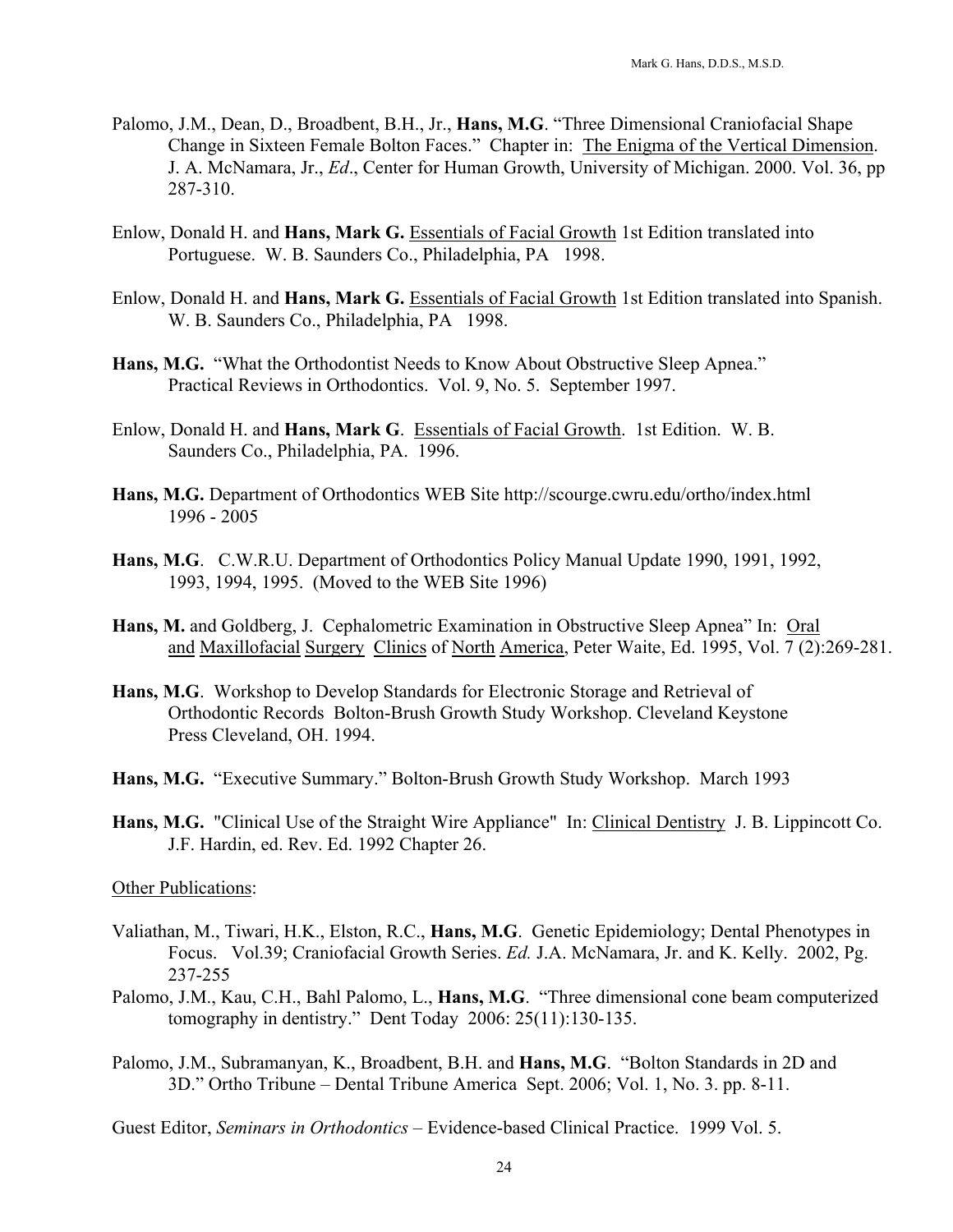- Palomo, J.M., Dean, D., Broadbent, B.H., Jr., **Hans, M.G**. "Three Dimensional Craniofacial Shape Change in Sixteen Female Bolton Faces." Chapter in: The Enigma of the Vertical Dimension. J. A. McNamara, Jr., *Ed*., Center for Human Growth, University of Michigan. 2000. Vol. 36, pp 287-310.
- Enlow, Donald H. and **Hans, Mark G.** Essentials of Facial Growth 1st Edition translated into Portuguese. W. B. Saunders Co., Philadelphia, PA 1998.
- Enlow, Donald H. and **Hans, Mark G.** Essentials of Facial Growth 1st Edition translated into Spanish. W. B. Saunders Co., Philadelphia, PA 1998.
- Hans, M.G. "What the Orthodontist Needs to Know About Obstructive Sleep Apnea." Practical Reviews in Orthodontics. Vol. 9, No. 5. September 1997.
- Enlow, Donald H. and **Hans, Mark G**. Essentials of Facial Growth. 1st Edition. W. B. Saunders Co., Philadelphia, PA. 1996.
- **Hans, M.G.** Department of Orthodontics WEB Site http://scourge.cwru.edu/ortho/index.html 1996 - 2005
- **Hans, M.G**. C.W.R.U. Department of Orthodontics Policy Manual Update 1990, 1991, 1992, 1993, 1994, 1995. (Moved to the WEB Site 1996)
- **Hans, M.** and Goldberg, J. Cephalometric Examination in Obstructive Sleep Apnea" In: Oral and Maxillofacial Surgery Clinics of North America, Peter Waite, Ed. 1995, Vol. 7 (2):269-281.
- **Hans, M.G**. Workshop to Develop Standards for Electronic Storage and Retrieval of Orthodontic Records Bolton-Brush Growth Study Workshop. Cleveland Keystone Press Cleveland, OH. 1994.
- **Hans, M.G.** "Executive Summary." Bolton-Brush Growth Study Workshop. March 1993
- **Hans, M.G.** "Clinical Use of the Straight Wire Appliance" In: Clinical Dentistry J. B. Lippincott Co. J.F. Hardin, ed. Rev. Ed. 1992 Chapter 26.

#### Other Publications:

- Valiathan, M., Tiwari, H.K., Elston, R.C., **Hans, M.G**. Genetic Epidemiology; Dental Phenotypes in Focus. Vol.39; Craniofacial Growth Series. *Ed.* J.A. McNamara, Jr. and K. Kelly. 2002, Pg. 237-255
- Palomo, J.M., Kau, C.H., Bahl Palomo, L., **Hans, M.G**. "Three dimensional cone beam computerized tomography in dentistry." Dent Today 2006: 25(11):130-135.
- Palomo, J.M., Subramanyan, K., Broadbent, B.H. and **Hans, M.G**. "Bolton Standards in 2D and 3D." Ortho Tribune – Dental Tribune America Sept. 2006; Vol. 1, No. 3. pp. 8-11.

Guest Editor, *Seminars in Orthodontics* – Evidence-based Clinical Practice. 1999 Vol. 5.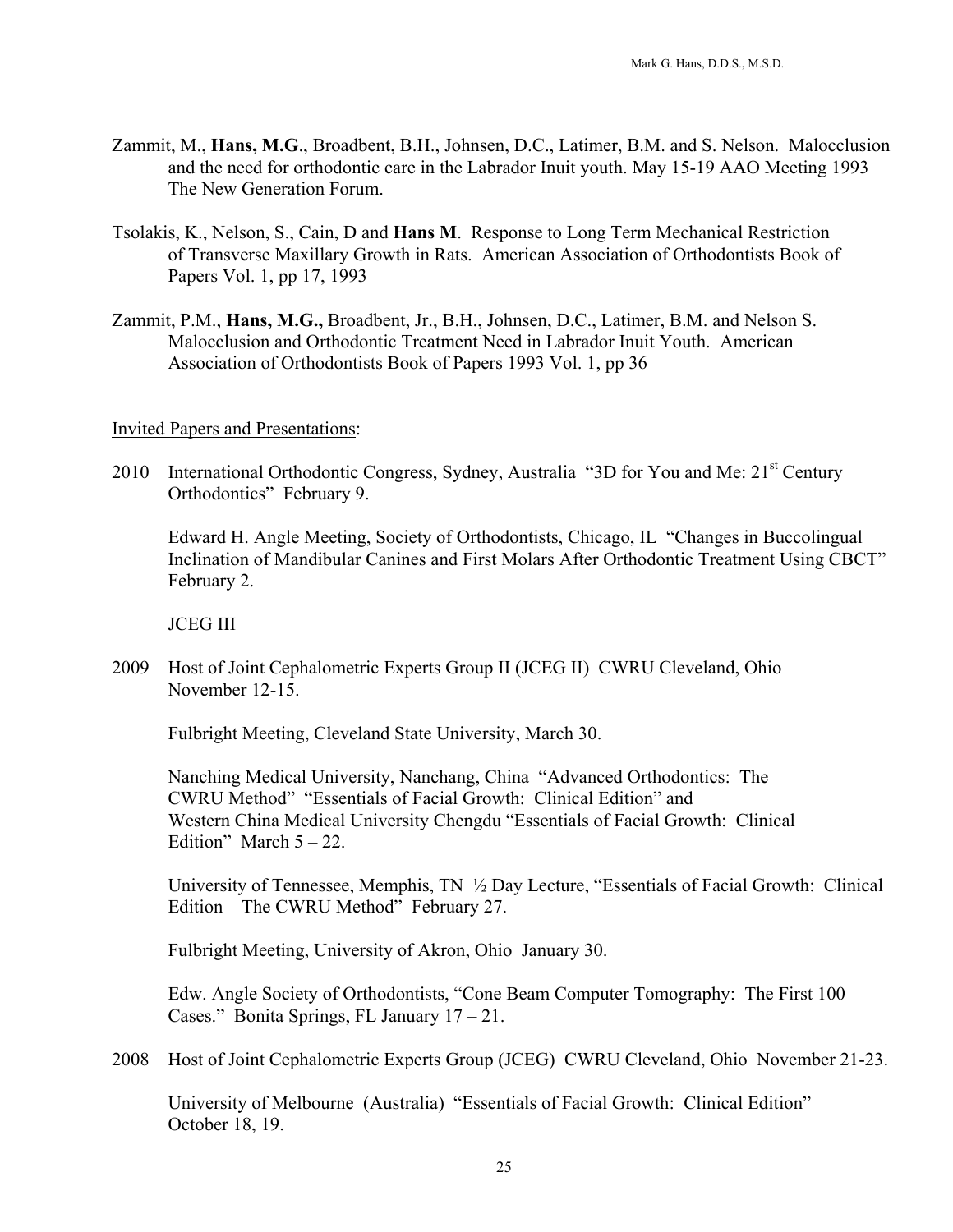- Zammit, M., **Hans, M.G**., Broadbent, B.H., Johnsen, D.C., Latimer, B.M. and S. Nelson. Malocclusion and the need for orthodontic care in the Labrador Inuit youth. May 15-19 AAO Meeting 1993 The New Generation Forum.
- Tsolakis, K., Nelson, S., Cain, D and **Hans M**. Response to Long Term Mechanical Restriction of Transverse Maxillary Growth in Rats. American Association of Orthodontists Book of Papers Vol. 1, pp 17, 1993
- Zammit, P.M., **Hans, M.G.,** Broadbent, Jr., B.H., Johnsen, D.C., Latimer, B.M. and Nelson S. Malocclusion and Orthodontic Treatment Need in Labrador Inuit Youth. American Association of Orthodontists Book of Papers 1993 Vol. 1, pp 36

# Invited Papers and Presentations:

2010 International Orthodontic Congress, Sydney, Australia "3D for You and Me: 21<sup>st</sup> Century Orthodontics" February 9.

 Edward H. Angle Meeting, Society of Orthodontists, Chicago, IL "Changes in Buccolingual Inclination of Mandibular Canines and First Molars After Orthodontic Treatment Using CBCT" February 2.

JCEG III

2009 Host of Joint Cephalometric Experts Group II (JCEG II) CWRU Cleveland, Ohio November 12-15.

Fulbright Meeting, Cleveland State University, March 30.

 Nanching Medical University, Nanchang, China "Advanced Orthodontics: The CWRU Method" "Essentials of Facial Growth: Clinical Edition" and Western China Medical University Chengdu "Essentials of Facial Growth: Clinical Edition" March  $5 - 22$ .

 University of Tennessee, Memphis, TN ½ Day Lecture, "Essentials of Facial Growth: Clinical Edition – The CWRU Method" February 27.

Fulbright Meeting, University of Akron, Ohio January 30.

 Edw. Angle Society of Orthodontists, "Cone Beam Computer Tomography: The First 100 Cases." Bonita Springs, FL January 17 – 21.

2008 Host of Joint Cephalometric Experts Group (JCEG) CWRU Cleveland, Ohio November 21-23.

 University of Melbourne (Australia) "Essentials of Facial Growth: Clinical Edition" October 18, 19.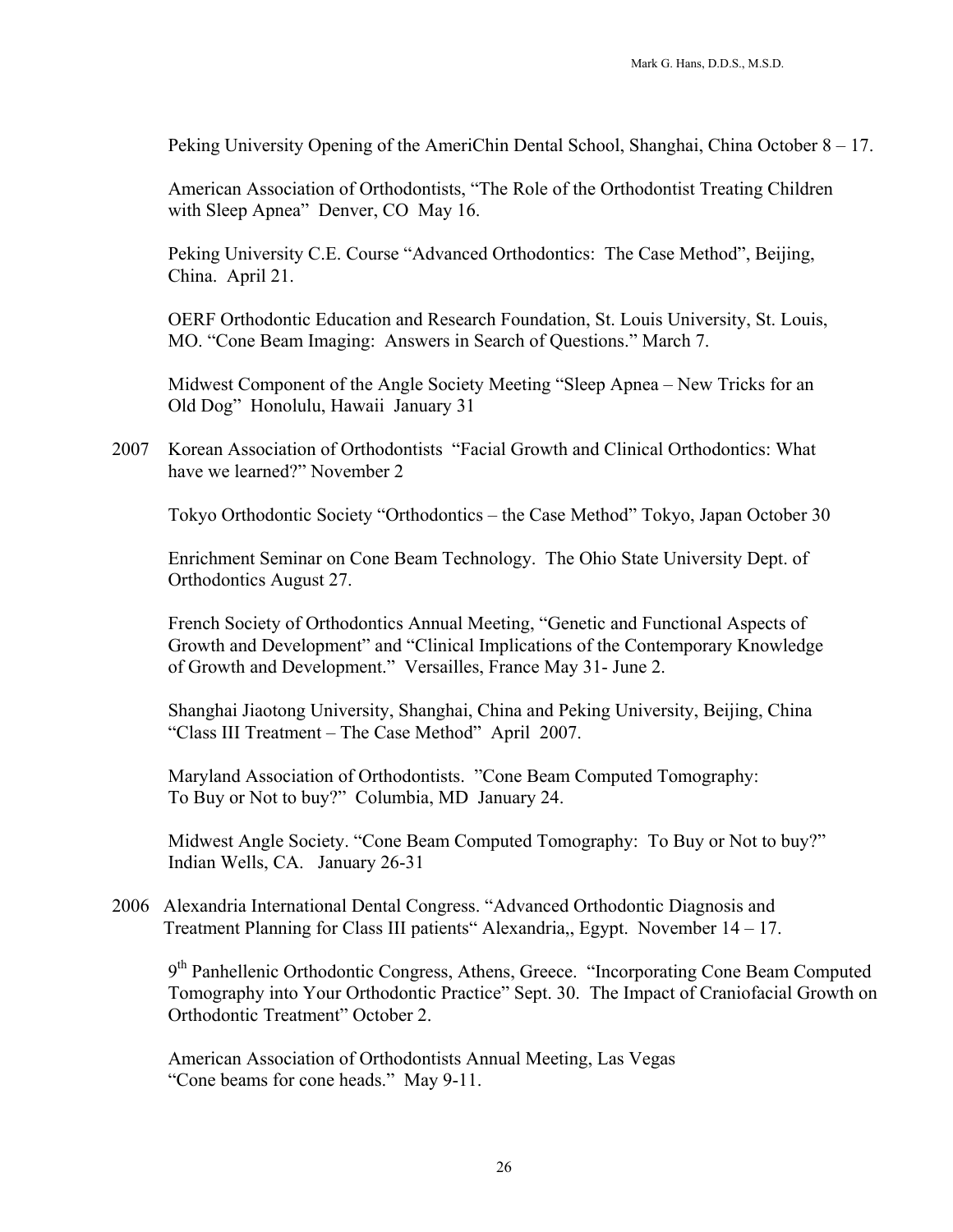Peking University Opening of the AmeriChin Dental School, Shanghai, China October 8 – 17.

 American Association of Orthodontists, "The Role of the Orthodontist Treating Children with Sleep Apnea" Denver, CO May 16.

 Peking University C.E. Course "Advanced Orthodontics: The Case Method", Beijing, China. April 21.

 OERF Orthodontic Education and Research Foundation, St. Louis University, St. Louis, MO. "Cone Beam Imaging: Answers in Search of Questions." March 7.

 Midwest Component of the Angle Society Meeting "Sleep Apnea – New Tricks for an Old Dog" Honolulu, Hawaii January 31

2007 Korean Association of Orthodontists "Facial Growth and Clinical Orthodontics: What have we learned?" November 2

Tokyo Orthodontic Society "Orthodontics – the Case Method" Tokyo, Japan October 30

 Enrichment Seminar on Cone Beam Technology. The Ohio State University Dept. of Orthodontics August 27.

 French Society of Orthodontics Annual Meeting, "Genetic and Functional Aspects of Growth and Development" and "Clinical Implications of the Contemporary Knowledge of Growth and Development." Versailles, France May 31- June 2.

 Shanghai Jiaotong University, Shanghai, China and Peking University, Beijing, China "Class III Treatment – The Case Method" April 2007.

 Maryland Association of Orthodontists. "Cone Beam Computed Tomography: To Buy or Not to buy?" Columbia, MD January 24.

 Midwest Angle Society. "Cone Beam Computed Tomography: To Buy or Not to buy?" Indian Wells, CA. January 26-31

2006 Alexandria International Dental Congress. "Advanced Orthodontic Diagnosis and Treatment Planning for Class III patients" Alexandria,, Egypt. November 14 – 17.

9<sup>th</sup> Panhellenic Orthodontic Congress, Athens, Greece. "Incorporating Cone Beam Computed Tomography into Your Orthodontic Practice" Sept. 30. The Impact of Craniofacial Growth on Orthodontic Treatment" October 2.

 American Association of Orthodontists Annual Meeting, Las Vegas "Cone beams for cone heads." May 9-11.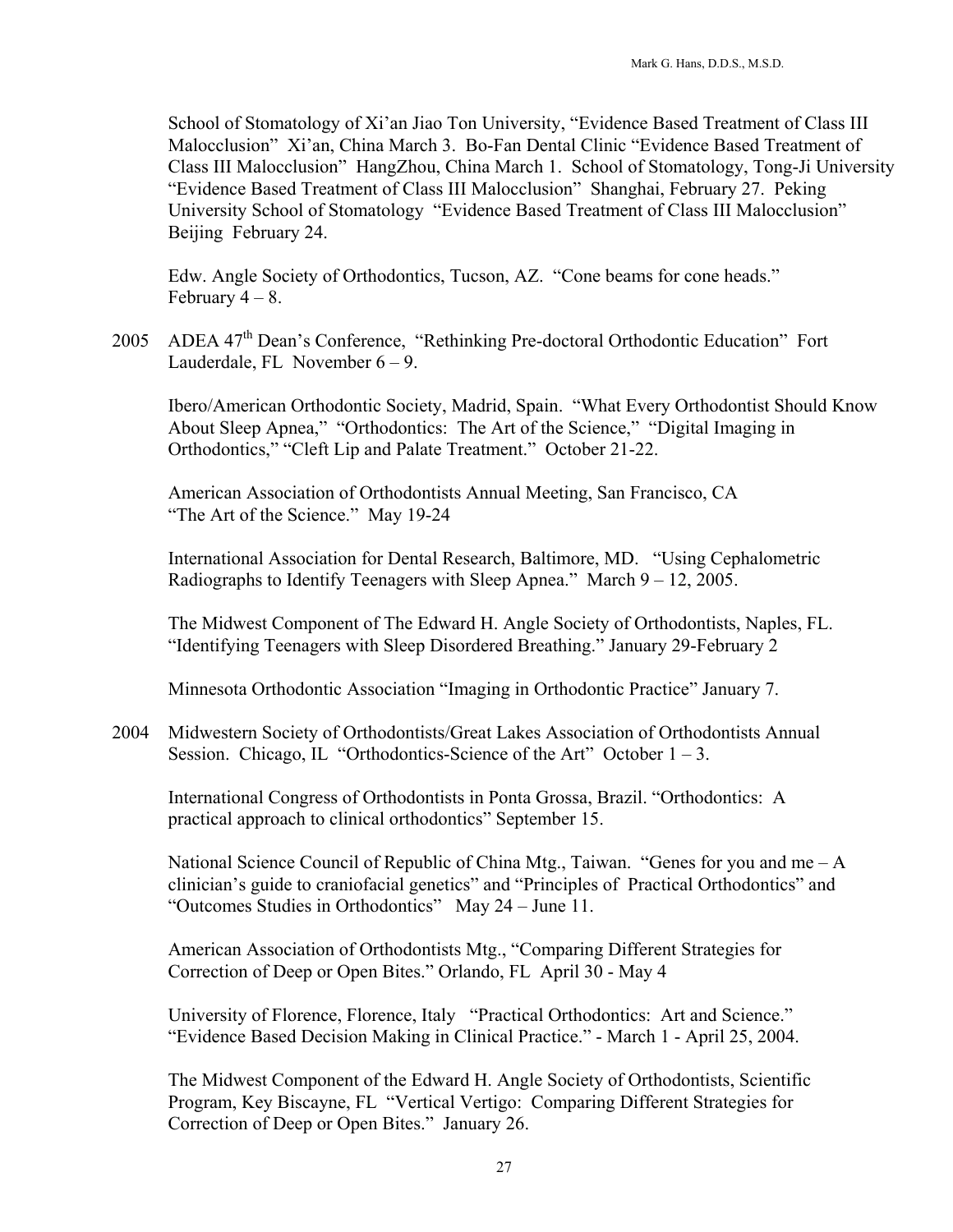School of Stomatology of Xi'an Jiao Ton University, "Evidence Based Treatment of Class III Malocclusion" Xi'an, China March 3. Bo-Fan Dental Clinic "Evidence Based Treatment of Class III Malocclusion" HangZhou, China March 1. School of Stomatology, Tong-Ji University "Evidence Based Treatment of Class III Malocclusion" Shanghai, February 27. Peking University School of Stomatology "Evidence Based Treatment of Class III Malocclusion" Beijing February 24.

 Edw. Angle Society of Orthodontics, Tucson, AZ. "Cone beams for cone heads." February  $4 - 8$ .

2005 ADEA 47<sup>th</sup> Dean's Conference, "Rethinking Pre-doctoral Orthodontic Education" Fort Lauderdale, FL November  $6 - 9$ .

 Ibero/American Orthodontic Society, Madrid, Spain. "What Every Orthodontist Should Know About Sleep Apnea," "Orthodontics: The Art of the Science," "Digital Imaging in Orthodontics," "Cleft Lip and Palate Treatment." October 21-22.

 American Association of Orthodontists Annual Meeting, San Francisco, CA "The Art of the Science." May 19-24

 International Association for Dental Research, Baltimore, MD. "Using Cephalometric Radiographs to Identify Teenagers with Sleep Apnea." March 9 – 12, 2005.

 The Midwest Component of The Edward H. Angle Society of Orthodontists, Naples, FL. "Identifying Teenagers with Sleep Disordered Breathing." January 29-February 2

Minnesota Orthodontic Association "Imaging in Orthodontic Practice" January 7.

2004 Midwestern Society of Orthodontists/Great Lakes Association of Orthodontists Annual Session. Chicago, IL "Orthodontics-Science of the Art" October  $1 - 3$ .

 International Congress of Orthodontists in Ponta Grossa, Brazil. "Orthodontics: A practical approach to clinical orthodontics" September 15.

 National Science Council of Republic of China Mtg., Taiwan. "Genes for you and me – A clinician's guide to craniofacial genetics" and "Principles of Practical Orthodontics" and "Outcomes Studies in Orthodontics" May 24 – June 11.

 American Association of Orthodontists Mtg., "Comparing Different Strategies for Correction of Deep or Open Bites." Orlando, FL April 30 - May 4

 University of Florence, Florence, Italy "Practical Orthodontics: Art and Science." "Evidence Based Decision Making in Clinical Practice." - March 1 - April 25, 2004.

 The Midwest Component of the Edward H. Angle Society of Orthodontists, Scientific Program, Key Biscayne, FL "Vertical Vertigo: Comparing Different Strategies for Correction of Deep or Open Bites." January 26.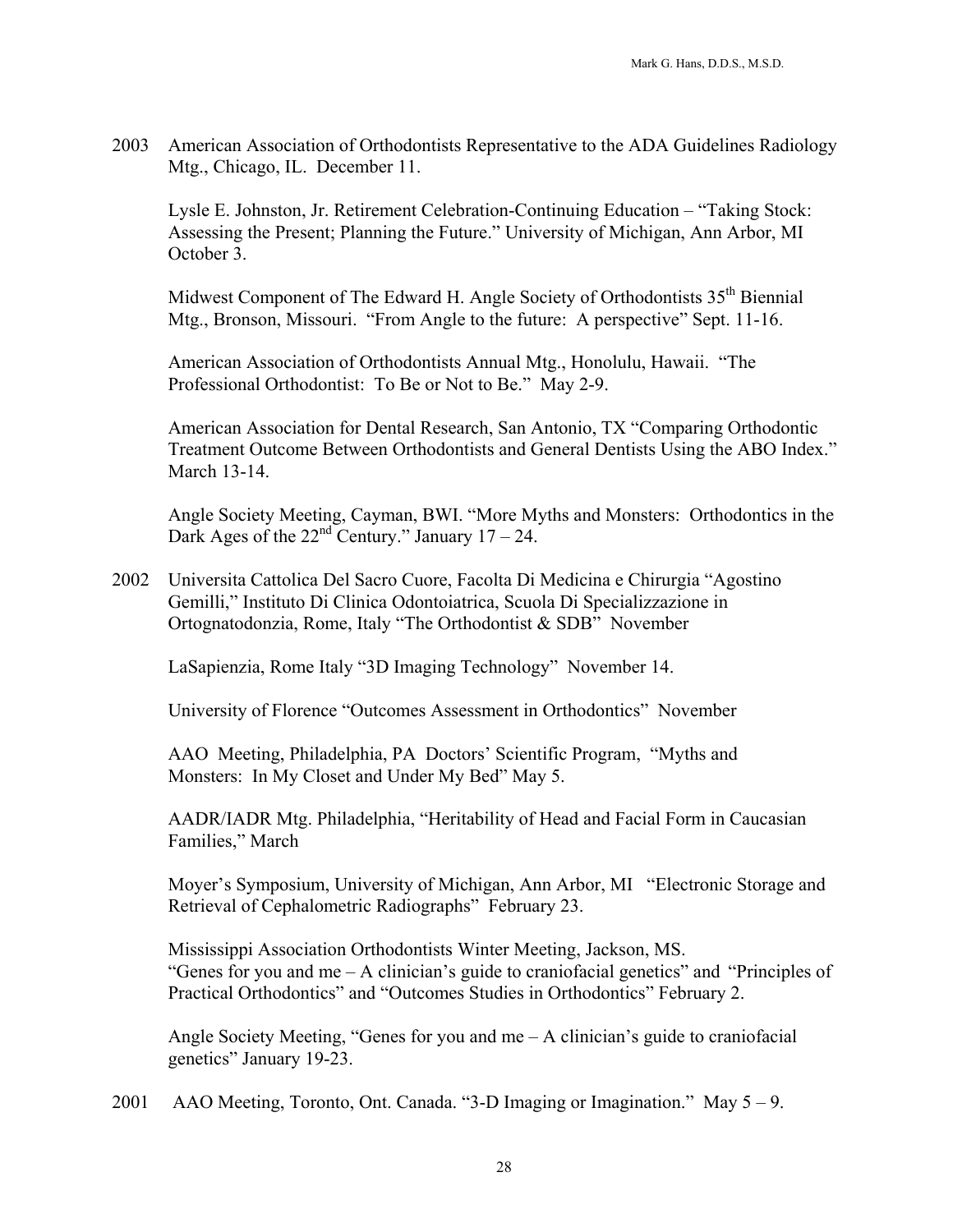2003 American Association of Orthodontists Representative to the ADA Guidelines Radiology Mtg., Chicago, IL. December 11.

 Lysle E. Johnston, Jr. Retirement Celebration-Continuing Education – "Taking Stock: Assessing the Present; Planning the Future." University of Michigan, Ann Arbor, MI October 3.

Midwest Component of The Edward H. Angle Society of Orthodontists 35<sup>th</sup> Biennial Mtg., Bronson, Missouri. "From Angle to the future: A perspective" Sept. 11-16.

 American Association of Orthodontists Annual Mtg., Honolulu, Hawaii. "The Professional Orthodontist: To Be or Not to Be." May 2-9.

 American Association for Dental Research, San Antonio, TX "Comparing Orthodontic Treatment Outcome Between Orthodontists and General Dentists Using the ABO Index." March 13-14.

 Angle Society Meeting, Cayman, BWI. "More Myths and Monsters: Orthodontics in the Dark Ages of the  $22<sup>nd</sup>$  Century." January 17 – 24.

2002 Universita Cattolica Del Sacro Cuore, Facolta Di Medicina e Chirurgia "Agostino Gemilli," Instituto Di Clinica Odontoiatrica, Scuola Di Specializzazione in Ortognatodonzia, Rome, Italy "The Orthodontist & SDB" November

LaSapienzia, Rome Italy "3D Imaging Technology" November 14.

University of Florence "Outcomes Assessment in Orthodontics" November

 AAO Meeting, Philadelphia, PA Doctors' Scientific Program, "Myths and Monsters: In My Closet and Under My Bed" May 5.

 AADR/IADR Mtg. Philadelphia, "Heritability of Head and Facial Form in Caucasian Families," March

 Moyer's Symposium, University of Michigan, Ann Arbor, MI "Electronic Storage and Retrieval of Cephalometric Radiographs" February 23.

 Mississippi Association Orthodontists Winter Meeting, Jackson, MS. "Genes for you and me – A clinician's guide to craniofacial genetics" and "Principles of Practical Orthodontics" and "Outcomes Studies in Orthodontics" February 2.

Angle Society Meeting, "Genes for you and me  $- A$  clinician's guide to craniofacial genetics" January 19-23.

2001 AAO Meeting, Toronto, Ont. Canada. "3-D Imaging or Imagination." May 5 – 9.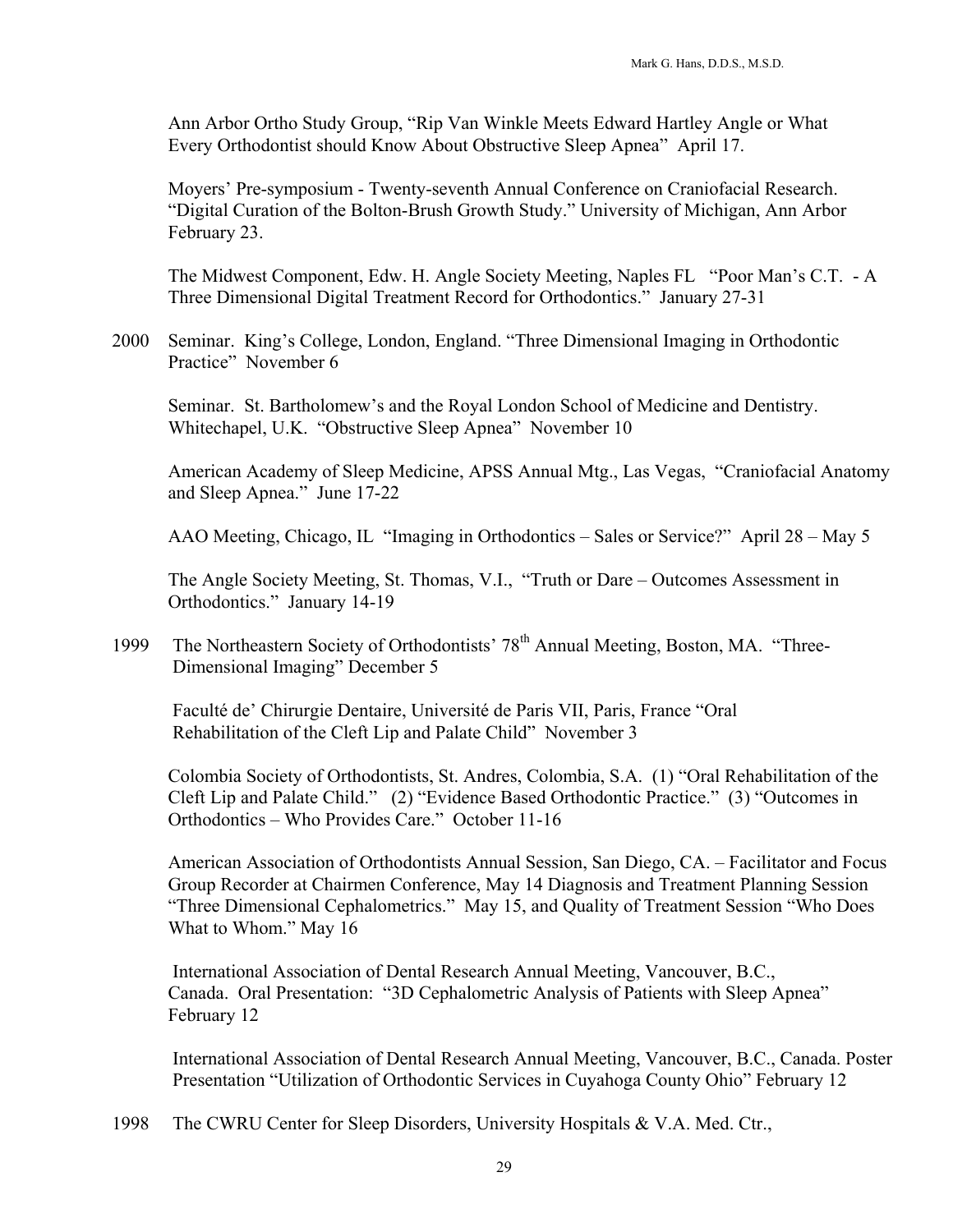Ann Arbor Ortho Study Group, "Rip Van Winkle Meets Edward Hartley Angle or What Every Orthodontist should Know About Obstructive Sleep Apnea" April 17.

Moyers' Pre-symposium - Twenty-seventh Annual Conference on Craniofacial Research. "Digital Curation of the Bolton-Brush Growth Study." University of Michigan, Ann Arbor February 23.

The Midwest Component, Edw. H. Angle Society Meeting, Naples FL "Poor Man's C.T. - A Three Dimensional Digital Treatment Record for Orthodontics." January 27-31

2000 Seminar. King's College, London, England. "Three Dimensional Imaging in Orthodontic Practice" November 6

Seminar. St. Bartholomew's and the Royal London School of Medicine and Dentistry. Whitechapel, U.K. "Obstructive Sleep Apnea" November 10

 American Academy of Sleep Medicine, APSS Annual Mtg., Las Vegas, "Craniofacial Anatomy and Sleep Apnea." June 17-22

AAO Meeting, Chicago, IL "Imaging in Orthodontics – Sales or Service?" April 28 – May 5

The Angle Society Meeting, St. Thomas, V.I., "Truth or Dare – Outcomes Assessment in Orthodontics." January 14-19

1999 The Northeastern Society of Orthodontists' 78<sup>th</sup> Annual Meeting, Boston, MA. "Three-Dimensional Imaging" December 5

 Faculté de' Chirurgie Dentaire, Université de Paris VII, Paris, France "Oral Rehabilitation of the Cleft Lip and Palate Child" November 3

Colombia Society of Orthodontists, St. Andres, Colombia, S.A. (1) "Oral Rehabilitation of the Cleft Lip and Palate Child." (2) "Evidence Based Orthodontic Practice." (3) "Outcomes in Orthodontics – Who Provides Care." October 11-16

American Association of Orthodontists Annual Session, San Diego, CA. – Facilitator and Focus Group Recorder at Chairmen Conference, May 14 Diagnosis and Treatment Planning Session "Three Dimensional Cephalometrics." May 15, and Quality of Treatment Session "Who Does What to Whom." May 16

 International Association of Dental Research Annual Meeting, Vancouver, B.C., Canada. Oral Presentation: "3D Cephalometric Analysis of Patients with Sleep Apnea" February 12

International Association of Dental Research Annual Meeting, Vancouver, B.C., Canada. Poster Presentation "Utilization of Orthodontic Services in Cuyahoga County Ohio" February 12

1998 The CWRU Center for Sleep Disorders, University Hospitals & V.A. Med. Ctr.,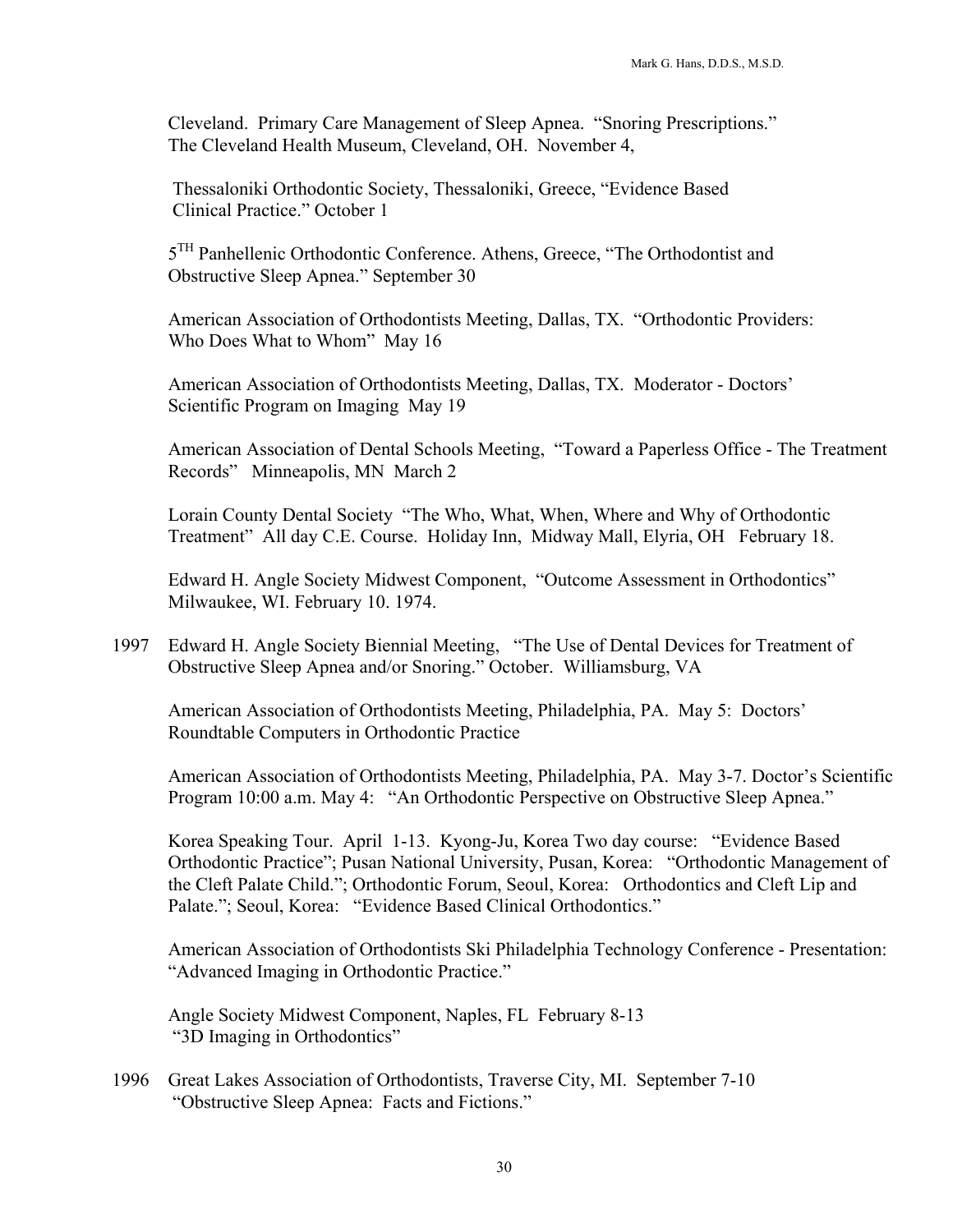Cleveland. Primary Care Management of Sleep Apnea. "Snoring Prescriptions." The Cleveland Health Museum, Cleveland, OH. November 4,

 Thessaloniki Orthodontic Society, Thessaloniki, Greece, "Evidence Based Clinical Practice." October 1

 $5<sup>TH</sup>$  Panhellenic Orthodontic Conference. Athens, Greece, "The Orthodontist and Obstructive Sleep Apnea." September 30

 American Association of Orthodontists Meeting, Dallas, TX. "Orthodontic Providers: Who Does What to Whom" May 16

 American Association of Orthodontists Meeting, Dallas, TX. Moderator - Doctors' Scientific Program on Imaging May 19

 American Association of Dental Schools Meeting, "Toward a Paperless Office - The Treatment Records" Minneapolis, MN March 2

Lorain County Dental Society "The Who, What, When, Where and Why of Orthodontic Treatment" All day C.E. Course. Holiday Inn, Midway Mall, Elyria, OH February 18.

 Edward H. Angle Society Midwest Component, "Outcome Assessment in Orthodontics" Milwaukee, WI. February 10. 1974.

1997 Edward H. Angle Society Biennial Meeting, "The Use of Dental Devices for Treatment of Obstructive Sleep Apnea and/or Snoring." October. Williamsburg, VA

American Association of Orthodontists Meeting, Philadelphia, PA. May 5: Doctors' Roundtable Computers in Orthodontic Practice

American Association of Orthodontists Meeting, Philadelphia, PA. May 3-7. Doctor's Scientific Program 10:00 a.m. May 4: "An Orthodontic Perspective on Obstructive Sleep Apnea."

Korea Speaking Tour. April 1-13. Kyong-Ju, Korea Two day course: "Evidence Based Orthodontic Practice"; Pusan National University, Pusan, Korea: "Orthodontic Management of the Cleft Palate Child."; Orthodontic Forum, Seoul, Korea: Orthodontics and Cleft Lip and Palate."; Seoul, Korea: "Evidence Based Clinical Orthodontics."

American Association of Orthodontists Ski Philadelphia Technology Conference - Presentation: "Advanced Imaging in Orthodontic Practice."

Angle Society Midwest Component, Naples, FL February 8-13 "3D Imaging in Orthodontics"

1996 Great Lakes Association of Orthodontists, Traverse City, MI. September 7-10 "Obstructive Sleep Apnea: Facts and Fictions."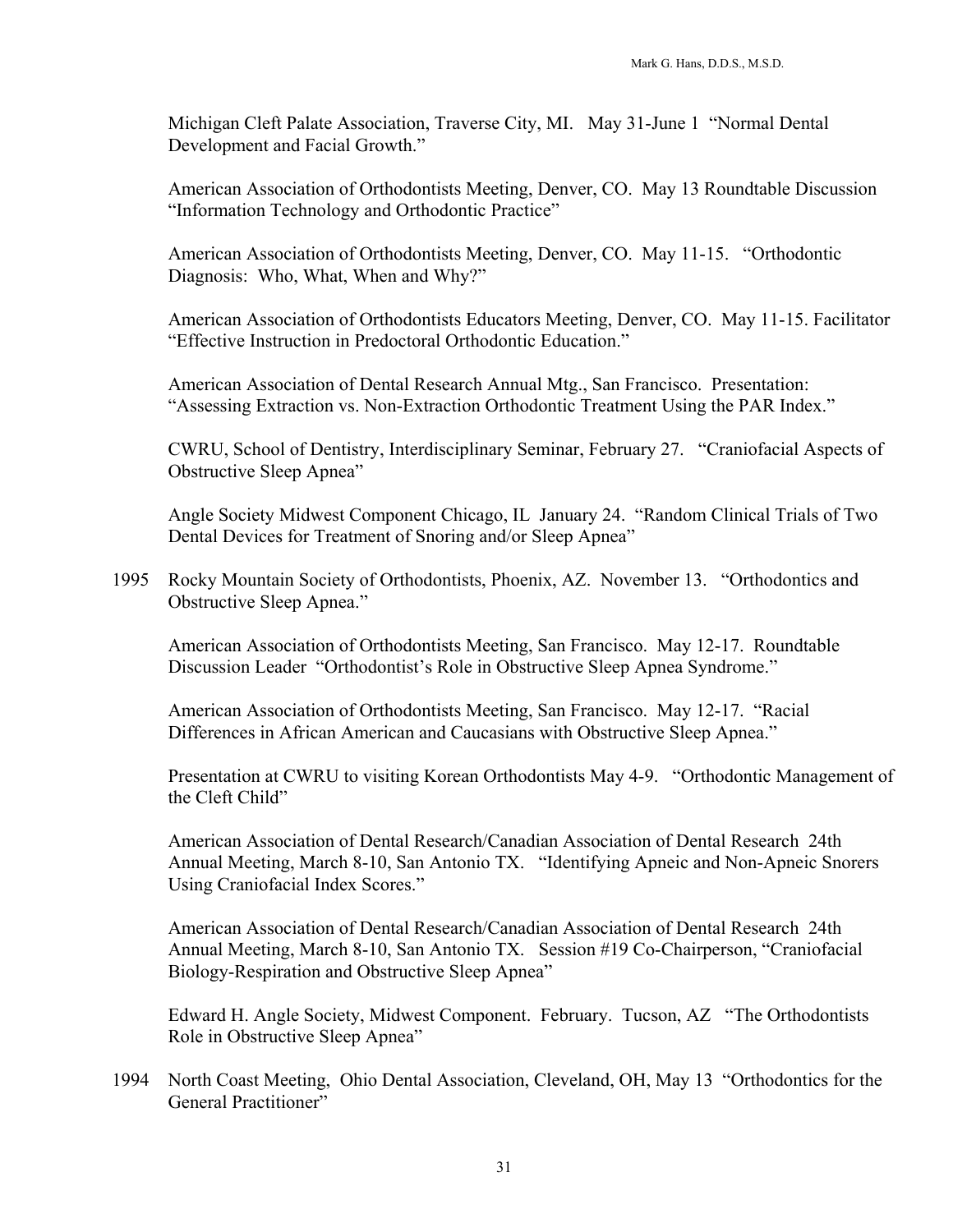Michigan Cleft Palate Association, Traverse City, MI. May 31-June 1 "Normal Dental Development and Facial Growth."

 American Association of Orthodontists Meeting, Denver, CO. May 13 Roundtable Discussion "Information Technology and Orthodontic Practice"

 American Association of Orthodontists Meeting, Denver, CO. May 11-15. "Orthodontic Diagnosis: Who, What, When and Why?"

American Association of Orthodontists Educators Meeting, Denver, CO. May 11-15. Facilitator "Effective Instruction in Predoctoral Orthodontic Education."

American Association of Dental Research Annual Mtg., San Francisco. Presentation: "Assessing Extraction vs. Non-Extraction Orthodontic Treatment Using the PAR Index."

CWRU, School of Dentistry, Interdisciplinary Seminar, February 27. "Craniofacial Aspects of Obstructive Sleep Apnea"

Angle Society Midwest Component Chicago, IL January 24. "Random Clinical Trials of Two Dental Devices for Treatment of Snoring and/or Sleep Apnea"

1995 Rocky Mountain Society of Orthodontists, Phoenix, AZ. November 13. "Orthodontics and Obstructive Sleep Apnea."

American Association of Orthodontists Meeting, San Francisco. May 12-17. Roundtable Discussion Leader "Orthodontist's Role in Obstructive Sleep Apnea Syndrome."

 American Association of Orthodontists Meeting, San Francisco. May 12-17. "Racial Differences in African American and Caucasians with Obstructive Sleep Apnea."

 Presentation at CWRU to visiting Korean Orthodontists May 4-9. "Orthodontic Management of the Cleft Child"

American Association of Dental Research/Canadian Association of Dental Research 24th Annual Meeting, March 8-10, San Antonio TX. "Identifying Apneic and Non-Apneic Snorers Using Craniofacial Index Scores."

American Association of Dental Research/Canadian Association of Dental Research 24th Annual Meeting, March 8-10, San Antonio TX. Session #19 Co-Chairperson, "Craniofacial Biology-Respiration and Obstructive Sleep Apnea"

Edward H. Angle Society, Midwest Component. February. Tucson, AZ "The Orthodontists Role in Obstructive Sleep Apnea"

1994 North Coast Meeting, Ohio Dental Association, Cleveland, OH, May 13 "Orthodontics for the General Practitioner"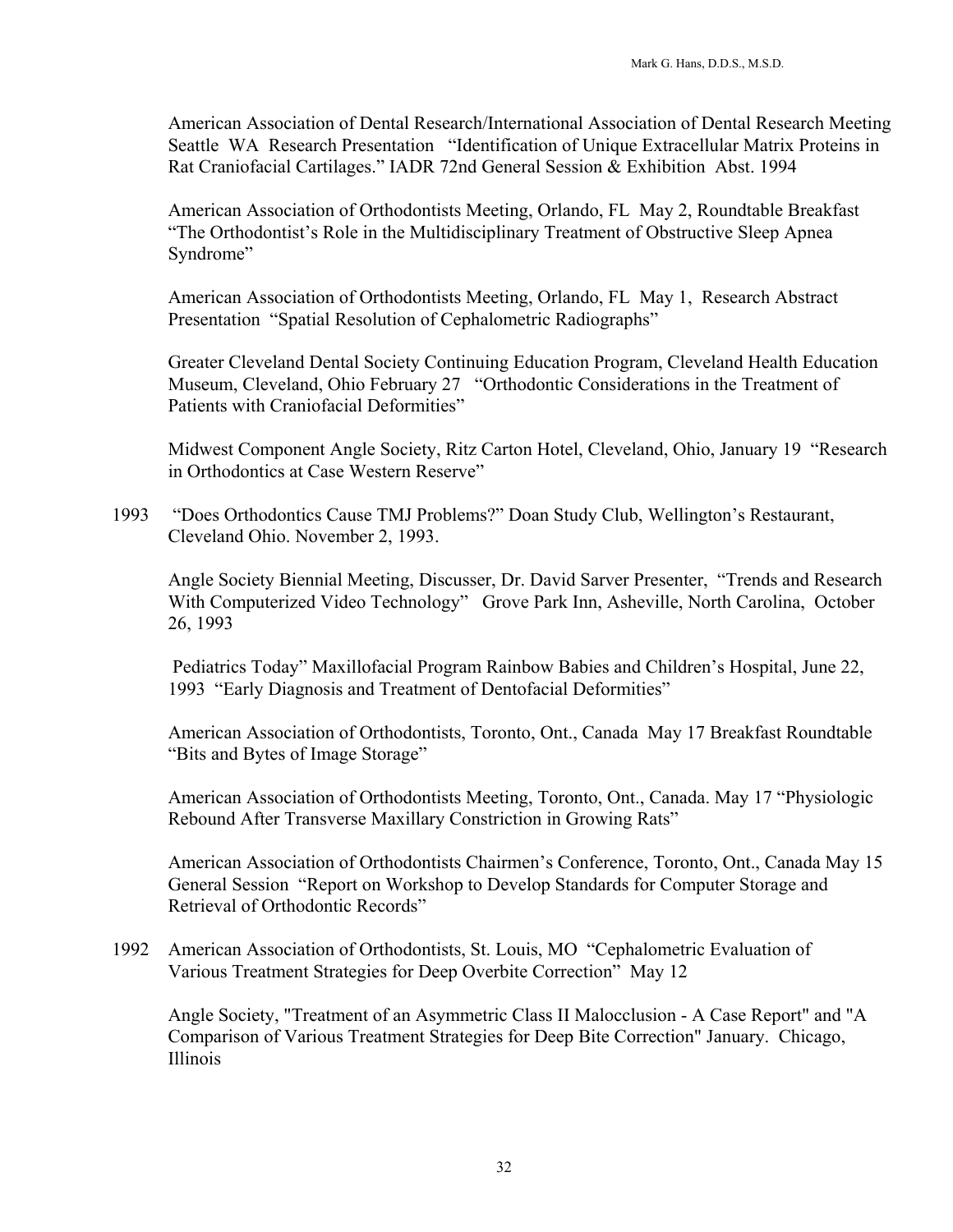American Association of Dental Research/International Association of Dental Research Meeting Seattle WA Research Presentation "Identification of Unique Extracellular Matrix Proteins in Rat Craniofacial Cartilages." IADR 72nd General Session & Exhibition Abst. 1994

American Association of Orthodontists Meeting, Orlando, FL May 2, Roundtable Breakfast "The Orthodontist's Role in the Multidisciplinary Treatment of Obstructive Sleep Apnea Syndrome"

American Association of Orthodontists Meeting, Orlando, FL May 1, Research Abstract Presentation "Spatial Resolution of Cephalometric Radiographs"

Greater Cleveland Dental Society Continuing Education Program, Cleveland Health Education Museum, Cleveland, Ohio February 27 "Orthodontic Considerations in the Treatment of Patients with Craniofacial Deformities"

Midwest Component Angle Society, Ritz Carton Hotel, Cleveland, Ohio, January 19 "Research in Orthodontics at Case Western Reserve"

1993 "Does Orthodontics Cause TMJ Problems?" Doan Study Club, Wellington's Restaurant, Cleveland Ohio. November 2, 1993.

Angle Society Biennial Meeting, Discusser, Dr. David Sarver Presenter, "Trends and Research With Computerized Video Technology" Grove Park Inn, Asheville, North Carolina, October 26, 1993

 Pediatrics Today" Maxillofacial Program Rainbow Babies and Children's Hospital, June 22, 1993 "Early Diagnosis and Treatment of Dentofacial Deformities"

American Association of Orthodontists, Toronto, Ont., Canada May 17 Breakfast Roundtable "Bits and Bytes of Image Storage"

American Association of Orthodontists Meeting, Toronto, Ont., Canada. May 17 "Physiologic Rebound After Transverse Maxillary Constriction in Growing Rats"

American Association of Orthodontists Chairmen's Conference, Toronto, Ont., Canada May 15 General Session "Report on Workshop to Develop Standards for Computer Storage and Retrieval of Orthodontic Records"

1992 American Association of Orthodontists, St. Louis, MO "Cephalometric Evaluation of Various Treatment Strategies for Deep Overbite Correction" May 12

Angle Society, "Treatment of an Asymmetric Class II Malocclusion - A Case Report" and "A Comparison of Various Treatment Strategies for Deep Bite Correction" January. Chicago, Illinois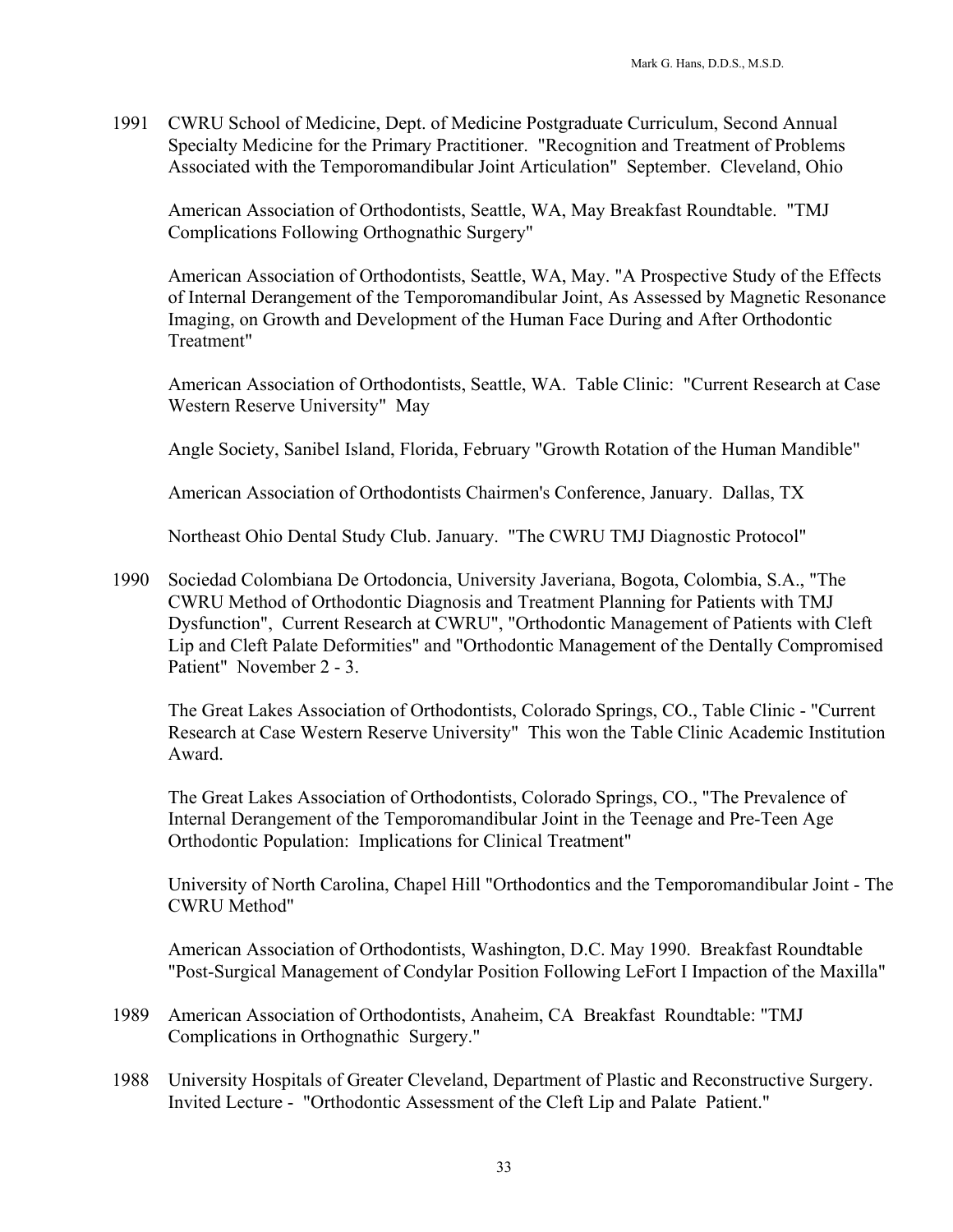1991 CWRU School of Medicine, Dept. of Medicine Postgraduate Curriculum, Second Annual Specialty Medicine for the Primary Practitioner. "Recognition and Treatment of Problems Associated with the Temporomandibular Joint Articulation" September. Cleveland, Ohio

 American Association of Orthodontists, Seattle, WA, May Breakfast Roundtable. "TMJ Complications Following Orthognathic Surgery"

 American Association of Orthodontists, Seattle, WA, May. "A Prospective Study of the Effects of Internal Derangement of the Temporomandibular Joint, As Assessed by Magnetic Resonance Imaging, on Growth and Development of the Human Face During and After Orthodontic Treatment"

American Association of Orthodontists, Seattle, WA. Table Clinic: "Current Research at Case Western Reserve University" May

Angle Society, Sanibel Island, Florida, February "Growth Rotation of the Human Mandible"

American Association of Orthodontists Chairmen's Conference, January. Dallas, TX

Northeast Ohio Dental Study Club. January. "The CWRU TMJ Diagnostic Protocol"

1990 Sociedad Colombiana De Ortodoncia, University Javeriana, Bogota, Colombia, S.A., "The CWRU Method of Orthodontic Diagnosis and Treatment Planning for Patients with TMJ Dysfunction", Current Research at CWRU", "Orthodontic Management of Patients with Cleft Lip and Cleft Palate Deformities" and "Orthodontic Management of the Dentally Compromised Patient" November 2 - 3.

The Great Lakes Association of Orthodontists, Colorado Springs, CO., Table Clinic - "Current Research at Case Western Reserve University" This won the Table Clinic Academic Institution Award.

 The Great Lakes Association of Orthodontists, Colorado Springs, CO., "The Prevalence of Internal Derangement of the Temporomandibular Joint in the Teenage and Pre-Teen Age Orthodontic Population: Implications for Clinical Treatment"

University of North Carolina, Chapel Hill "Orthodontics and the Temporomandibular Joint - The CWRU Method"

American Association of Orthodontists, Washington, D.C. May 1990. Breakfast Roundtable "Post-Surgical Management of Condylar Position Following LeFort I Impaction of the Maxilla"

- 1989 American Association of Orthodontists, Anaheim, CA Breakfast Roundtable: "TMJ Complications in Orthognathic Surgery."
- 1988 University Hospitals of Greater Cleveland, Department of Plastic and Reconstructive Surgery. Invited Lecture - "Orthodontic Assessment of the Cleft Lip and Palate Patient."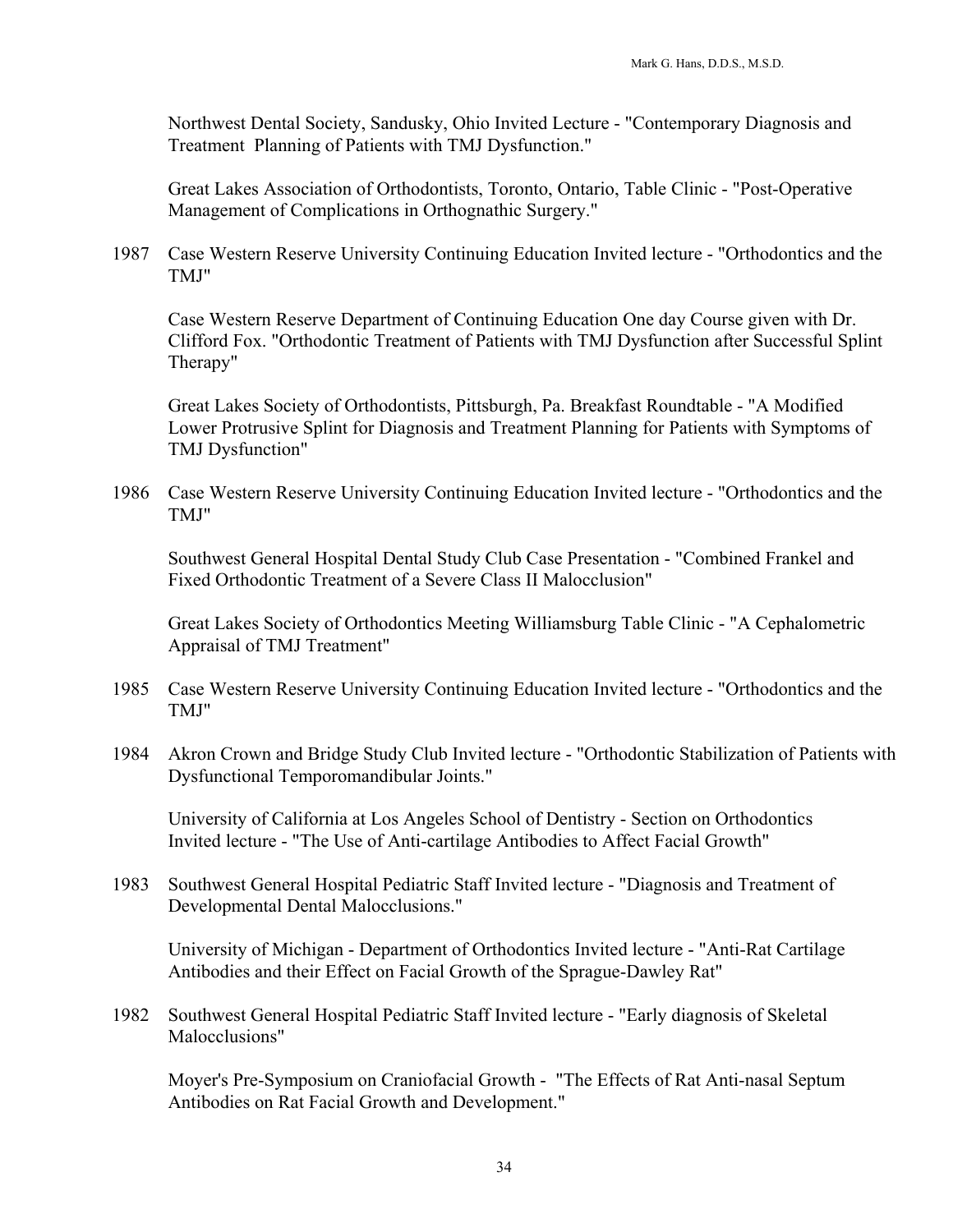Northwest Dental Society, Sandusky, Ohio Invited Lecture - "Contemporary Diagnosis and Treatment Planning of Patients with TMJ Dysfunction."

Great Lakes Association of Orthodontists, Toronto, Ontario, Table Clinic - "Post-Operative Management of Complications in Orthognathic Surgery."

1987 Case Western Reserve University Continuing Education Invited lecture - "Orthodontics and the TMJ"

Case Western Reserve Department of Continuing Education One day Course given with Dr. Clifford Fox. "Orthodontic Treatment of Patients with TMJ Dysfunction after Successful Splint Therapy"

Great Lakes Society of Orthodontists, Pittsburgh, Pa. Breakfast Roundtable - "A Modified Lower Protrusive Splint for Diagnosis and Treatment Planning for Patients with Symptoms of TMJ Dysfunction"

1986 Case Western Reserve University Continuing Education Invited lecture - "Orthodontics and the TMJ"

Southwest General Hospital Dental Study Club Case Presentation - "Combined Frankel and Fixed Orthodontic Treatment of a Severe Class II Malocclusion"

Great Lakes Society of Orthodontics Meeting Williamsburg Table Clinic - "A Cephalometric Appraisal of TMJ Treatment"

- 1985 Case Western Reserve University Continuing Education Invited lecture "Orthodontics and the TMJ"
- 1984 Akron Crown and Bridge Study Club Invited lecture "Orthodontic Stabilization of Patients with Dysfunctional Temporomandibular Joints."

University of California at Los Angeles School of Dentistry - Section on Orthodontics Invited lecture - "The Use of Anti-cartilage Antibodies to Affect Facial Growth"

1983 Southwest General Hospital Pediatric Staff Invited lecture - "Diagnosis and Treatment of Developmental Dental Malocclusions."

University of Michigan - Department of Orthodontics Invited lecture - "Anti-Rat Cartilage Antibodies and their Effect on Facial Growth of the Sprague-Dawley Rat"

1982 Southwest General Hospital Pediatric Staff Invited lecture - "Early diagnosis of Skeletal Malocclusions"

Moyer's Pre-Symposium on Craniofacial Growth - "The Effects of Rat Anti-nasal Septum Antibodies on Rat Facial Growth and Development."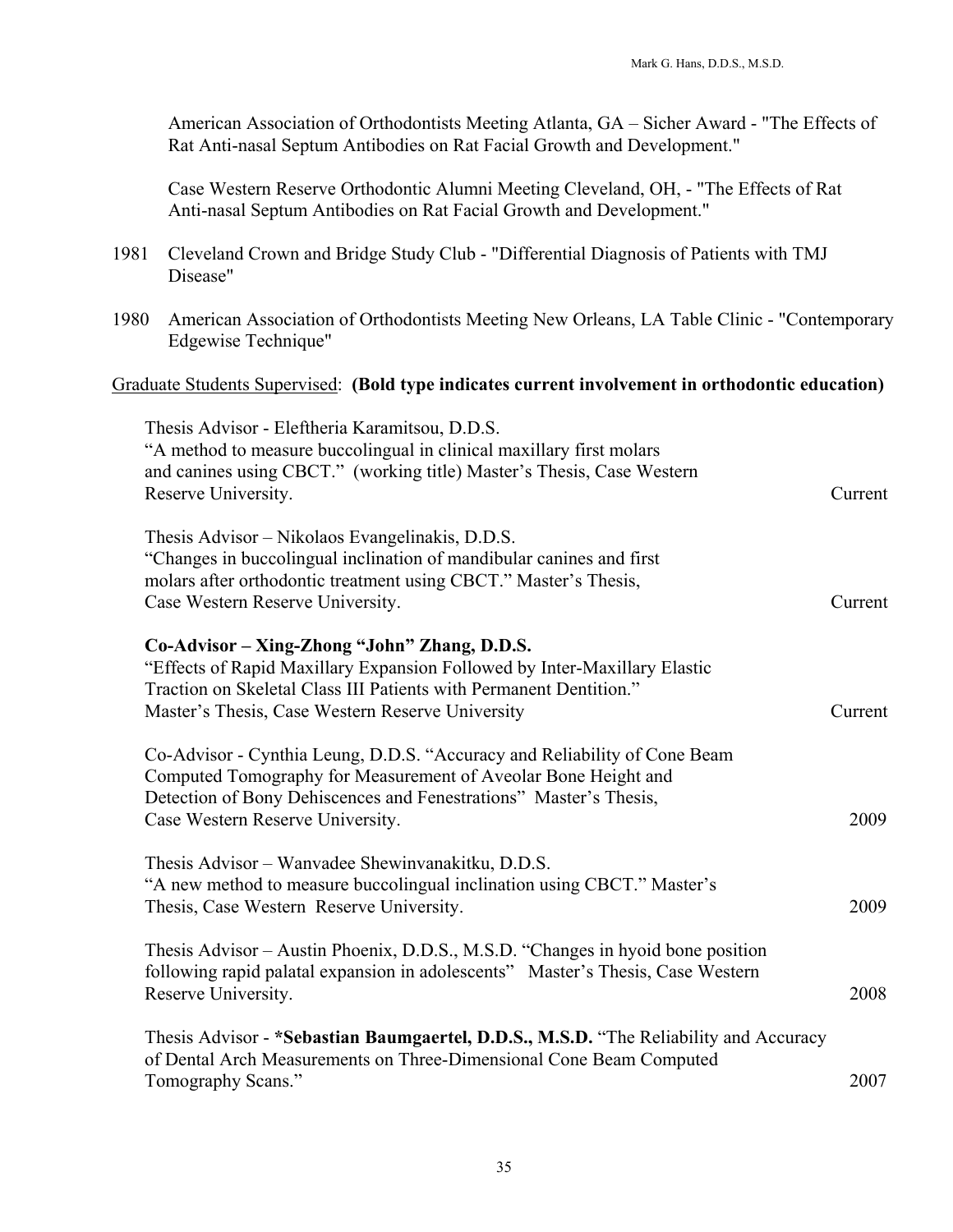American Association of Orthodontists Meeting Atlanta, GA – Sicher Award - "The Effects of Rat Anti-nasal Septum Antibodies on Rat Facial Growth and Development."

Case Western Reserve Orthodontic Alumni Meeting Cleveland, OH, - "The Effects of Rat Anti-nasal Septum Antibodies on Rat Facial Growth and Development."

- 1981 Cleveland Crown and Bridge Study Club "Differential Diagnosis of Patients with TMJ Disease"
- 1980 American Association of Orthodontists Meeting New Orleans, LA Table Clinic "Contemporary Edgewise Technique"

# Graduate Students Supervised: **(Bold type indicates current involvement in orthodontic education)**

| Thesis Advisor - Eleftheria Karamitsou, D.D.S.                                        |         |
|---------------------------------------------------------------------------------------|---------|
| "A method to measure buccolingual in clinical maxillary first molars                  |         |
| and canines using CBCT." (working title) Master's Thesis, Case Western                |         |
| Reserve University.                                                                   | Current |
|                                                                                       |         |
| Thesis Advisor – Nikolaos Evangelinakis, D.D.S.                                       |         |
| "Changes in buccolingual inclination of mandibular canines and first                  |         |
| molars after orthodontic treatment using CBCT." Master's Thesis,                      |         |
| Case Western Reserve University.                                                      | Current |
| Co-Advisor - Xing-Zhong "John" Zhang, D.D.S.                                          |         |
| "Effects of Rapid Maxillary Expansion Followed by Inter-Maxillary Elastic             |         |
| Traction on Skeletal Class III Patients with Permanent Dentition."                    |         |
| Master's Thesis, Case Western Reserve University                                      | Current |
|                                                                                       |         |
| Co-Advisor - Cynthia Leung, D.D.S. "Accuracy and Reliability of Cone Beam             |         |
| Computed Tomography for Measurement of Aveolar Bone Height and                        |         |
| Detection of Bony Dehiscences and Fenestrations" Master's Thesis,                     |         |
| Case Western Reserve University.                                                      | 2009    |
|                                                                                       |         |
| Thesis Advisor – Wanvadee Shewinvanakitku, D.D.S.                                     |         |
| "A new method to measure buccolingual inclination using CBCT." Master's               |         |
| Thesis, Case Western Reserve University.                                              | 2009    |
|                                                                                       |         |
| Thesis Advisor – Austin Phoenix, D.D.S., M.S.D. "Changes in hyoid bone position       |         |
| following rapid palatal expansion in adolescents" Master's Thesis, Case Western       |         |
| Reserve University.                                                                   | 2008    |
|                                                                                       |         |
| Thesis Advisor - *Sebastian Baumgaertel, D.D.S., M.S.D. "The Reliability and Accuracy |         |
| of Dental Arch Measurements on Three-Dimensional Cone Beam Computed                   |         |
| Tomography Scans."                                                                    | 2007    |
|                                                                                       |         |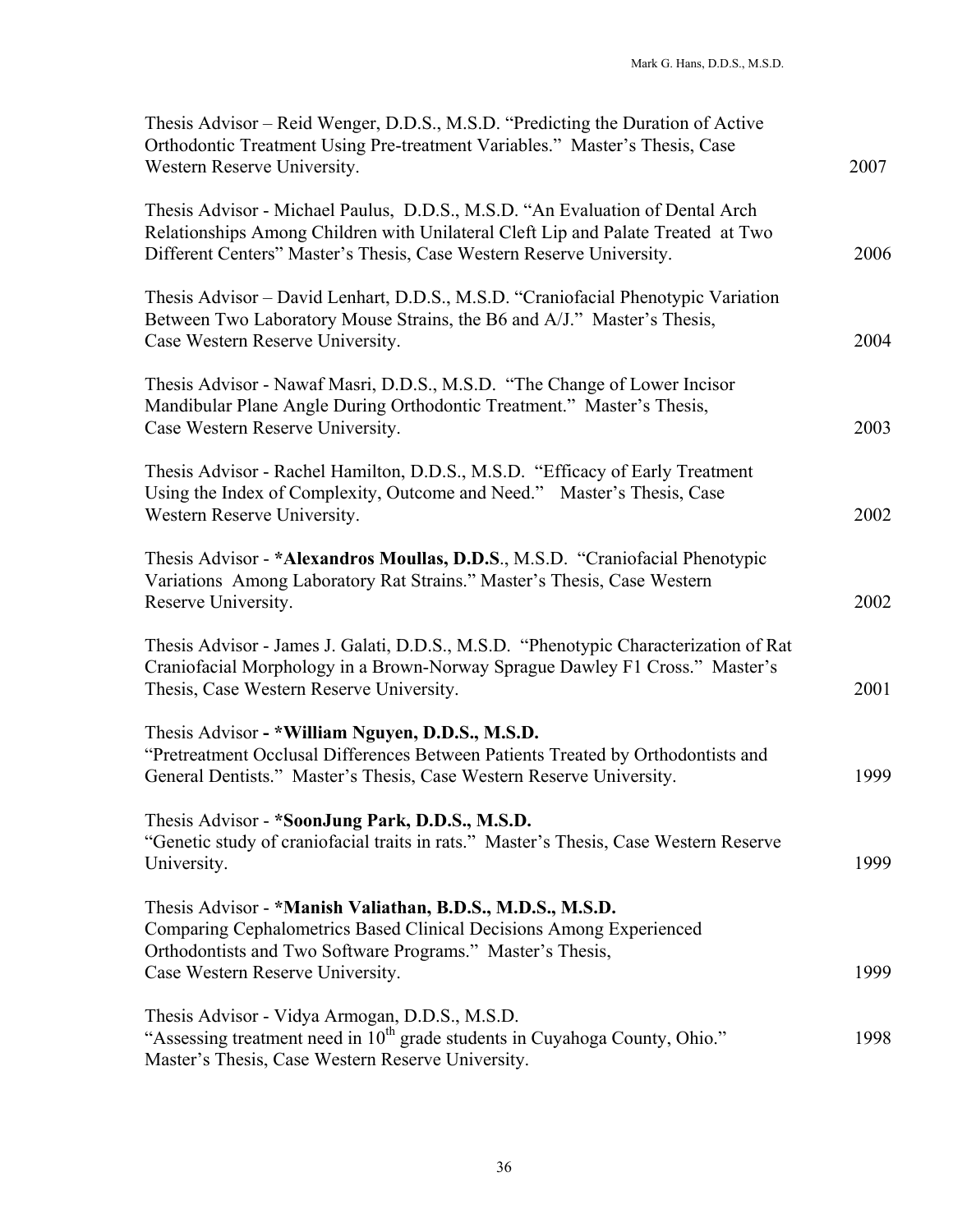| Thesis Advisor – Reid Wenger, D.D.S., M.S.D. "Predicting the Duration of Active<br>Orthodontic Treatment Using Pre-treatment Variables." Master's Thesis, Case<br>Western Reserve University.                                             | 2007 |
|-------------------------------------------------------------------------------------------------------------------------------------------------------------------------------------------------------------------------------------------|------|
| Thesis Advisor - Michael Paulus, D.D.S., M.S.D. "An Evaluation of Dental Arch<br>Relationships Among Children with Unilateral Cleft Lip and Palate Treated at Two<br>Different Centers" Master's Thesis, Case Western Reserve University. | 2006 |
| Thesis Advisor – David Lenhart, D.D.S., M.S.D. "Craniofacial Phenotypic Variation<br>Between Two Laboratory Mouse Strains, the B6 and A/J." Master's Thesis,<br>Case Western Reserve University.                                          | 2004 |
| Thesis Advisor - Nawaf Masri, D.D.S., M.S.D. "The Change of Lower Incisor<br>Mandibular Plane Angle During Orthodontic Treatment." Master's Thesis,<br>Case Western Reserve University.                                                   | 2003 |
| Thesis Advisor - Rachel Hamilton, D.D.S., M.S.D. "Efficacy of Early Treatment<br>Using the Index of Complexity, Outcome and Need." Master's Thesis, Case<br>Western Reserve University.                                                   | 2002 |
| Thesis Advisor - * Alexandros Moullas, D.D.S., M.S.D. "Craniofacial Phenotypic<br>Variations Among Laboratory Rat Strains." Master's Thesis, Case Western<br>Reserve University.                                                          | 2002 |
| Thesis Advisor - James J. Galati, D.D.S., M.S.D. "Phenotypic Characterization of Rat<br>Craniofacial Morphology in a Brown-Norway Sprague Dawley F1 Cross." Master's<br>Thesis, Case Western Reserve University.                          | 2001 |
| Thesis Advisor - *William Nguyen, D.D.S., M.S.D.<br>"Pretreatment Occlusal Differences Between Patients Treated by Orthodontists and<br>General Dentists." Master's Thesis, Case Western Reserve University.                              | 1999 |
| Thesis Advisor - *SoonJung Park, D.D.S., M.S.D.<br>"Genetic study of craniofacial traits in rats." Master's Thesis, Case Western Reserve<br>University.                                                                                   | 1999 |
| Thesis Advisor - *Manish Valiathan, B.D.S., M.D.S., M.S.D.<br>Comparing Cephalometrics Based Clinical Decisions Among Experienced<br>Orthodontists and Two Software Programs." Master's Thesis,<br>Case Western Reserve University.       | 1999 |
| Thesis Advisor - Vidya Armogan, D.D.S., M.S.D.<br>"Assessing treatment need in 10 <sup>th</sup> grade students in Cuyahoga County, Ohio."<br>Master's Thesis, Case Western Reserve University.                                            | 1998 |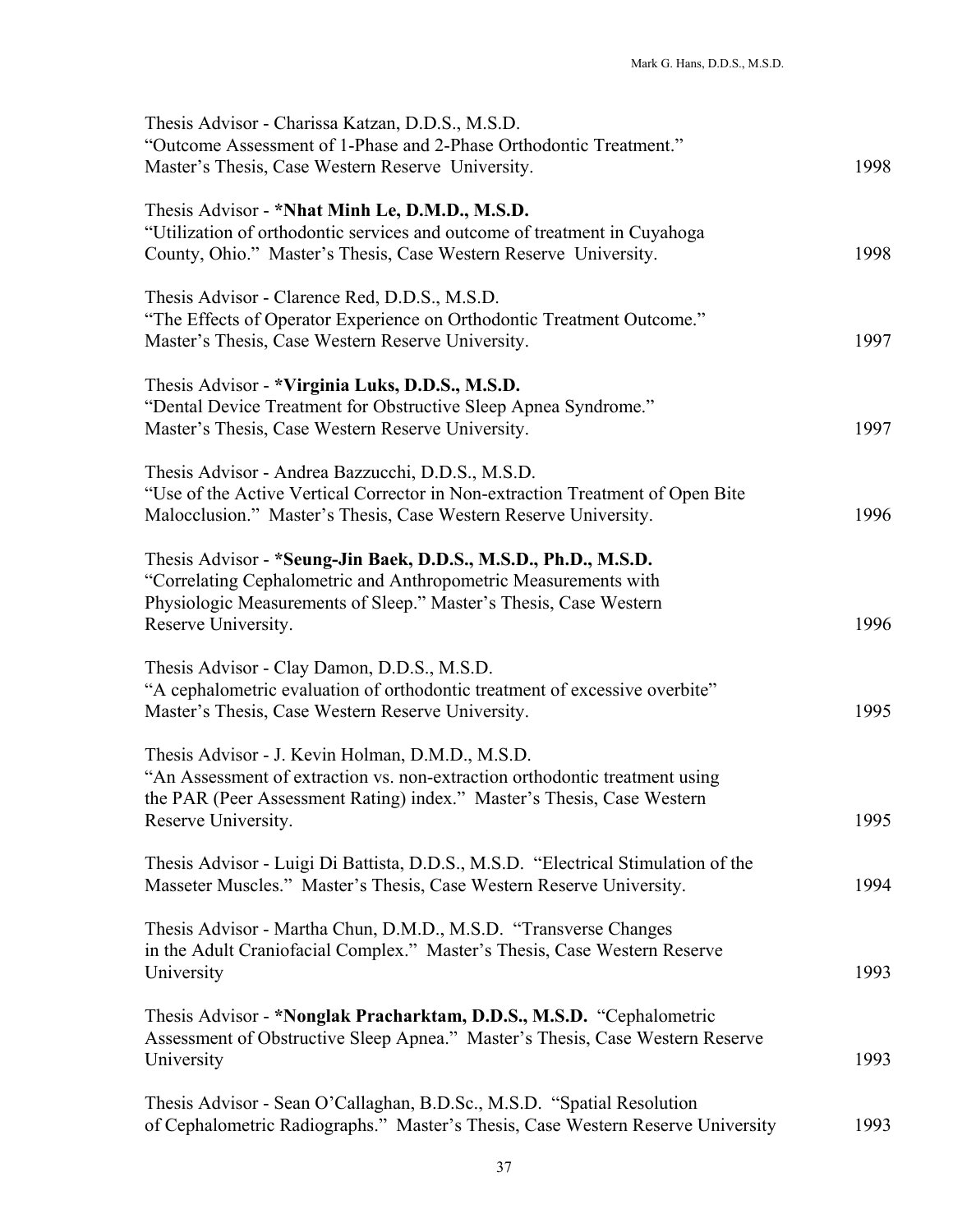| Thesis Advisor - Charissa Katzan, D.D.S., M.S.D.<br>"Outcome Assessment of 1-Phase and 2-Phase Orthodontic Treatment."<br>Master's Thesis, Case Western Reserve University.                                                      | 1998 |
|----------------------------------------------------------------------------------------------------------------------------------------------------------------------------------------------------------------------------------|------|
| Thesis Advisor - *Nhat Minh Le, D.M.D., M.S.D.<br>"Utilization of orthodontic services and outcome of treatment in Cuyahoga<br>County, Ohio." Master's Thesis, Case Western Reserve University.                                  | 1998 |
| Thesis Advisor - Clarence Red, D.D.S., M.S.D.<br>"The Effects of Operator Experience on Orthodontic Treatment Outcome."<br>Master's Thesis, Case Western Reserve University.                                                     | 1997 |
| Thesis Advisor - *Virginia Luks, D.D.S., M.S.D.<br>"Dental Device Treatment for Obstructive Sleep Apnea Syndrome."<br>Master's Thesis, Case Western Reserve University.                                                          | 1997 |
| Thesis Advisor - Andrea Bazzucchi, D.D.S., M.S.D.<br>"Use of the Active Vertical Corrector in Non-extraction Treatment of Open Bite<br>Malocclusion." Master's Thesis, Case Western Reserve University.                          | 1996 |
| Thesis Advisor - *Seung-Jin Baek, D.D.S., M.S.D., Ph.D., M.S.D.<br>"Correlating Cephalometric and Anthropometric Measurements with<br>Physiologic Measurements of Sleep." Master's Thesis, Case Western<br>Reserve University.   | 1996 |
| Thesis Advisor - Clay Damon, D.D.S., M.S.D.<br>"A cephalometric evaluation of orthodontic treatment of excessive overbite"<br>Master's Thesis, Case Western Reserve University.                                                  | 1995 |
| Thesis Advisor - J. Kevin Holman, D.M.D., M.S.D.<br>"An Assessment of extraction vs. non-extraction orthodontic treatment using<br>the PAR (Peer Assessment Rating) index." Master's Thesis, Case Western<br>Reserve University. | 1995 |
| Thesis Advisor - Luigi Di Battista, D.D.S., M.S.D. "Electrical Stimulation of the<br>Masseter Muscles." Master's Thesis, Case Western Reserve University.                                                                        | 1994 |
| Thesis Advisor - Martha Chun, D.M.D., M.S.D. "Transverse Changes"<br>in the Adult Craniofacial Complex." Master's Thesis, Case Western Reserve<br>University                                                                     | 1993 |
| Thesis Advisor - *Nonglak Pracharktam, D.D.S., M.S.D. "Cephalometric<br>Assessment of Obstructive Sleep Apnea." Master's Thesis, Case Western Reserve<br>University                                                              | 1993 |
| Thesis Advisor - Sean O'Callaghan, B.D.Sc., M.S.D. "Spatial Resolution"<br>of Cephalometric Radiographs." Master's Thesis, Case Western Reserve University                                                                       | 1993 |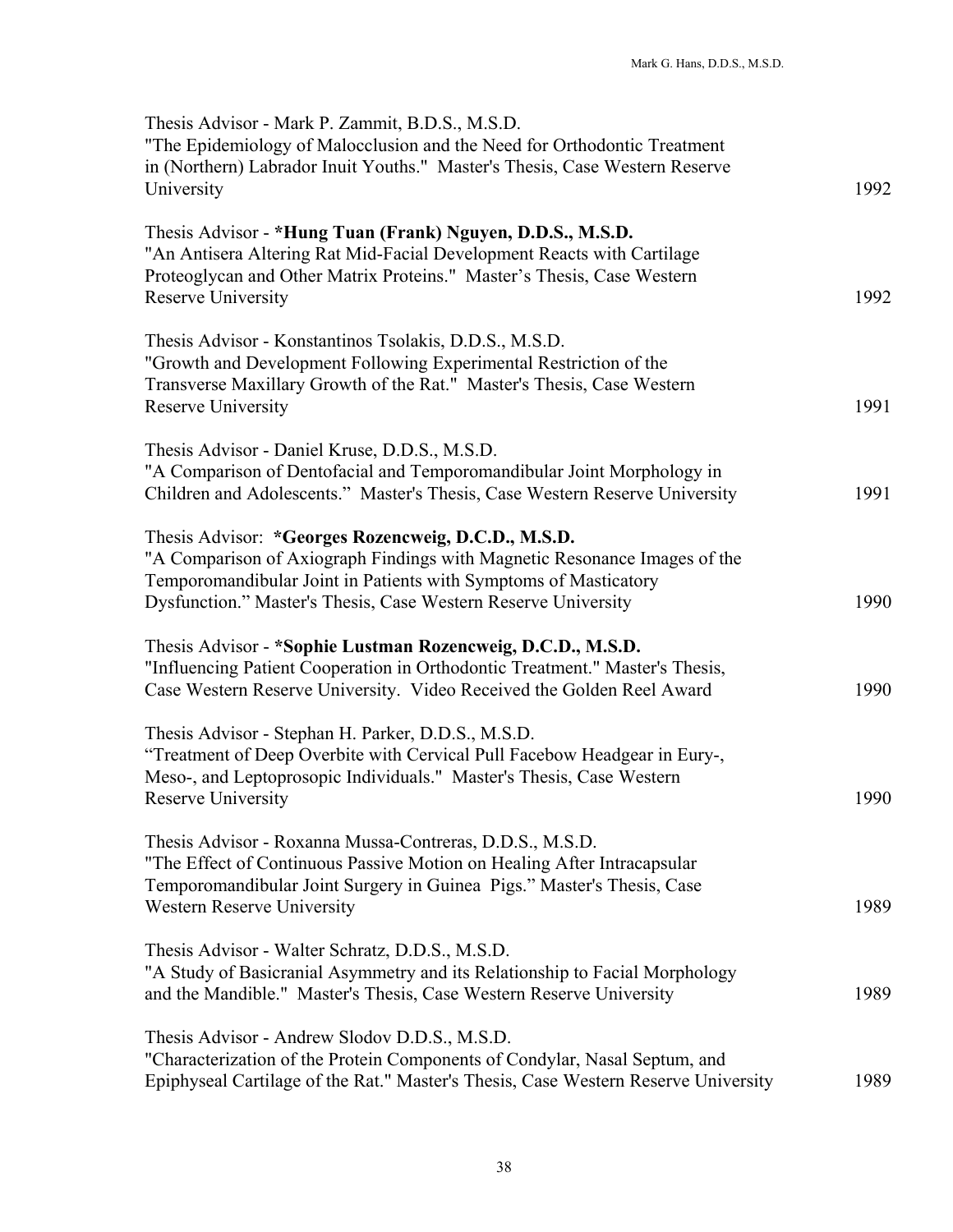| Thesis Advisor - Mark P. Zammit, B.D.S., M.S.D.<br>"The Epidemiology of Malocclusion and the Need for Orthodontic Treatment<br>in (Northern) Labrador Inuit Youths." Master's Thesis, Case Western Reserve<br>University                                               | 1992 |
|------------------------------------------------------------------------------------------------------------------------------------------------------------------------------------------------------------------------------------------------------------------------|------|
| Thesis Advisor - *Hung Tuan (Frank) Nguyen, D.D.S., M.S.D.<br>"An Antisera Altering Rat Mid-Facial Development Reacts with Cartilage<br>Proteoglycan and Other Matrix Proteins." Master's Thesis, Case Western<br>Reserve University                                   | 1992 |
| Thesis Advisor - Konstantinos Tsolakis, D.D.S., M.S.D.<br>"Growth and Development Following Experimental Restriction of the<br>Transverse Maxillary Growth of the Rat." Master's Thesis, Case Western<br>Reserve University                                            | 1991 |
| Thesis Advisor - Daniel Kruse, D.D.S., M.S.D.<br>"A Comparison of Dentofacial and Temporomandibular Joint Morphology in<br>Children and Adolescents." Master's Thesis, Case Western Reserve University                                                                 | 1991 |
| Thesis Advisor: *Georges Rozencweig, D.C.D., M.S.D.<br>"A Comparison of Axiograph Findings with Magnetic Resonance Images of the<br>Temporomandibular Joint in Patients with Symptoms of Masticatory<br>Dysfunction." Master's Thesis, Case Western Reserve University | 1990 |
| Thesis Advisor - *Sophie Lustman Rozencweig, D.C.D., M.S.D.<br>"Influencing Patient Cooperation in Orthodontic Treatment." Master's Thesis,<br>Case Western Reserve University. Video Received the Golden Reel Award                                                   | 1990 |
| Thesis Advisor - Stephan H. Parker, D.D.S., M.S.D.<br>"Treatment of Deep Overbite with Cervical Pull Facebow Headgear in Eury-,<br>Meso-, and Leptoprosopic Individuals." Master's Thesis, Case Western<br>Reserve University                                          | 1990 |
| Thesis Advisor - Roxanna Mussa-Contreras, D.D.S., M.S.D.<br>"The Effect of Continuous Passive Motion on Healing After Intracapsular<br>Temporomandibular Joint Surgery in Guinea Pigs." Master's Thesis, Case<br><b>Western Reserve University</b>                     | 1989 |
| Thesis Advisor - Walter Schratz, D.D.S., M.S.D.<br>"A Study of Basicranial Asymmetry and its Relationship to Facial Morphology<br>and the Mandible." Master's Thesis, Case Western Reserve University                                                                  | 1989 |
| Thesis Advisor - Andrew Slodov D.D.S., M.S.D.<br>"Characterization of the Protein Components of Condylar, Nasal Septum, and<br>Epiphyseal Cartilage of the Rat." Master's Thesis, Case Western Reserve University                                                      | 1989 |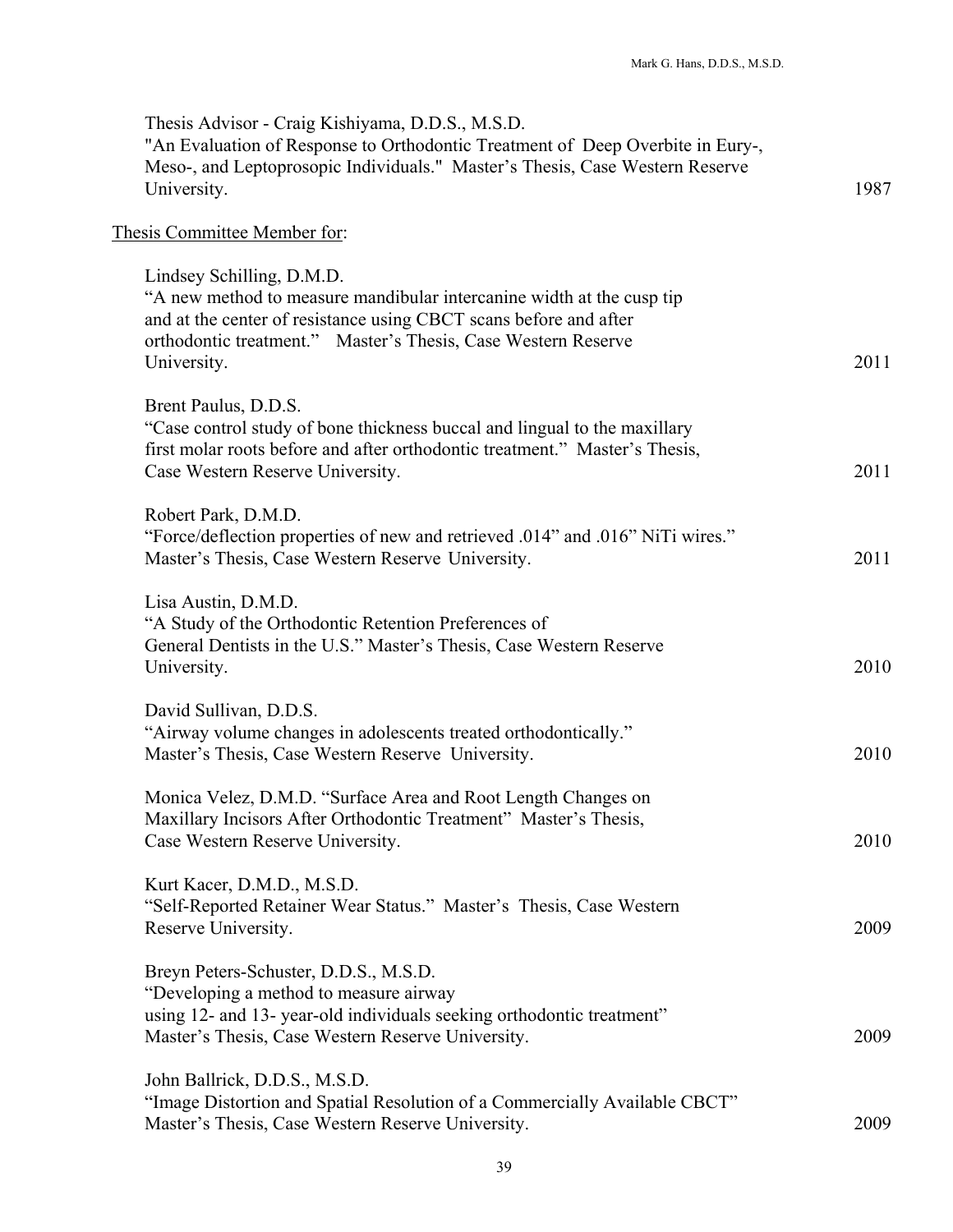| Thesis Advisor - Craig Kishiyama, D.D.S., M.S.D.<br>"An Evaluation of Response to Orthodontic Treatment of Deep Overbite in Eury-,<br>Meso-, and Leptoprosopic Individuals." Master's Thesis, Case Western Reserve<br>University.                       | 1987 |
|---------------------------------------------------------------------------------------------------------------------------------------------------------------------------------------------------------------------------------------------------------|------|
| Thesis Committee Member for:                                                                                                                                                                                                                            |      |
| Lindsey Schilling, D.M.D.<br>"A new method to measure mandibular intercanine width at the cusp tip<br>and at the center of resistance using CBCT scans before and after<br>orthodontic treatment." Master's Thesis, Case Western Reserve<br>University. | 2011 |
| Brent Paulus, D.D.S.<br>"Case control study of bone thickness buccal and lingual to the maxillary<br>first molar roots before and after orthodontic treatment." Master's Thesis,<br>Case Western Reserve University.                                    | 2011 |
| Robert Park, D.M.D.<br>"Force/deflection properties of new and retrieved .014" and .016" NiTi wires."<br>Master's Thesis, Case Western Reserve University.                                                                                              | 2011 |
| Lisa Austin, D.M.D.<br>"A Study of the Orthodontic Retention Preferences of<br>General Dentists in the U.S." Master's Thesis, Case Western Reserve<br>University.                                                                                       | 2010 |
| David Sullivan, D.D.S.<br>"Airway volume changes in adolescents treated orthodontically."<br>Master's Thesis, Case Western Reserve University.                                                                                                          | 2010 |
| Monica Velez, D.M.D. "Surface Area and Root Length Changes on<br>Maxillary Incisors After Orthodontic Treatment" Master's Thesis,<br>Case Western Reserve University.                                                                                   | 2010 |
| Kurt Kacer, D.M.D., M.S.D.<br>"Self-Reported Retainer Wear Status." Master's Thesis, Case Western<br>Reserve University.                                                                                                                                | 2009 |
| Breyn Peters-Schuster, D.D.S., M.S.D.<br>"Developing a method to measure airway<br>using 12- and 13- year-old individuals seeking orthodontic treatment"<br>Master's Thesis, Case Western Reserve University.                                           | 2009 |
| John Ballrick, D.D.S., M.S.D.<br>"Image Distortion and Spatial Resolution of a Commercially Available CBCT"<br>Master's Thesis, Case Western Reserve University.                                                                                        | 2009 |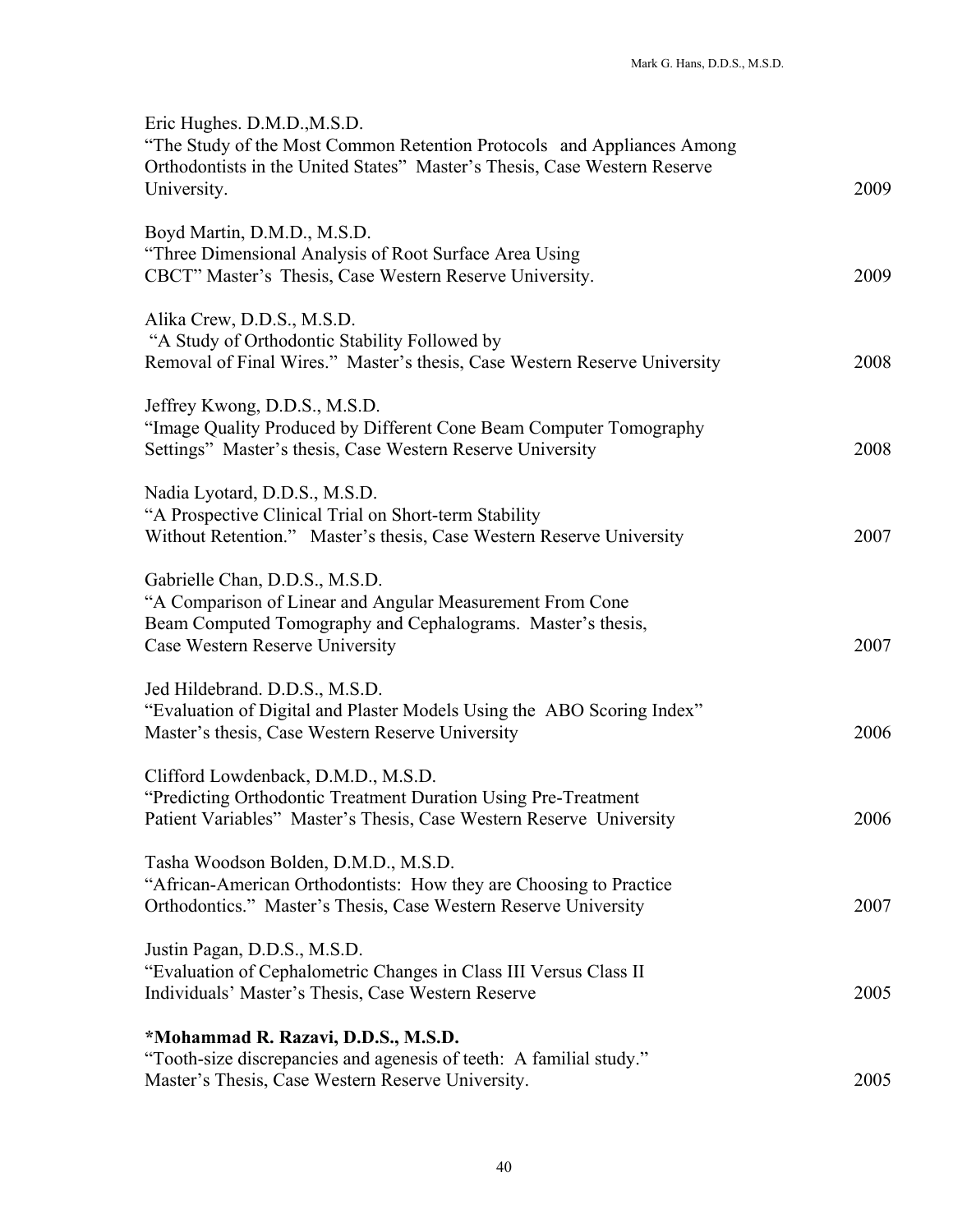| Eric Hughes. D.M.D., M.S.D.<br>"The Study of the Most Common Retention Protocols and Appliances Among<br>Orthodontists in the United States" Master's Thesis, Case Western Reserve<br>University. | 2009 |
|---------------------------------------------------------------------------------------------------------------------------------------------------------------------------------------------------|------|
| Boyd Martin, D.M.D., M.S.D.<br>"Three Dimensional Analysis of Root Surface Area Using<br>CBCT" Master's Thesis, Case Western Reserve University.                                                  | 2009 |
| Alika Crew, D.D.S., M.S.D.<br>"A Study of Orthodontic Stability Followed by<br>Removal of Final Wires." Master's thesis, Case Western Reserve University                                          | 2008 |
| Jeffrey Kwong, D.D.S., M.S.D.<br>"Image Quality Produced by Different Cone Beam Computer Tomography<br>Settings" Master's thesis, Case Western Reserve University                                 | 2008 |
| Nadia Lyotard, D.D.S., M.S.D.<br>"A Prospective Clinical Trial on Short-term Stability<br>Without Retention." Master's thesis, Case Western Reserve University                                    | 2007 |
| Gabrielle Chan, D.D.S., M.S.D.<br>"A Comparison of Linear and Angular Measurement From Cone<br>Beam Computed Tomography and Cephalograms. Master's thesis,<br>Case Western Reserve University     | 2007 |
| Jed Hildebrand. D.D.S., M.S.D.<br>"Evaluation of Digital and Plaster Models Using the ABO Scoring Index"<br>Master's thesis, Case Western Reserve University                                      | 2006 |
| Clifford Lowdenback, D.M.D., M.S.D.<br>"Predicting Orthodontic Treatment Duration Using Pre-Treatment<br>Patient Variables" Master's Thesis, Case Western Reserve University                      | 2006 |
| Tasha Woodson Bolden, D.M.D., M.S.D.<br>"African-American Orthodontists: How they are Choosing to Practice<br>Orthodontics." Master's Thesis, Case Western Reserve University                     | 2007 |
| Justin Pagan, D.D.S., M.S.D.<br>"Evaluation of Cephalometric Changes in Class III Versus Class II<br>Individuals' Master's Thesis, Case Western Reserve                                           | 2005 |
| *Mohammad R. Razavi, D.D.S., M.S.D.<br>"Tooth-size discrepancies and agenesis of teeth: A familial study."<br>Master's Thesis, Case Western Reserve University.                                   | 2005 |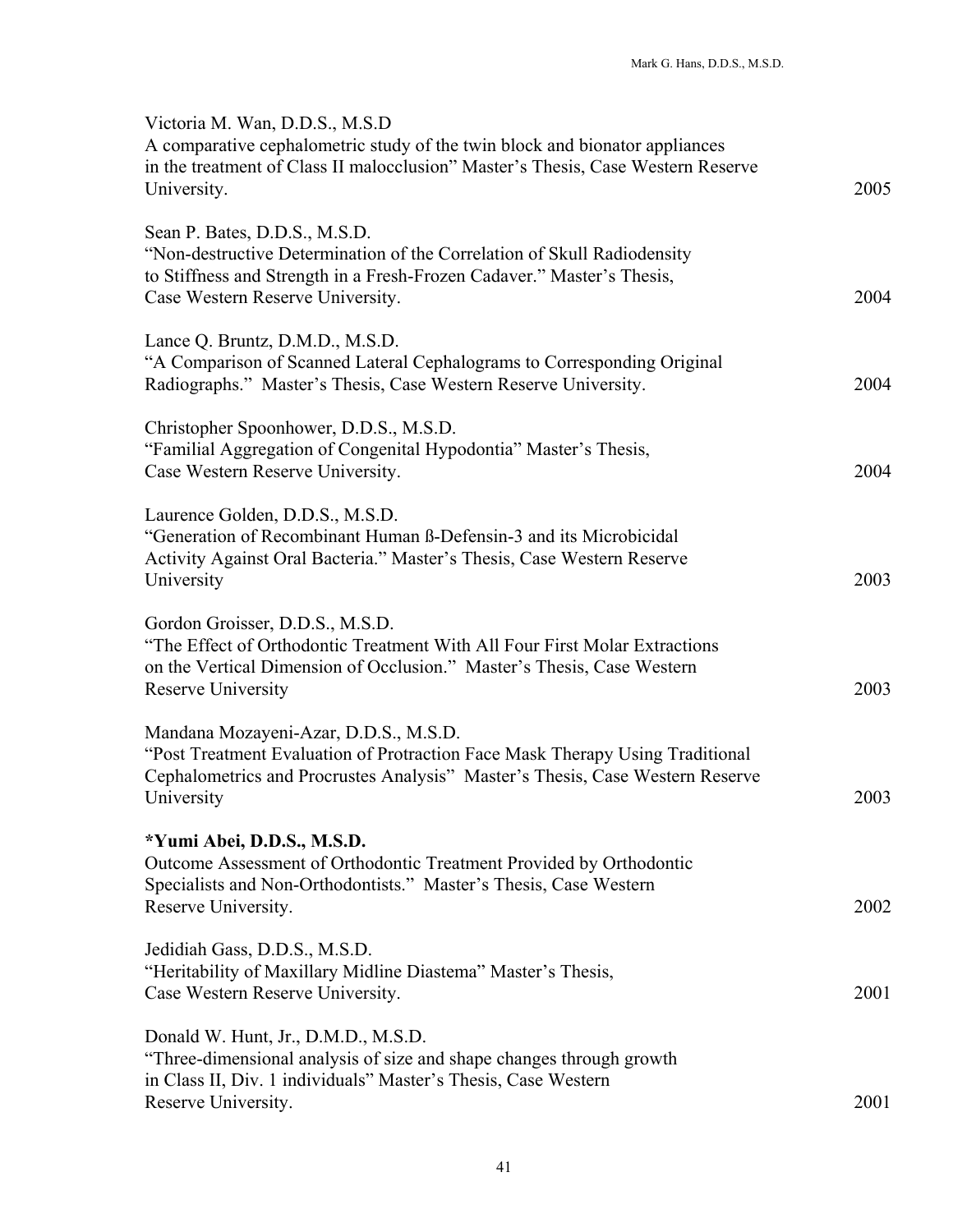| Victoria M. Wan, D.D.S., M.S.D<br>A comparative cephalometric study of the twin block and bionator appliances<br>in the treatment of Class II malocclusion" Master's Thesis, Case Western Reserve<br>University.       | 2005 |
|------------------------------------------------------------------------------------------------------------------------------------------------------------------------------------------------------------------------|------|
| Sean P. Bates, D.D.S., M.S.D.<br>"Non-destructive Determination of the Correlation of Skull Radiodensity<br>to Stiffness and Strength in a Fresh-Frozen Cadaver." Master's Thesis,<br>Case Western Reserve University. | 2004 |
| Lance Q. Bruntz, D.M.D., M.S.D.<br>"A Comparison of Scanned Lateral Cephalograms to Corresponding Original<br>Radiographs." Master's Thesis, Case Western Reserve University.                                          | 2004 |
| Christopher Spoonhower, D.D.S., M.S.D.<br>"Familial Aggregation of Congenital Hypodontia" Master's Thesis,<br>Case Western Reserve University.                                                                         | 2004 |
| Laurence Golden, D.D.S., M.S.D.<br>"Generation of Recombinant Human B-Defensin-3 and its Microbicidal<br>Activity Against Oral Bacteria." Master's Thesis, Case Western Reserve<br>University                          | 2003 |
| Gordon Groisser, D.D.S., M.S.D.<br>"The Effect of Orthodontic Treatment With All Four First Molar Extractions<br>on the Vertical Dimension of Occlusion." Master's Thesis, Case Western<br>Reserve University          | 2003 |
| Mandana Mozayeni-Azar, D.D.S., M.S.D.<br>"Post Treatment Evaluation of Protraction Face Mask Therapy Using Traditional<br>Cephalometrics and Procrustes Analysis" Master's Thesis, Case Western Reserve<br>University  | 2003 |
| *Yumi Abei, D.D.S., M.S.D.<br>Outcome Assessment of Orthodontic Treatment Provided by Orthodontic<br>Specialists and Non-Orthodontists." Master's Thesis, Case Western<br>Reserve University.                          | 2002 |
| Jedidiah Gass, D.D.S., M.S.D.<br>"Heritability of Maxillary Midline Diastema" Master's Thesis,<br>Case Western Reserve University.                                                                                     | 2001 |
| Donald W. Hunt, Jr., D.M.D., M.S.D.<br>"Three-dimensional analysis of size and shape changes through growth<br>in Class II, Div. 1 individuals" Master's Thesis, Case Western<br>Reserve University.                   | 2001 |
|                                                                                                                                                                                                                        |      |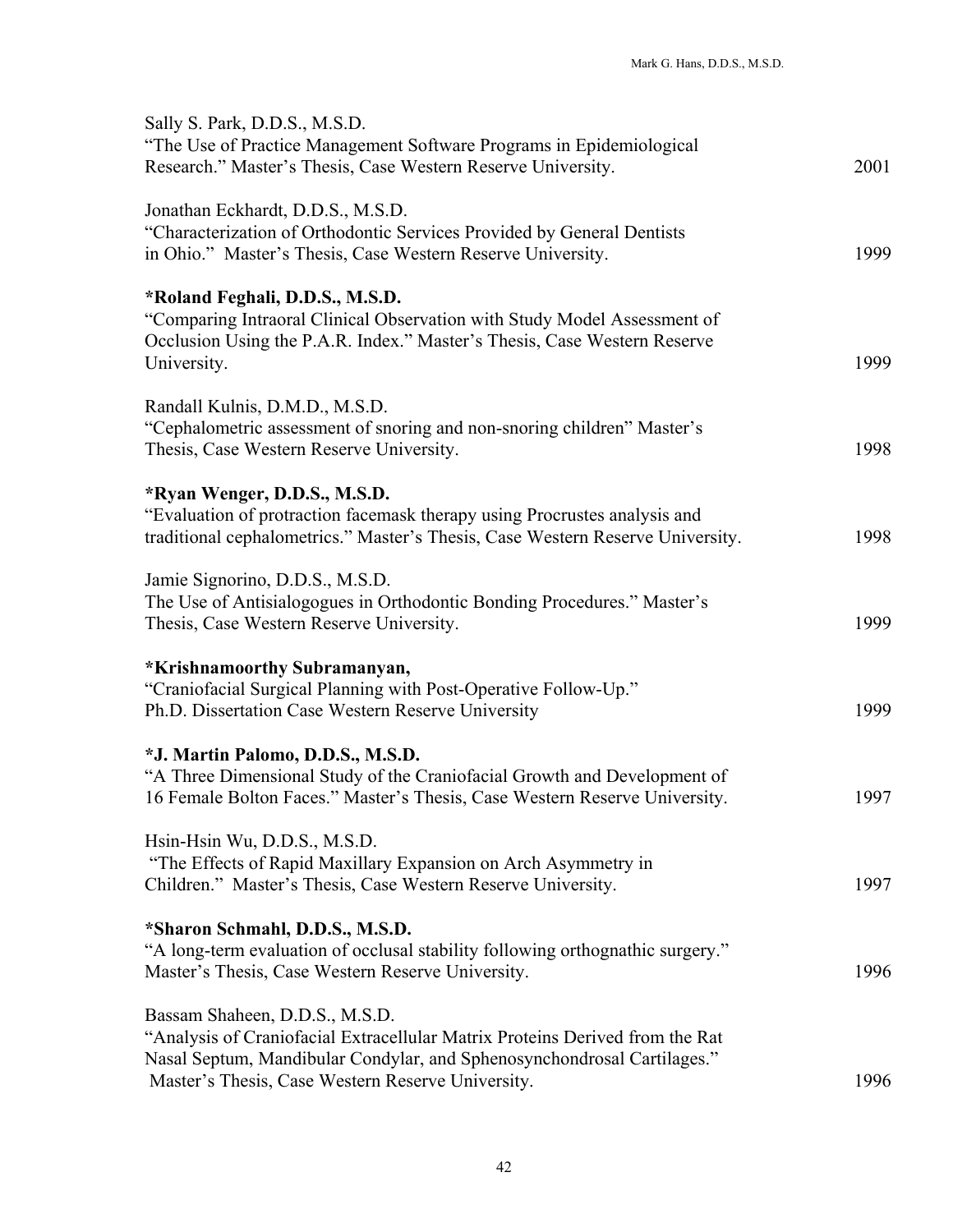| Sally S. Park, D.D.S., M.S.D.<br>"The Use of Practice Management Software Programs in Epidemiological<br>Research." Master's Thesis, Case Western Reserve University.                                                                          | 2001 |
|------------------------------------------------------------------------------------------------------------------------------------------------------------------------------------------------------------------------------------------------|------|
| Jonathan Eckhardt, D.D.S., M.S.D.<br>"Characterization of Orthodontic Services Provided by General Dentists<br>in Ohio." Master's Thesis, Case Western Reserve University.                                                                     | 1999 |
| *Roland Feghali, D.D.S., M.S.D.<br>"Comparing Intraoral Clinical Observation with Study Model Assessment of<br>Occlusion Using the P.A.R. Index." Master's Thesis, Case Western Reserve<br>University.                                         | 1999 |
| Randall Kulnis, D.M.D., M.S.D.<br>"Cephalometric assessment of snoring and non-snoring children" Master's<br>Thesis, Case Western Reserve University.                                                                                          | 1998 |
| *Ryan Wenger, D.D.S., M.S.D.<br>"Evaluation of protraction facemask therapy using Procrustes analysis and<br>traditional cephalometrics." Master's Thesis, Case Western Reserve University.                                                    | 1998 |
| Jamie Signorino, D.D.S., M.S.D.<br>The Use of Antisialogogues in Orthodontic Bonding Procedures." Master's<br>Thesis, Case Western Reserve University.                                                                                         | 1999 |
| *Krishnamoorthy Subramanyan,<br>"Craniofacial Surgical Planning with Post-Operative Follow-Up."<br>Ph.D. Dissertation Case Western Reserve University                                                                                          | 1999 |
| *J. Martin Palomo, D.D.S., M.S.D.<br>"A Three Dimensional Study of the Craniofacial Growth and Development of<br>16 Female Bolton Faces." Master's Thesis, Case Western Reserve University.                                                    | 1997 |
| Hsin-Hsin Wu, D.D.S., M.S.D.<br>"The Effects of Rapid Maxillary Expansion on Arch Asymmetry in<br>Children." Master's Thesis, Case Western Reserve University.                                                                                 | 1997 |
| *Sharon Schmahl, D.D.S., M.S.D.<br>"A long-term evaluation of occlusal stability following orthognathic surgery."<br>Master's Thesis, Case Western Reserve University.                                                                         | 1996 |
| Bassam Shaheen, D.D.S., M.S.D.<br>"Analysis of Craniofacial Extracellular Matrix Proteins Derived from the Rat<br>Nasal Septum, Mandibular Condylar, and Sphenosynchondrosal Cartilages."<br>Master's Thesis, Case Western Reserve University. | 1996 |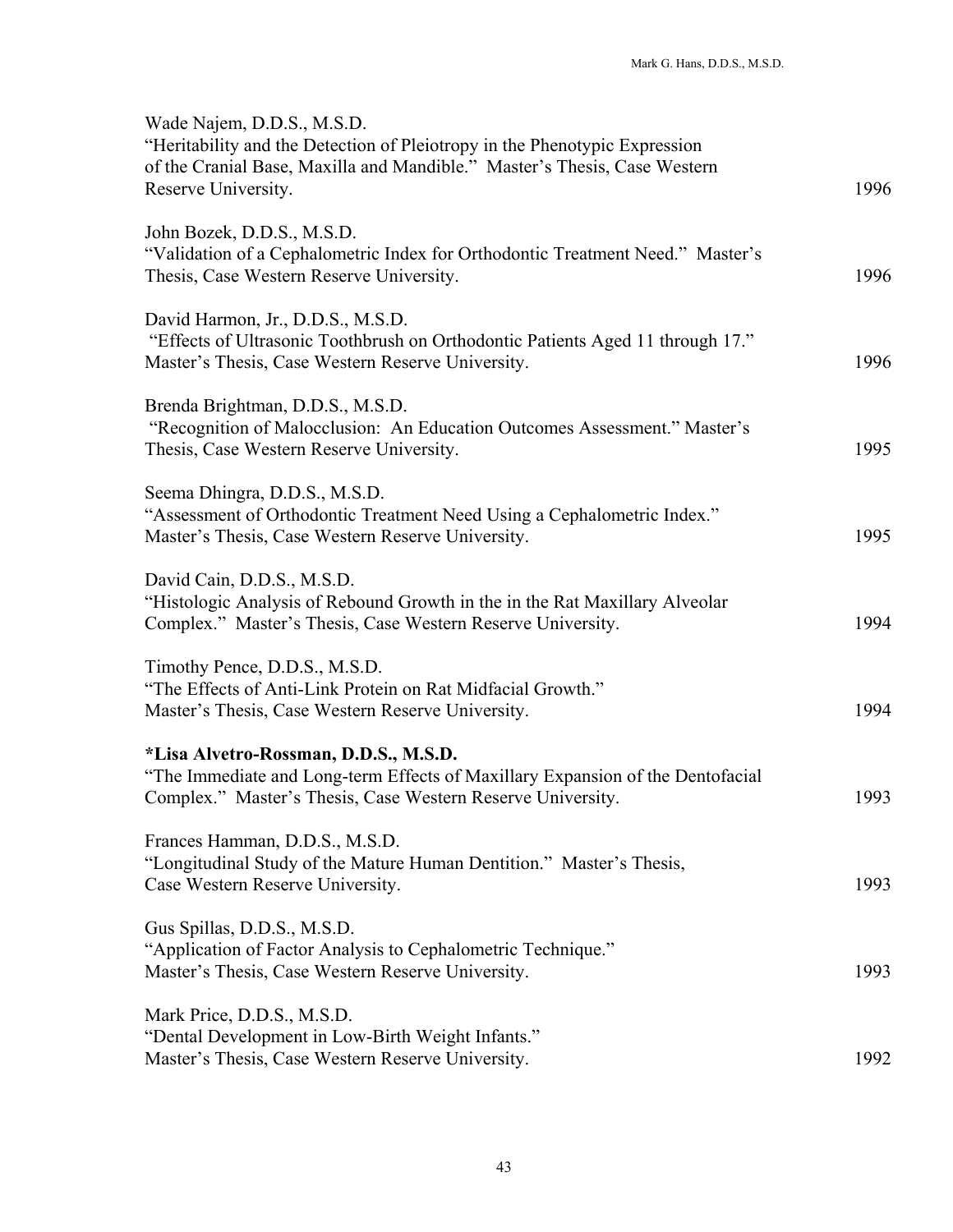| Wade Najem, D.D.S., M.S.D.<br>"Heritability and the Detection of Pleiotropy in the Phenotypic Expression<br>of the Cranial Base, Maxilla and Mandible." Master's Thesis, Case Western<br>Reserve University. | 1996 |
|--------------------------------------------------------------------------------------------------------------------------------------------------------------------------------------------------------------|------|
| John Bozek, D.D.S., M.S.D.<br>"Validation of a Cephalometric Index for Orthodontic Treatment Need." Master's<br>Thesis, Case Western Reserve University.                                                     | 1996 |
| David Harmon, Jr., D.D.S., M.S.D.<br>"Effects of Ultrasonic Toothbrush on Orthodontic Patients Aged 11 through 17."<br>Master's Thesis, Case Western Reserve University.                                     | 1996 |
| Brenda Brightman, D.D.S., M.S.D.<br>"Recognition of Malocclusion: An Education Outcomes Assessment." Master's<br>Thesis, Case Western Reserve University.                                                    | 1995 |
| Seema Dhingra, D.D.S., M.S.D.<br>"Assessment of Orthodontic Treatment Need Using a Cephalometric Index."<br>Master's Thesis, Case Western Reserve University.                                                | 1995 |
| David Cain, D.D.S., M.S.D.<br>"Histologic Analysis of Rebound Growth in the in the Rat Maxillary Alveolar<br>Complex." Master's Thesis, Case Western Reserve University.                                     | 1994 |
| Timothy Pence, D.D.S., M.S.D.<br>"The Effects of Anti-Link Protein on Rat Midfacial Growth."<br>Master's Thesis, Case Western Reserve University.                                                            | 1994 |
| *Lisa Alvetro-Rossman, D.D.S., M.S.D.<br>"The Immediate and Long-term Effects of Maxillary Expansion of the Dentofacial<br>Complex." Master's Thesis, Case Western Reserve University.                       | 1993 |
| Frances Hamman, D.D.S., M.S.D.<br>"Longitudinal Study of the Mature Human Dentition." Master's Thesis,<br>Case Western Reserve University.                                                                   | 1993 |
| Gus Spillas, D.D.S., M.S.D.<br>"Application of Factor Analysis to Cephalometric Technique."<br>Master's Thesis, Case Western Reserve University.                                                             | 1993 |
| Mark Price, D.D.S., M.S.D.<br>"Dental Development in Low-Birth Weight Infants."<br>Master's Thesis, Case Western Reserve University.                                                                         | 1992 |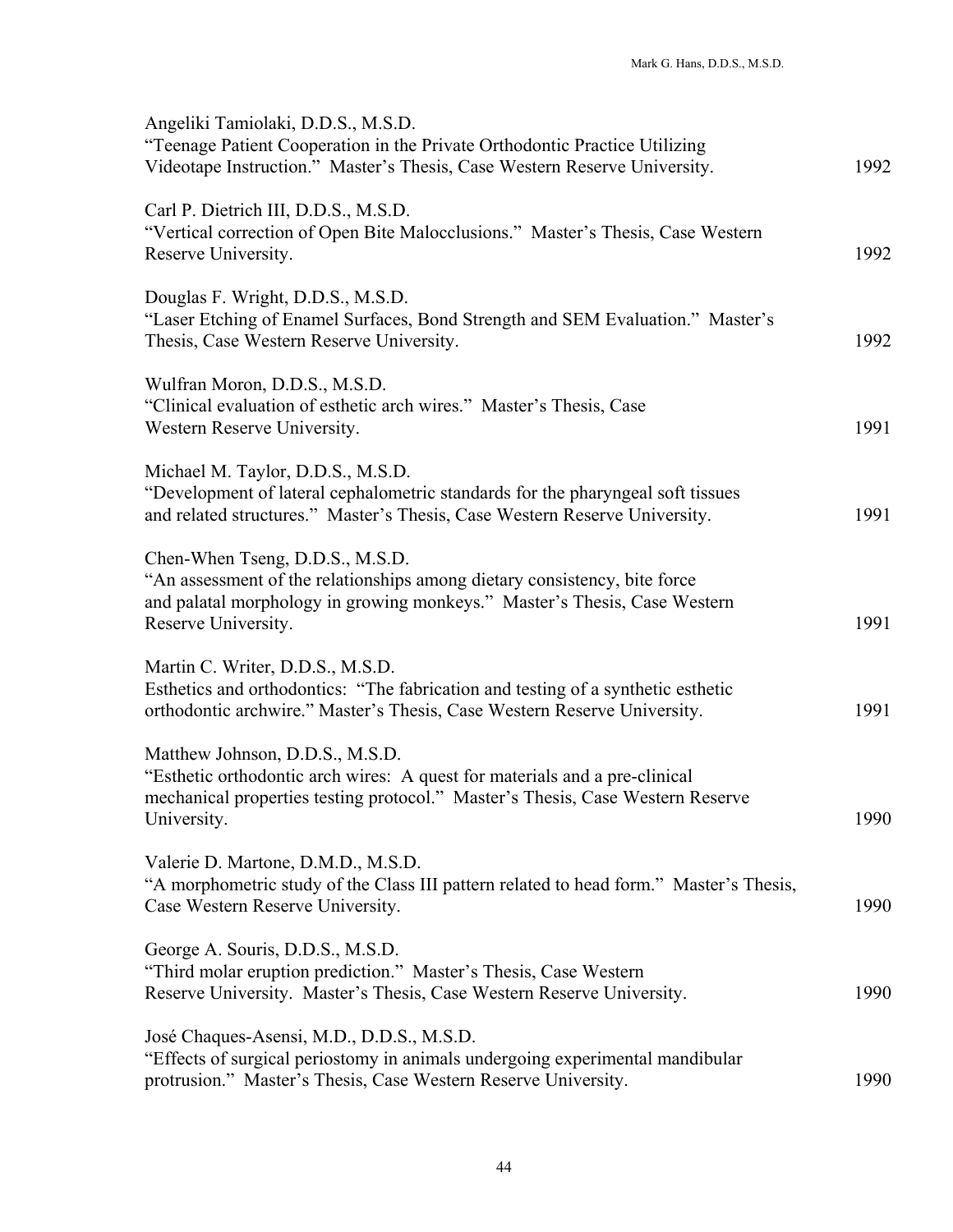| Angeliki Tamiolaki, D.D.S., M.S.D.<br>"Teenage Patient Cooperation in the Private Orthodontic Practice Utilizing<br>Videotape Instruction." Master's Thesis, Case Western Reserve University.                    | 1992 |
|------------------------------------------------------------------------------------------------------------------------------------------------------------------------------------------------------------------|------|
| Carl P. Dietrich III, D.D.S., M.S.D.<br>"Vertical correction of Open Bite Malocclusions." Master's Thesis, Case Western<br>Reserve University.                                                                   | 1992 |
| Douglas F. Wright, D.D.S., M.S.D.<br>"Laser Etching of Enamel Surfaces, Bond Strength and SEM Evaluation." Master's<br>Thesis, Case Western Reserve University.                                                  | 1992 |
| Wulfran Moron, D.D.S., M.S.D.<br>"Clinical evaluation of esthetic arch wires." Master's Thesis, Case<br>Western Reserve University.                                                                              | 1991 |
| Michael M. Taylor, D.D.S., M.S.D.<br>"Development of lateral cephalometric standards for the pharyngeal soft tissues<br>and related structures." Master's Thesis, Case Western Reserve University.               | 1991 |
| Chen-When Tseng, D.D.S., M.S.D.<br>"An assessment of the relationships among dietary consistency, bite force<br>and palatal morphology in growing monkeys." Master's Thesis, Case Western<br>Reserve University. | 1991 |
| Martin C. Writer, D.D.S., M.S.D.<br>Esthetics and orthodontics: "The fabrication and testing of a synthetic esthetic<br>orthodontic archwire." Master's Thesis, Case Western Reserve University.                 | 1991 |
| Matthew Johnson, D.D.S., M.S.D.<br>"Esthetic orthodontic arch wires: A quest for materials and a pre-clinical<br>mechanical properties testing protocol." Master's Thesis, Case Western Reserve<br>University.   | 1990 |
| Valerie D. Martone, D.M.D., M.S.D.<br>"A morphometric study of the Class III pattern related to head form." Master's Thesis,<br>Case Western Reserve University.                                                 | 1990 |
| George A. Souris, D.D.S., M.S.D.<br>"Third molar eruption prediction." Master's Thesis, Case Western<br>Reserve University. Master's Thesis, Case Western Reserve University.                                    | 1990 |
| José Chaques-Asensi, M.D., D.D.S., M.S.D.<br>"Effects of surgical periostomy in animals undergoing experimental mandibular<br>protrusion." Master's Thesis, Case Western Reserve University.                     | 1990 |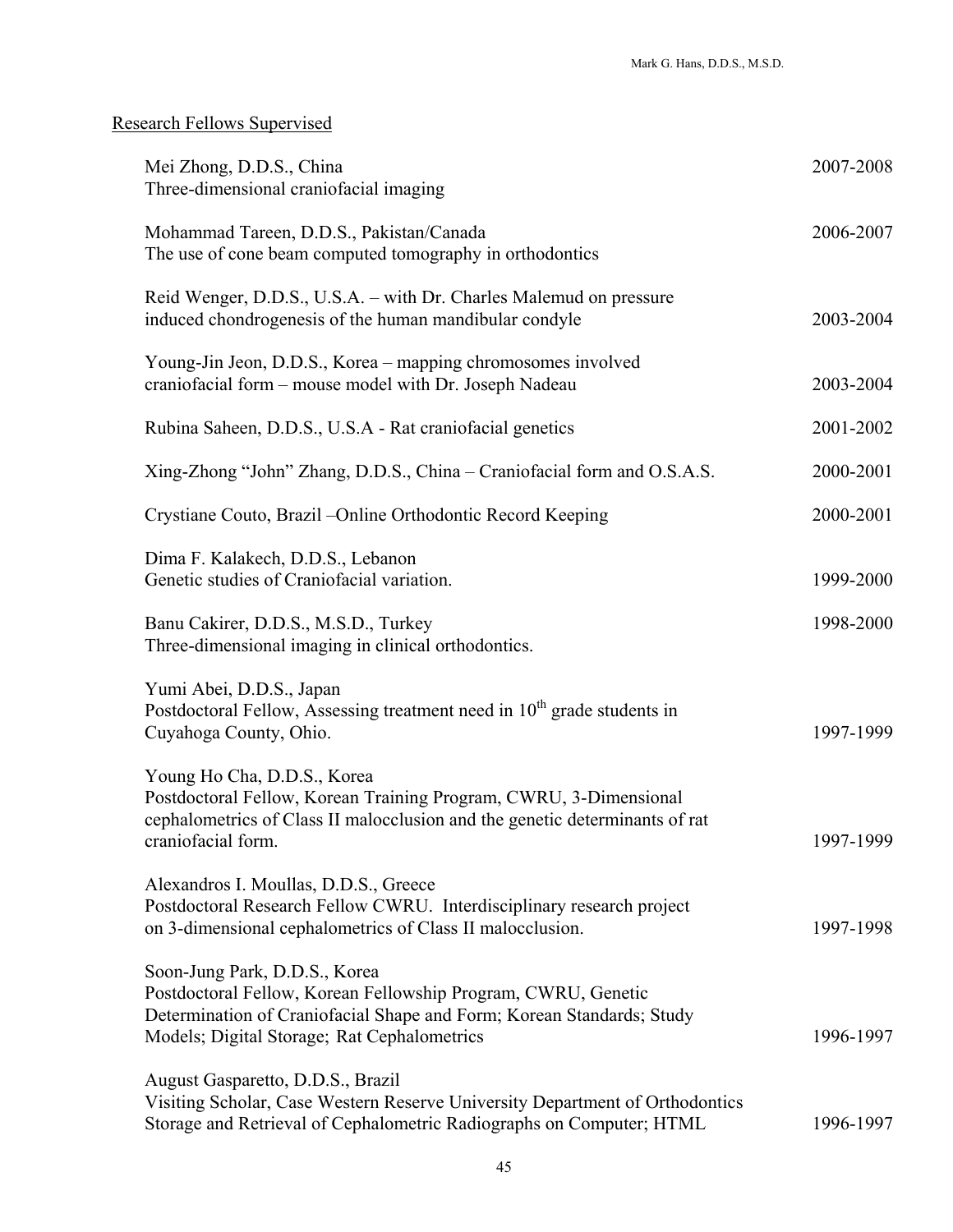# Research Fellows Supervised

| Mei Zhong, D.D.S., China<br>Three-dimensional craniofacial imaging                                                                                                                                                     | 2007-2008 |
|------------------------------------------------------------------------------------------------------------------------------------------------------------------------------------------------------------------------|-----------|
| Mohammad Tareen, D.D.S., Pakistan/Canada<br>The use of cone beam computed tomography in orthodontics                                                                                                                   | 2006-2007 |
| Reid Wenger, D.D.S., U.S.A. – with Dr. Charles Malemud on pressure<br>induced chondrogenesis of the human mandibular condyle                                                                                           | 2003-2004 |
| Young-Jin Jeon, D.D.S., Korea - mapping chromosomes involved<br>craniofacial form - mouse model with Dr. Joseph Nadeau                                                                                                 | 2003-2004 |
| Rubina Saheen, D.D.S., U.S.A - Rat craniofacial genetics                                                                                                                                                               | 2001-2002 |
| Xing-Zhong "John" Zhang, D.D.S., China – Craniofacial form and O.S.A.S.                                                                                                                                                | 2000-2001 |
| Crystiane Couto, Brazil – Online Orthodontic Record Keeping                                                                                                                                                            | 2000-2001 |
| Dima F. Kalakech, D.D.S., Lebanon<br>Genetic studies of Craniofacial variation.                                                                                                                                        | 1999-2000 |
| Banu Cakirer, D.D.S., M.S.D., Turkey<br>Three-dimensional imaging in clinical orthodontics.                                                                                                                            | 1998-2000 |
| Yumi Abei, D.D.S., Japan<br>Postdoctoral Fellow, Assessing treatment need in 10 <sup>th</sup> grade students in<br>Cuyahoga County, Ohio.                                                                              | 1997-1999 |
| Young Ho Cha, D.D.S., Korea<br>Postdoctoral Fellow, Korean Training Program, CWRU, 3-Dimensional<br>cephalometrics of Class II malocclusion and the genetic determinants of rat<br>craniofacial form.                  | 1997-1999 |
| Alexandros I. Moullas, D.D.S., Greece<br>Postdoctoral Research Fellow CWRU. Interdisciplinary research project<br>on 3-dimensional cephalometrics of Class II malocclusion.                                            | 1997-1998 |
| Soon-Jung Park, D.D.S., Korea<br>Postdoctoral Fellow, Korean Fellowship Program, CWRU, Genetic<br>Determination of Craniofacial Shape and Form; Korean Standards; Study<br>Models; Digital Storage; Rat Cephalometrics | 1996-1997 |
| August Gasparetto, D.D.S., Brazil<br>Visiting Scholar, Case Western Reserve University Department of Orthodontics<br>Storage and Retrieval of Cephalometric Radiographs on Computer; HTML                              | 1996-1997 |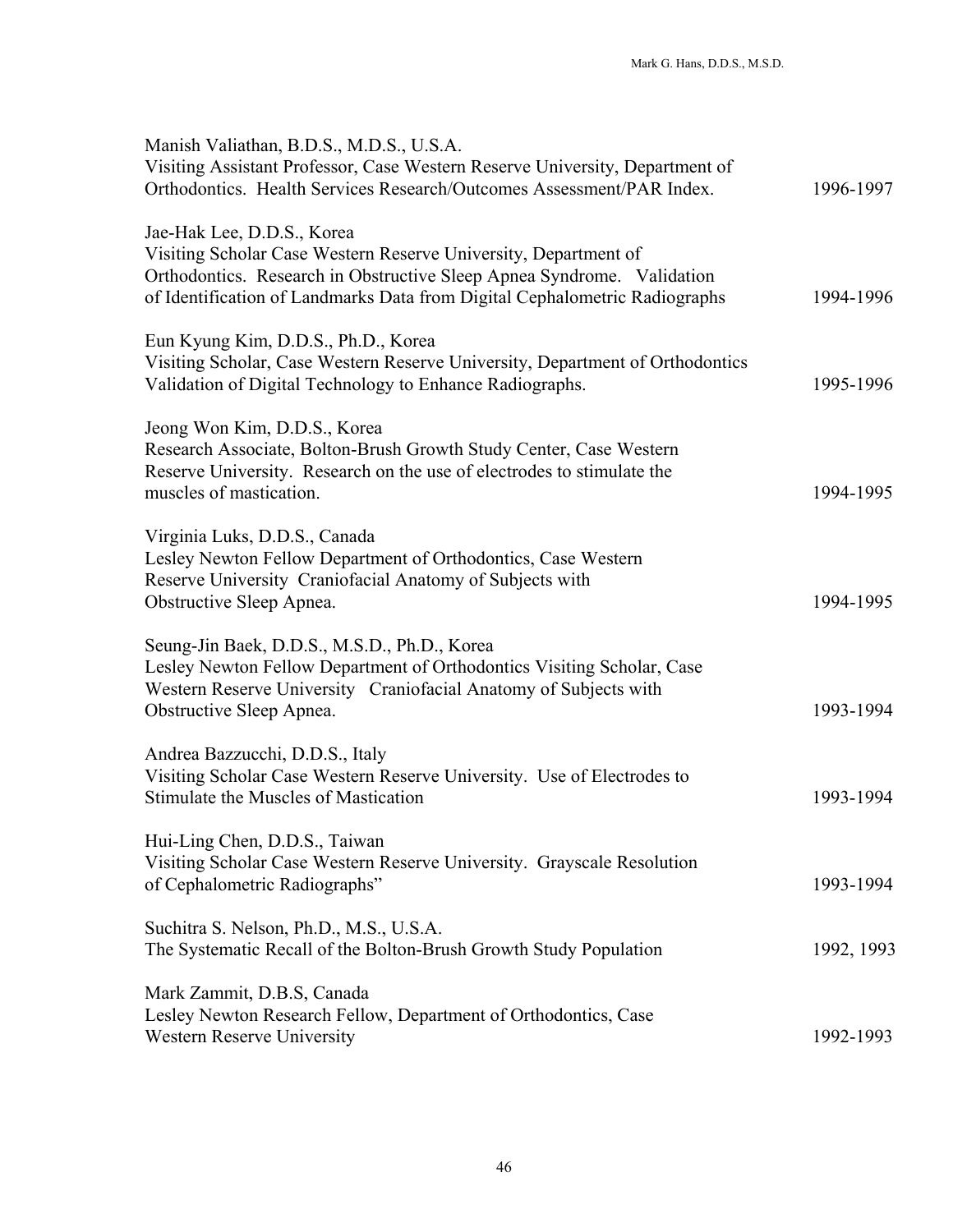| Manish Valiathan, B.D.S., M.D.S., U.S.A.<br>Visiting Assistant Professor, Case Western Reserve University, Department of<br>Orthodontics. Health Services Research/Outcomes Assessment/PAR Index.                                                     | 1996-1997  |
|-------------------------------------------------------------------------------------------------------------------------------------------------------------------------------------------------------------------------------------------------------|------------|
| Jae-Hak Lee, D.D.S., Korea<br>Visiting Scholar Case Western Reserve University, Department of<br>Orthodontics. Research in Obstructive Sleep Apnea Syndrome. Validation<br>of Identification of Landmarks Data from Digital Cephalometric Radiographs | 1994-1996  |
| Eun Kyung Kim, D.D.S., Ph.D., Korea<br>Visiting Scholar, Case Western Reserve University, Department of Orthodontics<br>Validation of Digital Technology to Enhance Radiographs.                                                                      | 1995-1996  |
| Jeong Won Kim, D.D.S., Korea<br>Research Associate, Bolton-Brush Growth Study Center, Case Western<br>Reserve University. Research on the use of electrodes to stimulate the<br>muscles of mastication.                                               | 1994-1995  |
| Virginia Luks, D.D.S., Canada<br>Lesley Newton Fellow Department of Orthodontics, Case Western<br>Reserve University Craniofacial Anatomy of Subjects with<br>Obstructive Sleep Apnea.                                                                | 1994-1995  |
| Seung-Jin Baek, D.D.S., M.S.D., Ph.D., Korea<br>Lesley Newton Fellow Department of Orthodontics Visiting Scholar, Case<br>Western Reserve University Craniofacial Anatomy of Subjects with<br>Obstructive Sleep Apnea.                                | 1993-1994  |
| Andrea Bazzucchi, D.D.S., Italy<br>Visiting Scholar Case Western Reserve University. Use of Electrodes to<br>Stimulate the Muscles of Mastication                                                                                                     | 1993-1994  |
| Hui-Ling Chen, D.D.S., Taiwan<br>Visiting Scholar Case Western Reserve University. Grayscale Resolution<br>of Cephalometric Radiographs"                                                                                                              | 1993-1994  |
| Suchitra S. Nelson, Ph.D., M.S., U.S.A.<br>The Systematic Recall of the Bolton-Brush Growth Study Population                                                                                                                                          | 1992, 1993 |
| Mark Zammit, D.B.S, Canada<br>Lesley Newton Research Fellow, Department of Orthodontics, Case<br>Western Reserve University                                                                                                                           | 1992-1993  |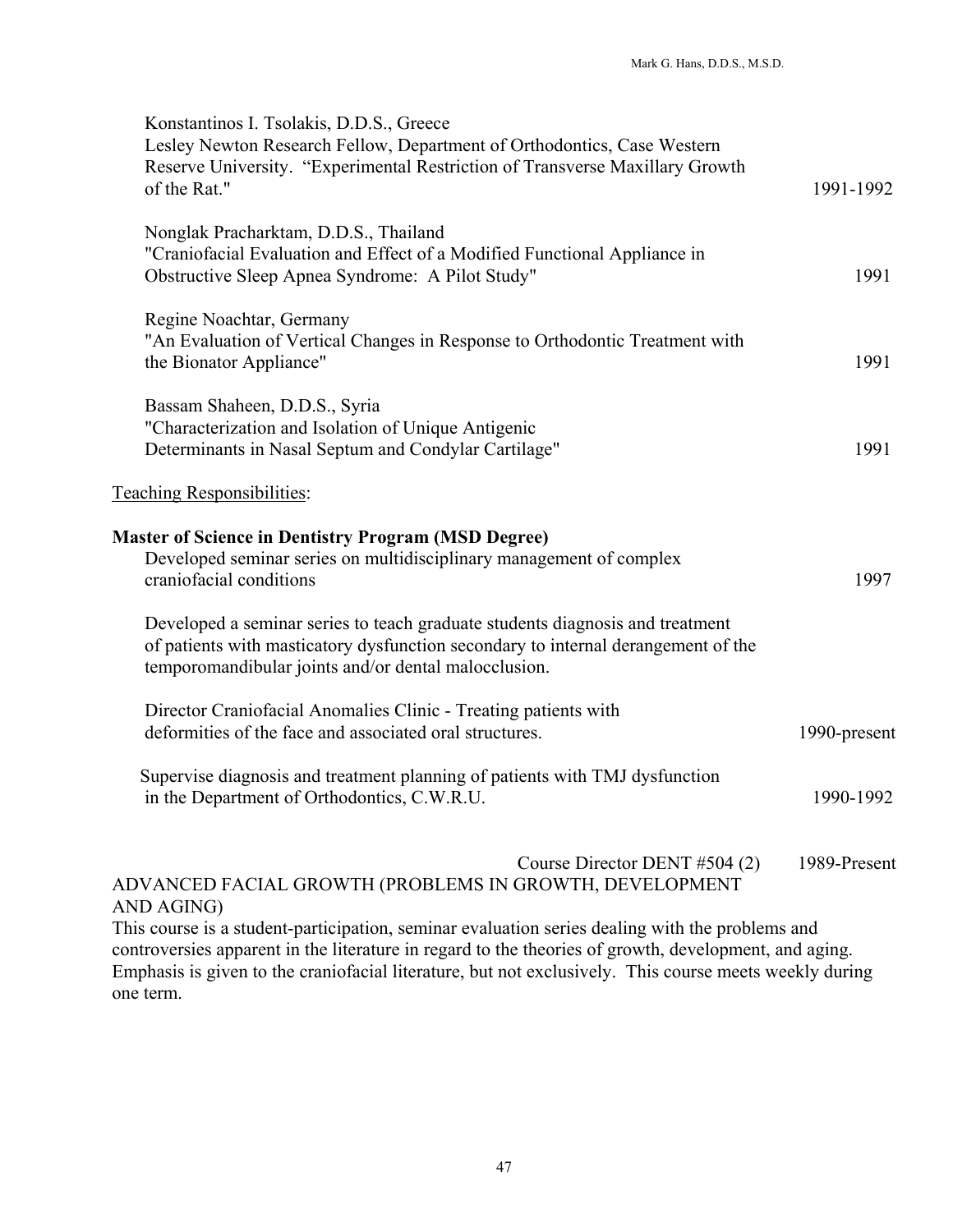| Konstantinos I. Tsolakis, D.D.S., Greece<br>Lesley Newton Research Fellow, Department of Orthodontics, Case Western<br>Reserve University. "Experimental Restriction of Transverse Maxillary Growth<br>of the Rat."        | 1991-1992    |
|----------------------------------------------------------------------------------------------------------------------------------------------------------------------------------------------------------------------------|--------------|
| Nonglak Pracharktam, D.D.S., Thailand<br>"Craniofacial Evaluation and Effect of a Modified Functional Appliance in<br>Obstructive Sleep Apnea Syndrome: A Pilot Study"                                                     | 1991         |
| Regine Noachtar, Germany<br>"An Evaluation of Vertical Changes in Response to Orthodontic Treatment with<br>the Bionator Appliance"                                                                                        | 1991         |
| Bassam Shaheen, D.D.S., Syria<br>"Characterization and Isolation of Unique Antigenic<br>Determinants in Nasal Septum and Condylar Cartilage"                                                                               | 1991         |
| <b>Teaching Responsibilities:</b>                                                                                                                                                                                          |              |
| <b>Master of Science in Dentistry Program (MSD Degree)</b><br>Developed seminar series on multidisciplinary management of complex<br>craniofacial conditions                                                               | 1997         |
| Developed a seminar series to teach graduate students diagnosis and treatment<br>of patients with masticatory dysfunction secondary to internal derangement of the<br>temporomandibular joints and/or dental malocclusion. |              |
| Director Craniofacial Anomalies Clinic - Treating patients with<br>deformities of the face and associated oral structures.                                                                                                 | 1990-present |
| Supervise diagnosis and treatment planning of patients with TMJ dysfunction<br>in the Department of Orthodontics, C.W.R.U.                                                                                                 | 1990-1992    |
| Course Director DENT #504 (2)<br>ADVANCED FACIAL GROWTH (PROBLEMS IN GROWTH, DEVELOPMENT<br>AND AGING)                                                                                                                     | 1989-Present |
| This course is a student-participation, seminar evaluation series dealing with the problems and                                                                                                                            |              |

 $\frac{A}{T}$ controversies apparent in the literature in regard to the theories of growth, development, and aging. Emphasis is given to the craniofacial literature, but not exclusively. This course meets weekly during one term.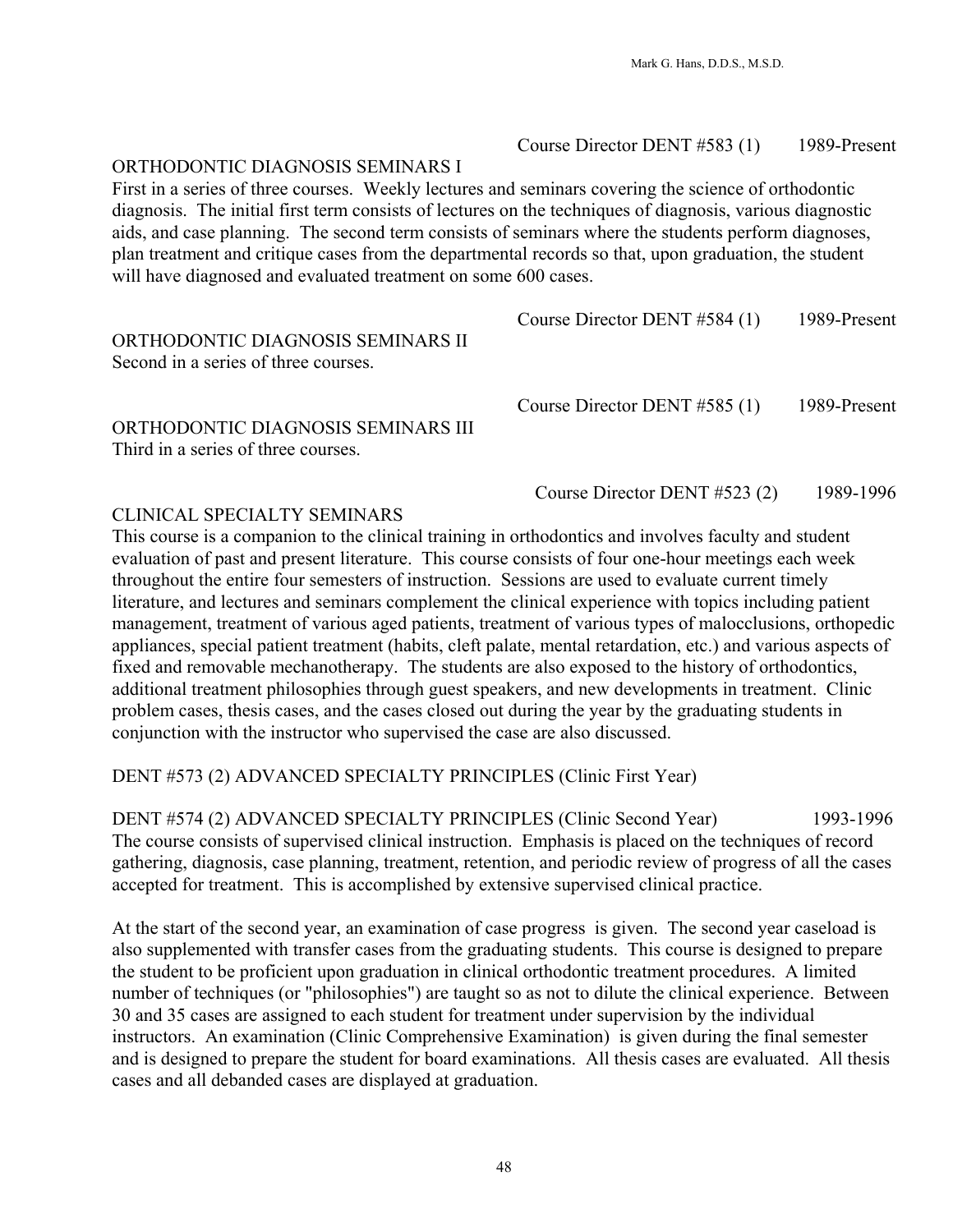## Course Director DENT #583 (1) 1989-Present

### ORTHODONTIC DIAGNOSIS SEMINARS I

First in a series of three courses. Weekly lectures and seminars covering the science of orthodontic diagnosis. The initial first term consists of lectures on the techniques of diagnosis, various diagnostic aids, and case planning. The second term consists of seminars where the students perform diagnoses, plan treatment and critique cases from the departmental records so that, upon graduation, the student will have diagnosed and evaluated treatment on some 600 cases.

| ORTHODONTIC DIAGNOSIS SEMINARS II<br>Second in a series of three courses. | Course Director DENT #584 (1)  | 1989-Present |
|---------------------------------------------------------------------------|--------------------------------|--------------|
| ORTHODONTIC DIAGNOSIS SEMINARS III<br>Third in a series of three courses. | Course Director DENT $#585(1)$ | 1989-Present |
|                                                                           | Course Director DENT $#523(2)$ | 1989-1996    |

### CLINICAL SPECIALTY SEMINARS

This course is a companion to the clinical training in orthodontics and involves faculty and student evaluation of past and present literature. This course consists of four one-hour meetings each week throughout the entire four semesters of instruction. Sessions are used to evaluate current timely literature, and lectures and seminars complement the clinical experience with topics including patient management, treatment of various aged patients, treatment of various types of malocclusions, orthopedic appliances, special patient treatment (habits, cleft palate, mental retardation, etc.) and various aspects of fixed and removable mechanotherapy. The students are also exposed to the history of orthodontics, additional treatment philosophies through guest speakers, and new developments in treatment. Clinic problem cases, thesis cases, and the cases closed out during the year by the graduating students in conjunction with the instructor who supervised the case are also discussed.

DENT #573 (2) ADVANCED SPECIALTY PRINCIPLES (Clinic First Year)

DENT #574 (2) ADVANCED SPECIALTY PRINCIPLES (Clinic Second Year) 1993-1996 The course consists of supervised clinical instruction. Emphasis is placed on the techniques of record gathering, diagnosis, case planning, treatment, retention, and periodic review of progress of all the cases accepted for treatment. This is accomplished by extensive supervised clinical practice.

At the start of the second year, an examination of case progress is given. The second year caseload is also supplemented with transfer cases from the graduating students. This course is designed to prepare the student to be proficient upon graduation in clinical orthodontic treatment procedures. A limited number of techniques (or "philosophies") are taught so as not to dilute the clinical experience. Between 30 and 35 cases are assigned to each student for treatment under supervision by the individual instructors. An examination (Clinic Comprehensive Examination) is given during the final semester and is designed to prepare the student for board examinations. All thesis cases are evaluated. All thesis cases and all debanded cases are displayed at graduation.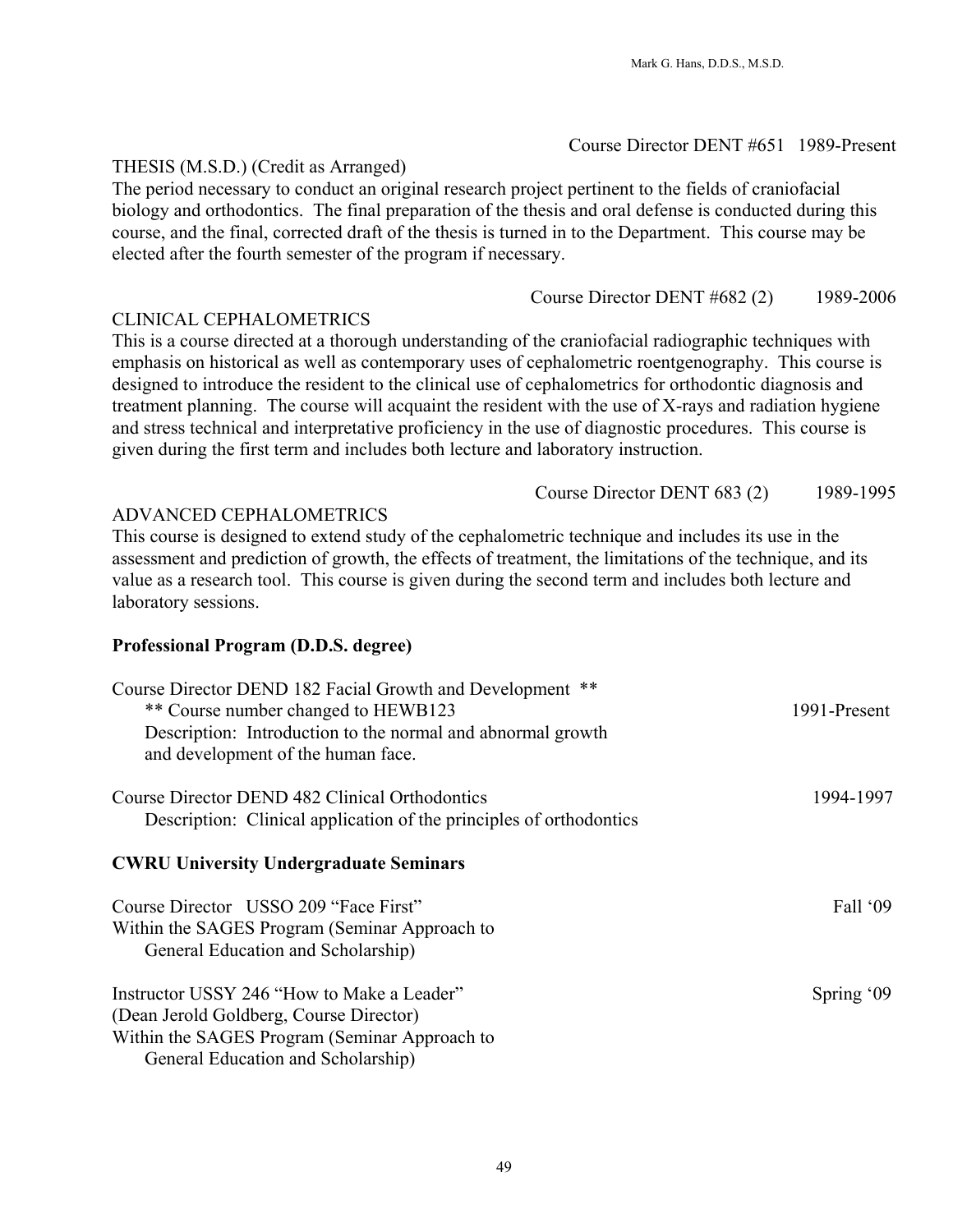# Course Director DENT #651 1989-Present

### THESIS (M.S.D.) (Credit as Arranged)

The period necessary to conduct an original research project pertinent to the fields of craniofacial biology and orthodontics. The final preparation of the thesis and oral defense is conducted during this course, and the final, corrected draft of the thesis is turned in to the Department. This course may be elected after the fourth semester of the program if necessary.

Course Director DENT #682 (2) 1989-2006

#### CLINICAL CEPHALOMETRICS

This is a course directed at a thorough understanding of the craniofacial radiographic techniques with emphasis on historical as well as contemporary uses of cephalometric roentgenography. This course is designed to introduce the resident to the clinical use of cephalometrics for orthodontic diagnosis and treatment planning. The course will acquaint the resident with the use of X-rays and radiation hygiene and stress technical and interpretative proficiency in the use of diagnostic procedures. This course is given during the first term and includes both lecture and laboratory instruction.

Course Director DENT 683 (2) 1989-1995

### ADVANCED CEPHALOMETRICS

This course is designed to extend study of the cephalometric technique and includes its use in the assessment and prediction of growth, the effects of treatment, the limitations of the technique, and its value as a research tool. This course is given during the second term and includes both lecture and laboratory sessions.

#### **Professional Program (D.D.S. degree)**

| Course Director DEND 182 Facial Growth and Development<br>$***$<br>** Course number changed to HEWB123<br>Description: Introduction to the normal and abnormal growth<br>and development of the human face. | 1991-Present       |
|-------------------------------------------------------------------------------------------------------------------------------------------------------------------------------------------------------------|--------------------|
| Course Director DEND 482 Clinical Orthodontics<br>Description: Clinical application of the principles of orthodontics                                                                                       | 1994-1997          |
| <b>CWRU University Undergraduate Seminars</b>                                                                                                                                                               |                    |
| Course Director USSO 209 "Face First"<br>Within the SAGES Program (Seminar Approach to<br>General Education and Scholarship)                                                                                | Fall $^{\circ}$ 09 |
| Instructor USSY 246 "How to Make a Leader"<br>(Dean Jerold Goldberg, Course Director)<br>Within the SAGES Program (Seminar Approach to<br>General Education and Scholarship)                                | Spring $09$        |